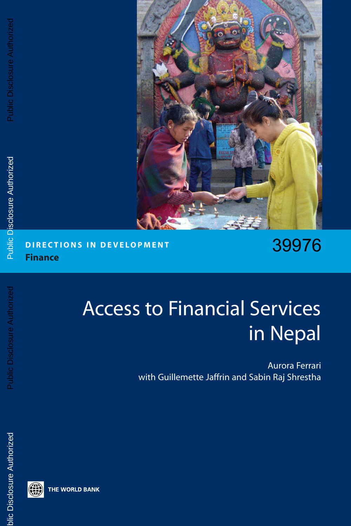Public Disclosure Authorized

Public Disclosure Authorized



**DIRECTIONS IN DEVELOPMENT Finance**

39976

# Access to Financial Services in Nepal

Aurora Ferrari with Guillemette Jaffrin and Sabin Raj Shrestha



THE WORLD BANK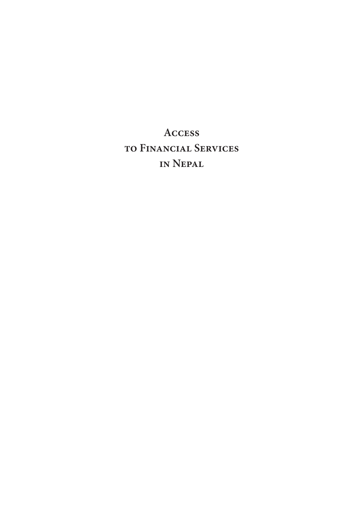**Access to Financial Services in Nepal**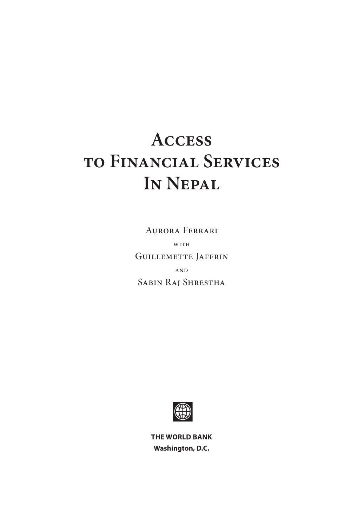# **Access to Financial Services In Nepal**

Aurora Ferrari with GUILLEMETTE JAFFRIN and Sabin Raj Shrestha



**THE WORLD BANK Washington, D.C.**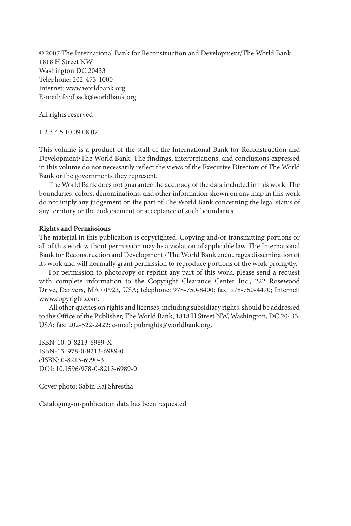© 2007 The International Bank for Reconstruction and Development/The World Bank 1818 H Street NW Washington DC 20433 Telephone: 202-473-1000 Internet: www.worldbank.org E-mail: feedback@worldbank.org

All rights reserved

1 2 3 4 5 10 09 08 07

This volume is a product of the staff of the International Bank for Reconstruction and Development/The World Bank. The findings, interpretations, and conclusions expressed in this volume do not necessarily reflect the views of the Executive Directors of The World Bank or the governments they represent.

The World Bank does not guarantee the accuracy of the data included in this work. The boundaries, colors, denominations, and other information shown on any map in this work do not imply any judgement on the part of The World Bank concerning the legal status of any territory or the endorsement or acceptance of such boundaries.

#### **Rights and Permissions**

The material in this publication is copyrighted. Copying and/or transmitting portions or all of this work without permission may be a violation of applicable law. The International Bank for Reconstruction and Development / The World Bank encourages dissemination of its work and will normally grant permission to reproduce portions of the work promptly.

For permission to photocopy or reprint any part of this work, please send a request with complete information to the Copyright Clearance Center Inc., 222 Rosewood Drive, Danvers, MA 01923, USA; telephone: 978-750-8400; fax: 978-750-4470; Internet: www.copyright.com.

All other queries on rights and licenses, including subsidiary rights, should be addressed to the Office of the Publisher, The World Bank, 1818 H Street NW, Washington, DC 20433, USA; fax: 202-522-2422; e-mail: pubrights@worldbank.org.

ISBN-10: 0-8213-6989-X ISBN-13: 978-0-8213-6989-0 eISBN: 0-8213-6990-3 DOI: 10.1596/978-0-8213-6989-0

Cover photo: Sabin Raj Shrestha

Cataloging-in-publication data has been requested.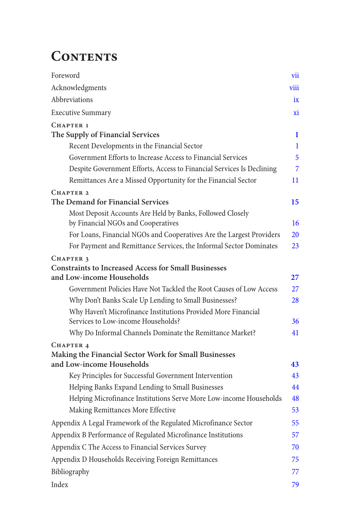## **CONTENTS**

| Foreword                                                                                 | vii  |
|------------------------------------------------------------------------------------------|------|
| Acknowledgments                                                                          | viii |
| Abbreviations                                                                            | ix   |
| <b>Executive Summary</b>                                                                 | хi   |
| CHAPTER 1                                                                                |      |
| The Supply of Financial Services                                                         | 1    |
| Recent Developments in the Financial Sector                                              | 1    |
| Government Efforts to Increase Access to Financial Services                              | 5    |
| Despite Government Efforts, Access to Financial Services Is Declining                    | 7    |
| Remittances Are a Missed Opportunity for the Financial Sector                            | 11   |
| CHAPTER <sub>2</sub>                                                                     |      |
| The Demand for Financial Services                                                        | 15   |
| Most Deposit Accounts Are Held by Banks, Followed Closely                                |      |
| by Financial NGOs and Cooperatives                                                       | 16   |
| For Loans, Financial NGOs and Cooperatives Are the Largest Providers                     | 20   |
| For Payment and Remittance Services, the Informal Sector Dominates                       | 23   |
| CHAPTER 3                                                                                |      |
| <b>Constraints to Increased Access for Small Businesses</b><br>and Low-income Households | 27   |
| Government Policies Have Not Tackled the Root Causes of Low Access                       | 27   |
| Why Don't Banks Scale Up Lending to Small Businesses?                                    | 28   |
| Why Haven't Microfinance Institutions Provided More Financial                            |      |
| Services to Low-income Households?                                                       | 36   |
| Why Do Informal Channels Dominate the Remittance Market?                                 | 41   |
| CHAPTER 4                                                                                |      |
| Making the Financial Sector Work for Small Businesses                                    |      |
| and Low-income Households                                                                | 43   |
| Key Principles for Successful Government Intervention                                    | 43   |
| Helping Banks Expand Lending to Small Businesses                                         | 44   |
| Helping Microfinance Institutions Serve More Low-income Households                       | 48   |
| Making Remittances More Effective                                                        | 53   |
| Appendix A Legal Framework of the Regulated Microfinance Sector                          | 55   |
| Appendix B Performance of Regulated Microfinance Institutions                            | 57   |
| Appendix C The Access to Financial Services Survey                                       | 70   |
| Appendix D Households Receiving Foreign Remittances                                      | 75   |
| Bibliography                                                                             | 77   |
| Index                                                                                    | 79   |
|                                                                                          |      |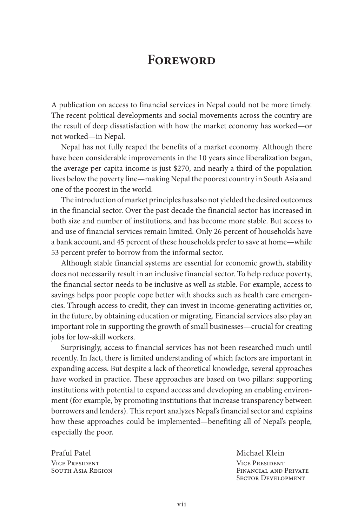## **FOREWORD**

<span id="page-8-0"></span>A publication on access to financial services in Nepal could not be more timely. The recent political developments and social movements across the country are the result of deep dissatisfaction with how the market economy has worked—or not worked—in Nepal.

Nepal has not fully reaped the benefits of a market economy. Although there have been considerable improvements in the 10 years since liberalization began, the average per capita income is just \$270, and nearly a third of the population lives below the poverty line—making Nepal the poorest country in South Asia and one of the poorest in the world.

The introduction of market principles has also not yielded the desired outcomes in the financial sector. Over the past decade the financial sector has increased in both size and number of institutions, and has become more stable. But access to and use of financial services remain limited. Only 26 percent of households have a bank account, and 45 percent of these households prefer to save at home—while 53 percent prefer to borrow from the informal sector.

Although stable financial systems are essential for economic growth, stability does not necessarily result in an inclusive financial sector. To help reduce poverty, the financial sector needs to be inclusive as well as stable. For example, access to savings helps poor people cope better with shocks such as health care emergencies. Through access to credit, they can invest in income-generating activities or, in the future, by obtaining education or migrating. Financial services also play an important role in supporting the growth of small businesses—crucial for creating jobs for low-skill workers.

Surprisingly, access to financial services has not been researched much until recently. In fact, there is limited understanding of which factors are important in expanding access. But despite a lack of theoretical knowledge, several approaches have worked in practice. These approaches are based on two pillars: supporting institutions with potential to expand access and developing an enabling environment (for example, by promoting institutions that increase transparency between borrowers and lenders). This report analyzes Nepal's financial sector and explains how these approaches could be implemented—benefiting all of Nepal's people, especially the poor.

Praful Patel Nichael Klein Vice President Vice President Vice President Vice President Vice President Vice President Vice President Vice President Vice President Vice President Vice President Vice President Vice President Vice President Vice Preside

FINANCIAL AND PRIVATE Sector Development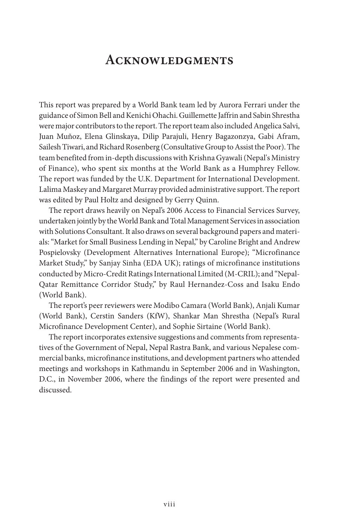## **Acknowledgments**

<span id="page-9-0"></span>This report was prepared by a World Bank team led by Aurora Ferrari under the guidance of Simon Bell and Kenichi Ohachi. Guillemette Jaffrin and Sabin Shrestha were major contributors to the report. The report team also included Angelica Salvi, Juan Muñoz, Elena Glinskaya, Dilip Parajuli, Henry Bagazonzya, Gabi Afram, Sailesh Tiwari, and Richard Rosenberg (Consultative Group to Assist the Poor). The team benefited from in-depth discussions with Krishna Gyawali (Nepal's Ministry of Finance), who spent six months at the World Bank as a Humphrey Fellow. The report was funded by the U.K. Department for International Development. Lalima Maskey and Margaret Murray provided administrative support. The report was edited by Paul Holtz and designed by Gerry Quinn.

The report draws heavily on Nepal's 2006 Access to Financial Services Survey, undertaken jointly by the World Bank and Total Management Services in association with Solutions Consultant. It also draws on several background papers and materials: "Market for Small Business Lending in Nepal," by Caroline Bright and Andrew Pospielovsky (Development Alternatives International Europe); "Microfinance Market Study," by Sanjay Sinha (EDA UK); ratings of microfinance institutions conducted by Micro-Credit Ratings International Limited (M-CRIL); and "Nepal-Qatar Remittance Corridor Study," by Raul Hernandez-Coss and Isaku Endo (World Bank).

The report's peer reviewers were Modibo Camara (World Bank), Anjali Kumar (World Bank), Cerstin Sanders (KfW), Shankar Man Shrestha (Nepal's Rural Microfinance Development Center), and Sophie Sirtaine (World Bank).

The report incorporates extensive suggestions and comments from representatives of the Government of Nepal, Nepal Rastra Bank, and various Nepalese commercial banks, microfinance institutions, and development partners who attended meetings and workshops in Kathmandu in September 2006 and in Washington, D.C., in November 2006, where the findings of the report were presented and discussed.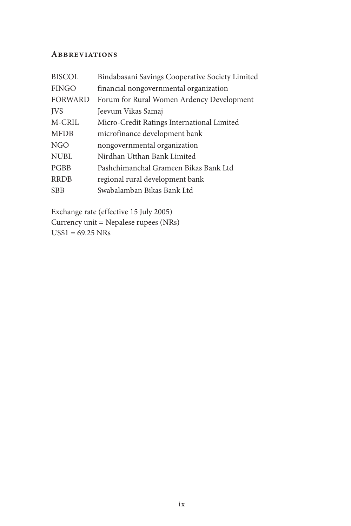## <span id="page-10-0"></span>**Abbreviations**

| <b>BISCOL</b>  | Bindabasani Savings Cooperative Society Limited |
|----------------|-------------------------------------------------|
| <b>FINGO</b>   | financial nongovernmental organization          |
| <b>FORWARD</b> | Forum for Rural Women Ardency Development       |
| <b>IVS</b>     | Jeevum Vikas Samaj                              |
| M-CRIL         | Micro-Credit Ratings International Limited      |
| <b>MFDB</b>    | microfinance development bank                   |
| NGO            | nongovernmental organization                    |
| <b>NUBL</b>    | Nirdhan Utthan Bank Limited                     |
| <b>PGBB</b>    | Pashchimanchal Grameen Bikas Bank Ltd           |
| <b>RRDB</b>    | regional rural development bank                 |
| <b>SBB</b>     | Swabalamban Bikas Bank Ltd                      |
|                |                                                 |

Exchange rate (effective 15 July 2005) Currency unit = Nepalese rupees (NRs)  $US$1 = 69.25$  NRs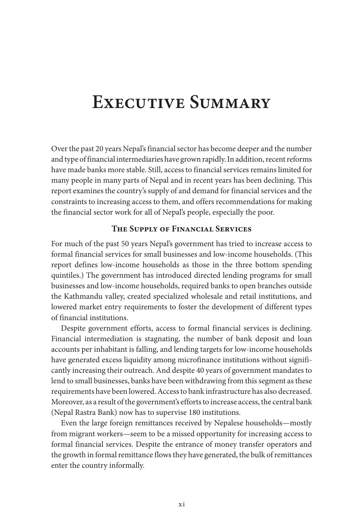## <span id="page-12-0"></span>**Executive Summary**

Over the past 20 years Nepal's financial sector has become deeper and the number and type of financial intermediaries have grown rapidly. In addition, recent reforms have made banks more stable. Still, access to financial services remains limited for many people in many parts of Nepal and in recent years has been declining. This report examines the country's supply of and demand for financial services and the constraints to increasing access to them, and offers recommendations for making the financial sector work for all of Nepal's people, especially the poor.

## **The Supply of Financial Services**

For much of the past 50 years Nepal's government has tried to increase access to formal financial services for small businesses and low-income households. (This report defines low-income households as those in the three bottom spending quintiles.) The government has introduced directed lending programs for small businesses and low-income households, required banks to open branches outside the Kathmandu valley, created specialized wholesale and retail institutions, and lowered market entry requirements to foster the development of different types of financial institutions.

Despite government efforts, access to formal financial services is declining. Financial intermediation is stagnating, the number of bank deposit and loan accounts per inhabitant is falling, and lending targets for low-income households have generated excess liquidity among microfinance institutions without significantly increasing their outreach. And despite 40 years of government mandates to lend to small businesses, banks have been withdrawing from this segment as these requirements have been lowered. Access to bank infrastructure has also decreased. Moreover, as a result of the government's efforts to increase access, the central bank (Nepal Rastra Bank) now has to supervise 180 institutions.

Even the large foreign remittances received by Nepalese households—mostly from migrant workers—seem to be a missed opportunity for increasing access to formal financial services. Despite the entrance of money transfer operators and the growth in formal remittance flows they have generated, the bulk of remittances enter the country informally.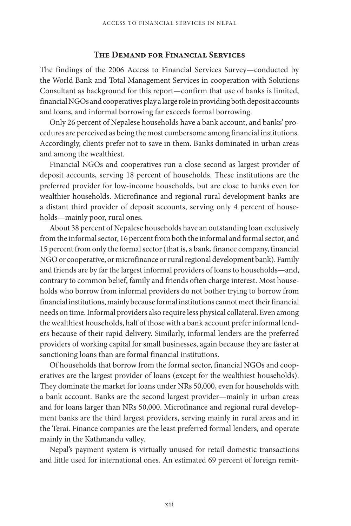## **The Demand for Financial Services**

The findings of the 2006 Access to Financial Services Survey—conducted by the World Bank and Total Management Services in cooperation with Solutions Consultant as background for this report—confirm that use of banks is limited, financial NGOs and cooperatives play a large role in providing both deposit accounts and loans, and informal borrowing far exceeds formal borrowing.

Only 26 percent of Nepalese households have a bank account, and banks' procedures are perceived as being the most cumbersome among financial institutions. Accordingly, clients prefer not to save in them. Banks dominated in urban areas and among the wealthiest.

Financial NGOs and cooperatives run a close second as largest provider of deposit accounts, serving 18 percent of households. These institutions are the preferred provider for low-income households, but are close to banks even for wealthier households. Microfinance and regional rural development banks are a distant third provider of deposit accounts, serving only 4 percent of households—mainly poor, rural ones.

About 38 percent of Nepalese households have an outstanding loan exclusively from the informal sector, 16 percent from both the informal and formal sector, and 15 percent from only the formal sector (that is, a bank, finance company, financial NGO or cooperative, or microfinance or rural regional development bank). Family and friends are by far the largest informal providers of loans to households—and, contrary to common belief, family and friends often charge interest. Most households who borrow from informal providers do not bother trying to borrow from financial institutions, mainly because formal institutions cannot meet their financial needs on time. Informal providers also require less physical collateral. Even among the wealthiest households, half of those with a bank account prefer informal lenders because of their rapid delivery. Similarly, informal lenders are the preferred providers of working capital for small businesses, again because they are faster at sanctioning loans than are formal financial institutions.

Of households that borrow from the formal sector, financial NGOs and cooperatives are the largest provider of loans (except for the wealthiest households). They dominate the market for loans under NRs 50,000, even for households with a bank account. Banks are the second largest provider—mainly in urban areas and for loans larger than NRs 50,000. Microfinance and regional rural development banks are the third largest providers, serving mainly in rural areas and in the Terai. Finance companies are the least preferred formal lenders, and operate mainly in the Kathmandu valley.

Nepal's payment system is virtually unused for retail domestic transactions and little used for international ones. An estimated 69 percent of foreign remit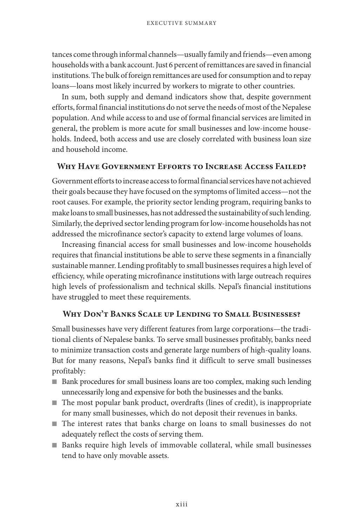tances come through informal channels—usually family and friends—even among households with a bank account. Just 6 percent of remittances are saved in financial institutions. The bulk of foreign remittances are used for consumption and to repay loans—loans most likely incurred by workers to migrate to other countries.

In sum, both supply and demand indicators show that, despite government efforts, formal financial institutions do not serve the needs of most of the Nepalese population. And while access to and use of formal financial services are limited in general, the problem is more acute for small businesses and low-income households. Indeed, both access and use are closely correlated with business loan size and household income.

## **Why Have Government Efforts to Increase Access Failed?**

Government efforts to increase access to formal financial services have not achieved their goals because they have focused on the symptoms of limited access—not the root causes. For example, the priority sector lending program, requiring banks to make loans to small businesses, has not addressed the sustainability of such lending. Similarly, the deprived sector lending program for low-income households has not addressed the microfinance sector's capacity to extend large volumes of loans.

Increasing financial access for small businesses and low-income households requires that financial institutions be able to serve these segments in a financially sustainable manner. Lending profitably to small businesses requires a high level of efficiency, while operating microfinance institutions with large outreach requires high levels of professionalism and technical skills. Nepal's financial institutions have struggled to meet these requirements.

## **Why Don't Banks Scale up Lending to Small Businesses?**

Small businesses have very different features from large corporations—the traditional clients of Nepalese banks. To serve small businesses profitably, banks need to minimize transaction costs and generate large numbers of high-quality loans. But for many reasons, Nepal's banks find it difficult to serve small businesses profitably:

- Bank procedures for small business loans are too complex, making such lending unnecessarily long and expensive for both the businesses and the banks.
- The most popular bank product, overdrafts (lines of credit), is inappropriate for many small businesses, which do not deposit their revenues in banks.
- The interest rates that banks charge on loans to small businesses do not adequately reflect the costs of serving them.
- Banks require high levels of immovable collateral, while small businesses tend to have only movable assets.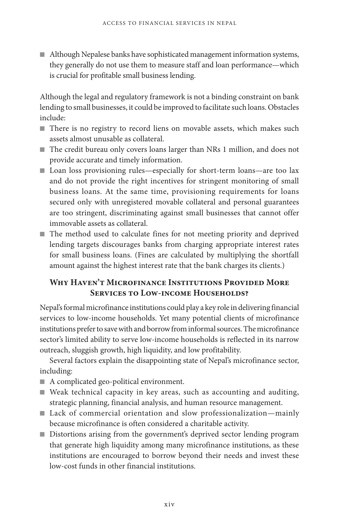■ Although Nepalese banks have sophisticated management information systems, they generally do not use them to measure staff and loan performance—which is crucial for profitable small business lending.

Although the legal and regulatory framework is not a binding constraint on bank lending to small businesses, it could be improved to facilitate such loans. Obstacles include:

- There is no registry to record liens on movable assets, which makes such assets almost unusable as collateral.
- The credit bureau only covers loans larger than NRs 1 million, and does not provide accurate and timely information.
- Loan loss provisioning rules—especially for short-term loans—are too lax and do not provide the right incentives for stringent monitoring of small business loans. At the same time, provisioning requirements for loans secured only with unregistered movable collateral and personal guarantees are too stringent, discriminating against small businesses that cannot offer immovable assets as collateral.
- The method used to calculate fines for not meeting priority and deprived lending targets discourages banks from charging appropriate interest rates for small business loans. (Fines are calculated by multiplying the shortfall amount against the highest interest rate that the bank charges its clients.)

## **Why Haven't Microfinance Institutions Provided More Services to Low-income Households?**

Nepal's formal microfinance institutions could play a key role in delivering financial services to low-income households. Yet many potential clients of microfinance institutions prefer to save with and borrow from informal sources. The microfinance sector's limited ability to serve low-income households is reflected in its narrow outreach, sluggish growth, high liquidity, and low profitability.

Several factors explain the disappointing state of Nepal's microfinance sector, including:

- A complicated geo-political environment.
- Weak technical capacity in key areas, such as accounting and auditing, strategic planning, financial analysis, and human resource management.
- Lack of commercial orientation and slow professionalization—mainly because microfinance is often considered a charitable activity.
- Distortions arising from the government's deprived sector lending program that generate high liquidity among many microfinance institutions, as these institutions are encouraged to borrow beyond their needs and invest these low-cost funds in other financial institutions.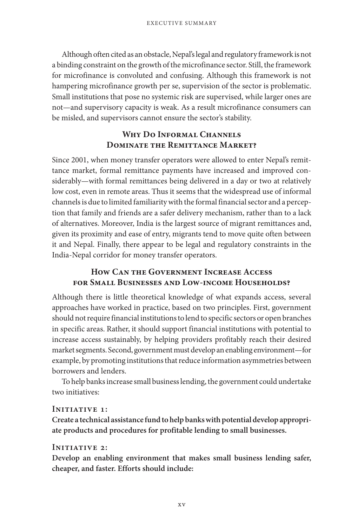Although often cited as an obstacle, Nepal's legal and regulatory framework is not a binding constraint on the growth of the microfinance sector. Still, the framework for microfinance is convoluted and confusing. Although this framework is not hampering microfinance growth per se, supervision of the sector is problematic. Small institutions that pose no systemic risk are supervised, while larger ones are not—and supervisory capacity is weak. As a result microfinance consumers can be misled, and supervisors cannot ensure the sector's stability.

## **Why Do Informal Channels Dominate the Remittance Market?**

Since 2001, when money transfer operators were allowed to enter Nepal's remittance market, formal remittance payments have increased and improved considerably—with formal remittances being delivered in a day or two at relatively low cost, even in remote areas. Thus it seems that the widespread use of informal channels is due to limited familiarity with the formal financial sector and a perception that family and friends are a safer delivery mechanism, rather than to a lack of alternatives. Moreover, India is the largest source of migrant remittances and, given its proximity and ease of entry, migrants tend to move quite often between it and Nepal. Finally, there appear to be legal and regulatory constraints in the India-Nepal corridor for money transfer operators.

## **How Can the Government Increase Access for Small Businesses and Low-income Households?**

Although there is little theoretical knowledge of what expands access, several approaches have worked in practice, based on two principles. First, government should not require financial institutions to lend to specific sectors or open branches in specific areas. Rather, it should support financial institutions with potential to increase access sustainably, by helping providers profitably reach their desired market segments. Second, government must develop an enabling environment—for example, by promoting institutions that reduce information asymmetries between borrowers and lenders.

To help banks increase small business lending, the government could undertake two initiatives:

### **INITIATIVE 1:**

**Create a technical assistance fund to help banks with potential develop appropriate products and procedures for profitable lending to small businesses.** 

### **INITIATIVE 2:**

**Develop an enabling environment that makes small business lending safer, cheaper, and faster. Efforts should include:**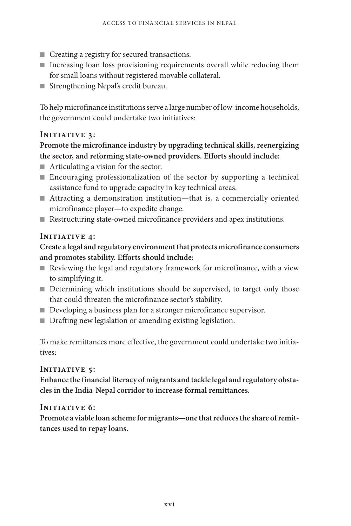- Creating a registry for secured transactions.
- Increasing loan loss provisioning requirements overall while reducing them for small loans without registered movable collateral.
- Strengthening Nepal's credit bureau.

To help microfinance institutions serve a large number of low-income households, the government could undertake two initiatives:

## **INITIATIVE 3:**

## **Promote the microfinance industry by upgrading technical skills, reenergizing the sector, and reforming state-owned providers. Efforts should include:**

- Articulating a vision for the sector.
- Encouraging professionalization of the sector by supporting a technical assistance fund to upgrade capacity in key technical areas.
- Attracting a demonstration institution—that is, a commercially oriented microfinance player—to expedite change.
- Restructuring state-owned microfinance providers and apex institutions.

## **INITIATIVE 4:**

## **Create a legal and regulatory environment that protects microfinance consumers and promotes stability. Efforts should include:**

- Reviewing the legal and regulatory framework for microfinance, with a view to simplifying it.
- Determining which institutions should be supervised, to target only those that could threaten the microfinance sector's stability.
- Developing a business plan for a stronger microfinance supervisor.
- Drafting new legislation or amending existing legislation.

To make remittances more effective, the government could undertake two initiatives:

## **INITIATIVE 5:**

**Enhance the financial literacy of migrants and tackle legal and regulatory obstacles in the India-Nepal corridor to increase formal remittances.** 

## **INITIATIVE 6:**

**Promote a viable loan scheme for migrants—one that reduces the share of remittances used to repay loans.**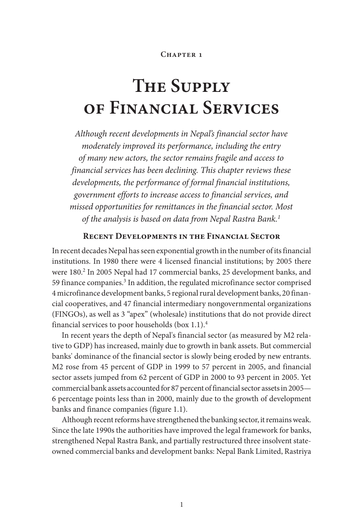### **Chapter**

## <span id="page-18-0"></span>**The Supply of Financial Services**

*Although recent developments in Nepal's financial sector have moderately improved its performance, including the entry of many new actors, the sector remains fragile and access to financial services has been declining. This chapter reviews these developments, the performance of formal financial institutions, government efforts to increase access to financial services, and missed opportunities for remittances in the financial sector. Most of the analysis is based on data from Nepal Rastra Bank.1*

## **Recent Developments in the Financial Sector**

In recent decades Nepal has seen exponential growth in the number of its financial institutions. In 1980 there were 4 licensed financial institutions; by 2005 there were 180.<sup>2</sup> In 2005 Nepal had 17 commercial banks, 25 development banks, and 59 finance companies.<sup>3</sup> In addition, the regulated microfinance sector comprised 4 microfinance development banks, 5 regional rural development banks, 20 financial cooperatives, and 47 financial intermediary nongovernmental organizations (FINGOs), as well as 3 "apex" (wholesale) institutions that do not provide direct financial services to poor households (box 1.1).4

In recent years the depth of Nepal's financial sector (as measured by M2 relative to GDP) has increased, mainly due to growth in bank assets. But commercial banks' dominance of the financial sector is slowly being eroded by new entrants. M2 rose from 45 percent of GDP in 1999 to 57 percent in 2005, and financial sector assets jumped from 62 percent of GDP in 2000 to 93 percent in 2005. Yet commercial bank assets accounted for 87 percent of financial sector assets in 2005— 6 percentage points less than in 2000, mainly due to the growth of development banks and finance companies (figure 1.1).

Although recent reforms have strengthened the banking sector, it remains weak. Since the late 1990s the authorities have improved the legal framework for banks, strengthened Nepal Rastra Bank, and partially restructured three insolvent stateowned commercial banks and development banks: Nepal Bank Limited, Rastriya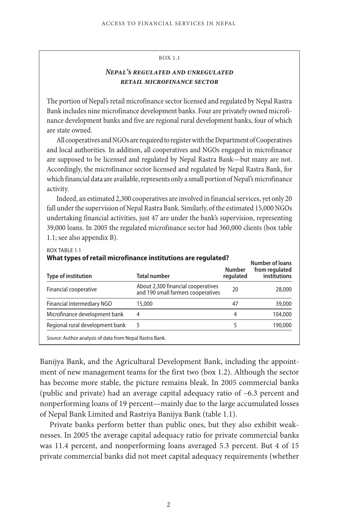#### BOX 1.1

## *Nepal's regulated and unregulated retail microfinance sector*

The portion of Nepal's retail microfinance sector licensed and regulated by Nepal Rastra Bank includes nine microfinance development banks. Four are privately owned microfinance development banks and five are regional rural development banks, four of which are state owned.

All cooperatives and NGOs are required to register with the Department of Cooperatives and local authorities. In addition, all cooperatives and NGOs engaged in microfinance are supposed to be licensed and regulated by Nepal Rastra Bank—but many are not. Accordingly, the microfinance sector licensed and regulated by Nepal Rastra Bank, for which financial data are available, represents only a small portion of Nepal's microfinance activity.

Indeed, an estimated 2,300 cooperatives are involved in financial services, yet only 20 fall under the supervision of Nepal Rastra Bank. Similarly, of the estimated 15,000 NGOs undertaking financial activities, just 47 are under the bank's supervision, representing 39,000 loans. In 2005 the regulated microfinance sector had 360,000 clients (box table 1.1; see also appendix B).

| . .<br><b>Type of institution</b>                       | Total number                                                             | <b>Number</b><br>regulated | Number of loans<br>from regulated<br>institutions |  |
|---------------------------------------------------------|--------------------------------------------------------------------------|----------------------------|---------------------------------------------------|--|
| Financial cooperative                                   | About 2,300 financial cooperatives<br>and 190 small farmers cooperatives | 20                         | 28,000                                            |  |
| Financial intermediary NGO                              | 15,000                                                                   | 47                         | 39,000                                            |  |
| Microfinance development bank                           | 4                                                                        | 4                          | 104,000                                           |  |
| Regional rural development bank                         | 5                                                                        |                            | 190,000                                           |  |
| Source: Author analysis of data from Nepal Rastra Bank. |                                                                          |                            |                                                   |  |

#### BOX TABLE 1.1 **What types of retail microfinance institutions are regulated?**

Banijya Bank, and the Agricultural Development Bank, including the appointment of new management teams for the first two (box 1.2). Although the sector has become more stable, the picture remains bleak. In 2005 commercial banks (public and private) had an average capital adequacy ratio of –6.3 percent and nonperforming loans of 19 percent—mainly due to the large accumulated losses of Nepal Bank Limited and Rastriya Banijya Bank (table 1.1).

Private banks perform better than public ones, but they also exhibit weaknesses. In 2005 the average capital adequacy ratio for private commercial banks was 11.4 percent, and nonperforming loans averaged 5.3 percent. But 4 of 15 private commercial banks did not meet capital adequacy requirements (whether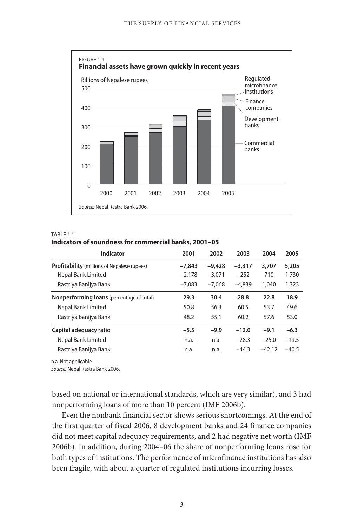

TABLE 1.1

#### **Indicators of soundness for commercial banks, 2001–05**

| Indicator                                          | 2001     | 2002     | 2003     | 2004     | 2005    |
|----------------------------------------------------|----------|----------|----------|----------|---------|
| <b>Profitability</b> (millions of Nepalese rupees) | $-7.843$ | $-9.428$ | $-3.317$ | 3,707    | 5,205   |
| Nepal Bank Limited                                 | $-2,178$ | $-3,071$ | $-252$   | 710      | 1,730   |
| Rastriya Banijya Bank                              | $-7.083$ | $-7.068$ | $-4.839$ | 1,040    | 1,323   |
| Nonperforming loans (percentage of total)          | 29.3     | 30.4     | 28.8     | 22.8     | 18.9    |
| Nepal Bank Limited                                 | 50.8     | 56.3     | 60.5     | 53.7     | 49.6    |
| Rastriya Banijya Bank                              | 48.2     | 55.1     | 60.2     | 57.6     | 53.0    |
| Capital adequacy ratio                             | $-5.5$   | $-9.9$   | $-12.0$  | $-9.1$   | $-6.3$  |
| Nepal Bank Limited                                 | n.a.     | n.a.     | $-28.3$  | $-25.0$  | $-19.5$ |
| Rastriya Banijya Bank                              | n.a.     | n.a.     | $-44.3$  | $-42.12$ | $-40.5$ |

n.a. Not applicable.

Source: Nepal Rastra Bank 2006.

based on national or international standards, which are very similar), and 3 had nonperforming loans of more than 10 percent (IMF 2006b).

Even the nonbank financial sector shows serious shortcomings. At the end of the first quarter of fiscal 2006, 8 development banks and 24 finance companies did not meet capital adequacy requirements, and 2 had negative net worth (IMF 2006b). In addition, during 2004–06 the share of nonperforming loans rose for both types of institutions. The performance of microfinance institutions has also been fragile, with about a quarter of regulated institutions incurring losses.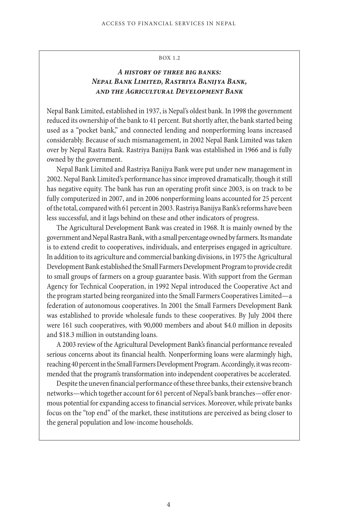#### BOX 1.2

## *A history of three big banks: Nepal Bank Limited, Rastriya Banijya Bank, and the Agricultural Development Bank*

Nepal Bank Limited, established in 1937, is Nepal's oldest bank. In 1998 the government reduced its ownership of the bank to 41 percent. But shortly after, the bank started being used as a "pocket bank," and connected lending and nonperforming loans increased considerably. Because of such mismanagement, in 2002 Nepal Bank Limited was taken over by Nepal Rastra Bank. Rastriya Banijya Bank was established in 1966 and is fully owned by the government.

Nepal Bank Limited and Rastriya Banijya Bank were put under new management in 2002. Nepal Bank Limited's performance has since improved dramatically, though it still has negative equity. The bank has run an operating profit since 2003, is on track to be fully computerized in 2007, and in 2006 nonperforming loans accounted for 25 percent of the total, compared with 61 percent in 2003. Rastriya Banijya Bank's reforms have been less successful, and it lags behind on these and other indicators of progress.

The Agricultural Development Bank was created in 1968. It is mainly owned by the government and Nepal Rastra Bank, with a small percentage owned by farmers. Its mandate is to extend credit to cooperatives, individuals, and enterprises engaged in agriculture. In addition to its agriculture and commercial banking divisions, in 1975 the Agricultural Development Bank established the Small Farmers Development Program to provide credit to small groups of farmers on a group guarantee basis. With support from the German Agency for Technical Cooperation, in 1992 Nepal introduced the Cooperative Act and the program started being reorganized into the Small Farmers Cooperatives Limited—a federation of autonomous cooperatives. In 2001 the Small Farmers Development Bank was established to provide wholesale funds to these cooperatives. By July 2004 there were 161 such cooperatives, with 90,000 members and about \$4.0 million in deposits and \$18.3 million in outstanding loans.

A 2003 review of the Agricultural Development Bank's financial performance revealed serious concerns about its financial health. Nonperforming loans were alarmingly high, reaching 40 percent in the Small Farmers Development Program. Accordingly, it was recommended that the program's transformation into independent cooperatives be accelerated.

Despite the uneven financial performance of these three banks, their extensive branch networks—which together account for 61 percent of Nepal's bank branches—offer enormous potential for expanding access to financial services. Moreover, while private banks focus on the "top end" of the market, these institutions are perceived as being closer to the general population and low-income households.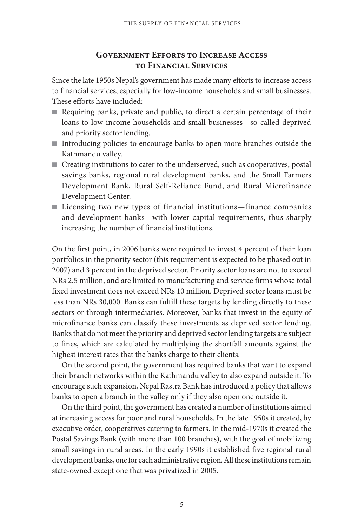## **Government Efforts to Increase Access to Financial Services**

<span id="page-22-0"></span>Since the late 1950s Nepal's government has made many efforts to increase access to financial services, especially for low-income households and small businesses. These efforts have included:

- Requiring banks, private and public, to direct a certain percentage of their loans to low-income households and small businesses—so-called deprived and priority sector lending.
- Introducing policies to encourage banks to open more branches outside the Kathmandu valley.
- Creating institutions to cater to the underserved, such as cooperatives, postal savings banks, regional rural development banks, and the Small Farmers Development Bank, Rural Self-Reliance Fund, and Rural Microfinance Development Center.
- Licensing two new types of financial institutions—finance companies and development banks—with lower capital requirements, thus sharply increasing the number of financial institutions.

On the first point, in 2006 banks were required to invest 4 percent of their loan portfolios in the priority sector (this requirement is expected to be phased out in 2007) and 3 percent in the deprived sector. Priority sector loans are not to exceed NRs 2.5 million, and are limited to manufacturing and service firms whose total fixed investment does not exceed NRs 10 million. Deprived sector loans must be less than NRs 30,000. Banks can fulfill these targets by lending directly to these sectors or through intermediaries. Moreover, banks that invest in the equity of microfinance banks can classify these investments as deprived sector lending. Banks that do not meet the priority and deprived sector lending targets are subject to fines, which are calculated by multiplying the shortfall amounts against the highest interest rates that the banks charge to their clients.

On the second point, the government has required banks that want to expand their branch networks within the Kathmandu valley to also expand outside it. To encourage such expansion, Nepal Rastra Bank has introduced a policy that allows banks to open a branch in the valley only if they also open one outside it.

On the third point, the government has created a number of institutions aimed at increasing access for poor and rural households. In the late 1950s it created, by executive order, cooperatives catering to farmers. In the mid-1970s it created the Postal Savings Bank (with more than 100 branches), with the goal of mobilizing small savings in rural areas. In the early 1990s it established five regional rural development banks, one for each administrative region. All these institutions remain state-owned except one that was privatized in 2005.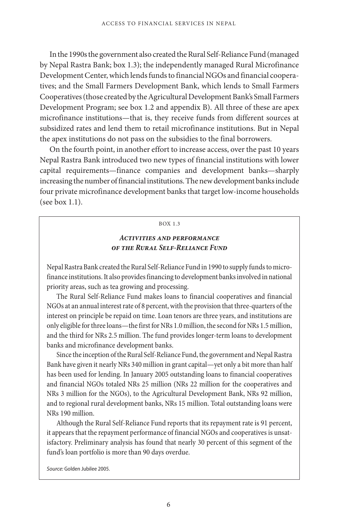In the 1990s the government also created the Rural Self-Reliance Fund (managed by Nepal Rastra Bank; box 1.3); the independently managed Rural Microfinance Development Center, which lends funds to financial NGOs and financial cooperatives; and the Small Farmers Development Bank, which lends to Small Farmers Cooperatives (those created by the Agricultural Development Bank's Small Farmers Development Program; see box 1.2 and appendix B). All three of these are apex microfinance institutions—that is, they receive funds from different sources at subsidized rates and lend them to retail microfinance institutions. But in Nepal the apex institutions do not pass on the subsidies to the final borrowers.

On the fourth point, in another effort to increase access, over the past 10 years Nepal Rastra Bank introduced two new types of financial institutions with lower capital requirements—finance companies and development banks—sharply increasing the number of financial institutions. The new development banks include four private microfinance development banks that target low-income households (see box 1.1).

#### BOX 1.3

### *Activities and performance of the Rural Self-Reliance Fund*

Nepal Rastra Bank created the Rural Self-Reliance Fund in 1990 to supply funds to microfinance institutions. It also provides financing to development banks involved in national priority areas, such as tea growing and processing.

The Rural Self-Reliance Fund makes loans to financial cooperatives and financial NGOs at an annual interest rate of 8 percent, with the provision that three-quarters of the interest on principle be repaid on time. Loan tenors are three years, and institutions are only eligible for three loans—the first for NRs 1.0 million, the second for NRs 1.5 million, and the third for NRs 2.5 million. The fund provides longer-term loans to development banks and microfinance development banks.

Since the inception of the Rural Self-Reliance Fund, the government and Nepal Rastra Bank have given it nearly NRs 340 million in grant capital—yet only a bit more than half has been used for lending. In January 2005 outstanding loans to financial cooperatives and financial NGOs totaled NRs 25 million (NRs 22 million for the cooperatives and NRs 3 million for the NGOs), to the Agricultural Development Bank, NRs 92 million, and to regional rural development banks, NRs 15 million. Total outstanding loans were NRs 190 million.

Although the Rural Self-Reliance Fund reports that its repayment rate is 91 percent, it appears that the repayment performance of financial NGOs and cooperatives is unsatisfactory. Preliminary analysis has found that nearly 30 percent of this segment of the fund's loan portfolio is more than 90 days overdue.

Source: Golden Jubilee 2005.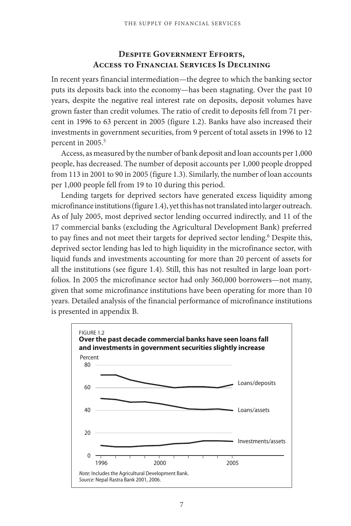## **Despite Government Efforts, Access to Financial Services Is Declining**

<span id="page-24-0"></span>In recent years financial intermediation—the degree to which the banking sector puts its deposits back into the economy—has been stagnating. Over the past 10 years, despite the negative real interest rate on deposits, deposit volumes have grown faster than credit volumes. The ratio of credit to deposits fell from 71 percent in 1996 to 63 percent in 2005 (figure 1.2). Banks have also increased their investments in government securities, from 9 percent of total assets in 1996 to 12 percent in 2005.<sup>5</sup>

Access, as measured by the number of bank deposit and loan accounts per 1,000 people, has decreased. The number of deposit accounts per 1,000 people dropped from 113 in 2001 to 90 in 2005 (figure 1.3). Similarly, the number of loan accounts per 1,000 people fell from 19 to 10 during this period.

Lending targets for deprived sectors have generated excess liquidity among microfinance institutions (figure 1.4), yet this has not translated into larger outreach. As of July 2005, most deprived sector lending occurred indirectly, and 11 of the 17 commercial banks (excluding the Agricultural Development Bank) preferred to pay fines and not meet their targets for deprived sector lending.<sup>6</sup> Despite this, deprived sector lending has led to high liquidity in the microfinance sector, with liquid funds and investments accounting for more than 20 percent of assets for all the institutions (see figure 1.4). Still, this has not resulted in large loan portfolios. In 2005 the microfinance sector had only 360,000 borrowers—not many, given that some microfinance institutions have been operating for more than 10 years. Detailed analysis of the financial performance of microfinance institutions is presented in appendix B.

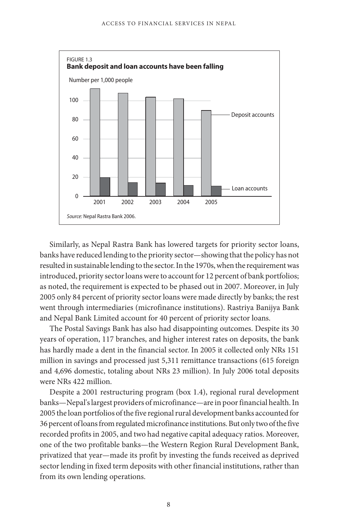

Similarly, as Nepal Rastra Bank has lowered targets for priority sector loans, banks have reduced lending to the priority sector—showing that the policy has not resulted in sustainable lending to the sector. In the 1970s, when the requirement was introduced, priority sector loans were to account for 12 percent of bank portfolios; as noted, the requirement is expected to be phased out in 2007. Moreover, in July 2005 only 84 percent of priority sector loans were made directly by banks; the rest went through intermediaries (microfinance institutions). Rastriya Banijya Bank and Nepal Bank Limited account for 40 percent of priority sector loans.

The Postal Savings Bank has also had disappointing outcomes. Despite its 30 years of operation, 117 branches, and higher interest rates on deposits, the bank has hardly made a dent in the financial sector. In 2005 it collected only NRs 151 million in savings and processed just 5,311 remittance transactions (615 foreign and 4,696 domestic, totaling about NRs 23 million). In July 2006 total deposits were NRs 422 million.

Despite a 2001 restructuring program (box 1.4), regional rural development banks—Nepal's largest providers of microfinance—are in poor financial health. In 2005 the loan portfolios of the five regional rural development banks accounted for 36 percent of loans from regulated microfinance institutions. But only two of the five recorded profits in 2005, and two had negative capital adequacy ratios. Moreover, one of the two profitable banks—the Western Region Rural Development Bank, privatized that year—made its profit by investing the funds received as deprived sector lending in fixed term deposits with other financial institutions, rather than from its own lending operations.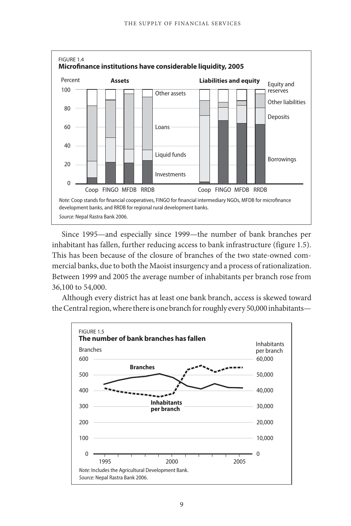

Since 1995—and especially since 1999—the number of bank branches per inhabitant has fallen, further reducing access to bank infrastructure (figure 1.5). This has been because of the closure of branches of the two state-owned commercial banks, due to both the Maoist insurgency and a process of rationalization. Between 1999 and 2005 the average number of inhabitants per branch rose from 36,100 to 54,000.

Although every district has at least one bank branch, access is skewed toward the Central region, where there is one branch for roughly every 50,000 inhabitants—

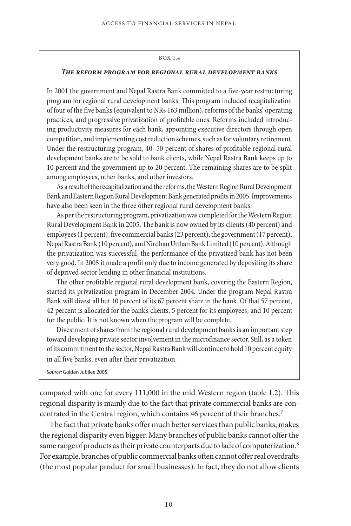#### BOX 1.4

#### *The reform program for regional rural development banks*

In 2001 the government and Nepal Rastra Bank committed to a five-year restructuring program for regional rural development banks. This program included recapitalization of four of the five banks (equivalent to NRs 163 million), reforms of the banks' operating practices, and progressive privatization of profitable ones. Reforms included introducing productivity measures for each bank, appointing executive directors through open competition, and implementing cost reduction schemes, such as for voluntary retirement. Under the restructuring program, 40–50 percent of shares of profitable regional rural development banks are to be sold to bank clients, while Nepal Rastra Bank keeps up to 10 percent and the government up to 20 percent. The remaining shares are to be split among employees, other banks, and other investors.

As a result of the recapitalization and the reforms, the Western Region Rural Development Bank and Eastern Region Rural Development Bank generated profits in 2005. Improvements have also been seen in the three other regional rural development banks.

As per the restructuring program, privatization was completed for the Western Region Rural Development Bank in 2005. The bank is now owned by its clients (40 percent) and employees (1 percent), five commercial banks (23 percent), the government (17 percent), Nepal Rastra Bank (10 percent), and Nirdhan Utthan Bank Limited (10 percent). Although the privatization was successful, the performance of the privatized bank has not been very good. In 2005 it made a profit only due to income generated by depositing its share of deprived sector lending in other financial institutions.

The other profitable regional rural development bank, covering the Eastern Region, started its privatization program in December 2004. Under the program Nepal Rastra Bank will divest all but 10 percent of its 67 percent share in the bank. Of that 57 percent, 42 percent is allocated for the bank's clients, 5 percent for its employees, and 10 percent for the public. It is not known when the program will be complete.

Divestment of shares from the regional rural development banks is an important step toward developing private sector involvement in the microfinance sector. Still, as a token of its commitment to the sector, Nepal Rastra Bank will continue to hold 10 percent equity in all five banks, even after their privatization.

Source: Golden Jubilee 2005.

compared with one for every 111,000 in the mid Western region (table 1.2). This regional disparity is mainly due to the fact that private commercial banks are concentrated in the Central region, which contains 46 percent of their branches.7

The fact that private banks offer much better services than public banks, makes the regional disparity even bigger. Many branches of public banks cannot offer the same range of products as their private counterparts due to lack of computerization.<sup>8</sup> For example, branches of public commercial banks often cannot offer real overdrafts (the most popular product for small businesses). In fact, they do not allow clients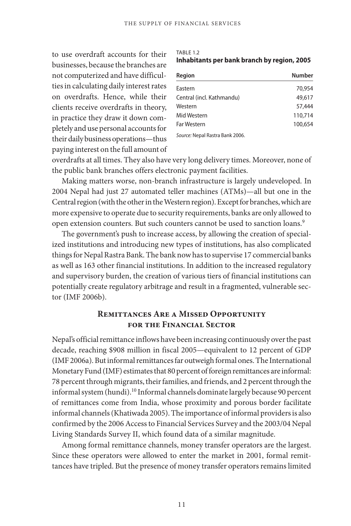<span id="page-28-0"></span>to use overdraft accounts for their businesses, because the branches are not computerized and have difficulties in calculating daily interest rates on overdrafts. Hence, while their clients receive overdrafts in theory, in practice they draw it down completely and use personal accounts for their daily business operations—thus paying interest on the full amount of TABLE 1.2

**Inhabitants per bank branch by region, 2005**

| Region                          | <b>Number</b> |
|---------------------------------|---------------|
| Eastern                         | 70,954        |
| Central (incl. Kathmandu)       | 49,617        |
| Western                         | 57,444        |
| Mid Western                     | 110,714       |
| Far Western                     | 100.654       |
| Source: Nepal Rastra Bank 2006. |               |

overdrafts at all times. They also have very long delivery times. Moreover, none of the public bank branches offers electronic payment facilities.

Making matters worse, non-branch infrastructure is largely undeveloped. In 2004 Nepal had just 27 automated teller machines (ATMs)—all but one in the Central region (with the other in the Western region). Except for branches, which are more expensive to operate due to security requirements, banks are only allowed to open extension counters. But such counters cannot be used to sanction loans.<sup>9</sup>

The government's push to increase access, by allowing the creation of specialized institutions and introducing new types of institutions, has also complicated things for Nepal Rastra Bank. The bank now has to supervise 17 commercial banks as well as 163 other financial institutions. In addition to the increased regulatory and supervisory burden, the creation of various tiers of financial institutions can potentially create regulatory arbitrage and result in a fragmented, vulnerable sector (IMF 2006b).

## **Remittances Are a Missed Opportunity for the Financial Sector**

Nepal's official remittance inflows have been increasing continuously over the past decade, reaching \$908 million in fiscal 2005—equivalent to 12 percent of GDP (IMF 2006a). But informal remittances far outweigh formal ones. The International Monetary Fund (IMF) estimates that 80 percent of foreign remittances are informal: 78 percent through migrants, their families, and friends, and 2 percent through the informal system (hundi).<sup>10</sup> Informal channels dominate largely because 90 percent of remittances come from India, whose proximity and porous border facilitate informal channels (Khatiwada 2005). The importance of informal providers is also confirmed by the 2006 Access to Financial Services Survey and the 2003/04 Nepal Living Standards Survey II, which found data of a similar magnitude.

Among formal remittance channels, money transfer operators are the largest. Since these operators were allowed to enter the market in 2001, formal remittances have tripled. But the presence of money transfer operators remains limited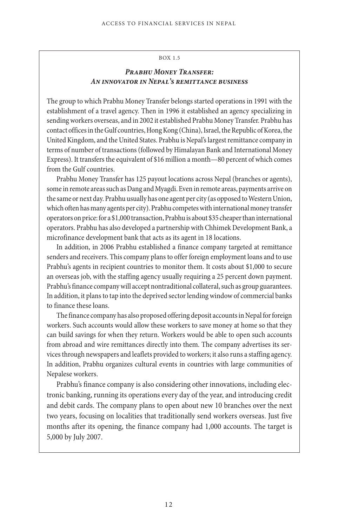#### BOX 1.5

## *Prabhu Money Transfer: An innovator in Nepal's remittance business*

The group to which Prabhu Money Transfer belongs started operations in 1991 with the establishment of a travel agency. Then in 1996 it established an agency specializing in sending workers overseas, and in 2002 it established Prabhu Money Transfer. Prabhu has contact offices in the Gulf countries, Hong Kong (China), Israel, the Republic of Korea, the United Kingdom, and the United States. Prabhu is Nepal's largest remittance company in terms of number of transactions (followed by Himalayan Bank and International Money Express). It transfers the equivalent of \$16 million a month—80 percent of which comes from the Gulf countries.

Prabhu Money Transfer has 125 payout locations across Nepal (branches or agents), some in remote areas such as Dang and Myagdi. Even in remote areas, payments arrive on the same or next day. Prabhu usually has one agent per city (as opposed to Western Union, which often has many agents per city). Prabhu competes with international money transfer operators on price: for a \$1,000 transaction, Prabhu is about \$35 cheaper than international operators. Prabhu has also developed a partnership with Chhimek Development Bank, a microfinance development bank that acts as its agent in 18 locations.

In addition, in 2006 Prabhu established a finance company targeted at remittance senders and receivers. This company plans to offer foreign employment loans and to use Prabhu's agents in recipient countries to monitor them. It costs about \$1,000 to secure an overseas job, with the staffing agency usually requiring a 25 percent down payment. Prabhu's finance company will accept nontraditional collateral, such as group guarantees. In addition, it plans to tap into the deprived sector lending window of commercial banks to finance these loans.

The finance company has also proposed offering deposit accounts in Nepal for foreign workers. Such accounts would allow these workers to save money at home so that they can build savings for when they return. Workers would be able to open such accounts from abroad and wire remittances directly into them. The company advertises its services through newspapers and leaflets provided to workers; it also runs a staffing agency. In addition, Prabhu organizes cultural events in countries with large communities of Nepalese workers.

Prabhu's finance company is also considering other innovations, including electronic banking, running its operations every day of the year, and introducing credit and debit cards. The company plans to open about new 10 branches over the next two years, focusing on localities that traditionally send workers overseas. Just five months after its opening, the finance company had 1,000 accounts. The target is 5,000 by July 2007.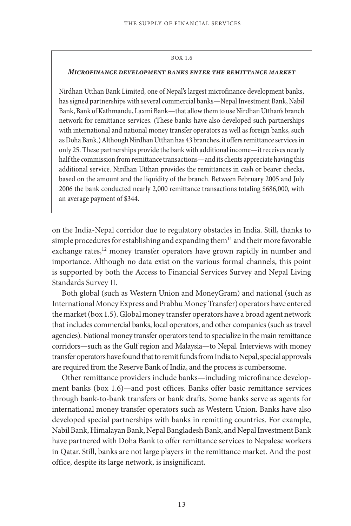#### BOX 1.6

#### *Microfinance development banks enter the remittance market*

Nirdhan Utthan Bank Limited, one of Nepal's largest microfinance development banks, has signed partnerships with several commercial banks—Nepal Investment Bank, Nabil Bank, Bank of Kathmandu, Laxmi Bank—that allow them to use Nirdhan Utthan's branch network for remittance services. (These banks have also developed such partnerships with international and national money transfer operators as well as foreign banks, such as Doha Bank.) Although Nirdhan Utthan has 43 branches, it offers remittance services in only 25. These partnerships provide the bank with additional income—it receives nearly half the commission from remittance transactions—and its clients appreciate having this additional service. Nirdhan Utthan provides the remittances in cash or bearer checks, based on the amount and the liquidity of the branch. Between February 2005 and July 2006 the bank conducted nearly 2,000 remittance transactions totaling \$686,000, with an average payment of \$344.

on the India-Nepal corridor due to regulatory obstacles in India. Still, thanks to simple procedures for establishing and expanding them<sup>11</sup> and their more favorable exchange rates,<sup>12</sup> money transfer operators have grown rapidly in number and importance. Although no data exist on the various formal channels, this point is supported by both the Access to Financial Services Survey and Nepal Living Standards Survey II.

Both global (such as Western Union and MoneyGram) and national (such as International Money Express and Prabhu Money Transfer) operators have entered the market (box 1.5). Global money transfer operators have a broad agent network that includes commercial banks, local operators, and other companies (such as travel agencies). National money transfer operators tend to specialize in the main remittance corridors—such as the Gulf region and Malaysia—to Nepal. Interviews with money transfer operators have found that to remit funds from India to Nepal, special approvals are required from the Reserve Bank of India, and the process is cumbersome.

Other remittance providers include banks—including microfinance development banks (box 1.6)—and post offices. Banks offer basic remittance services through bank-to-bank transfers or bank drafts. Some banks serve as agents for international money transfer operators such as Western Union. Banks have also developed special partnerships with banks in remitting countries. For example, Nabil Bank, Himalayan Bank, Nepal Bangladesh Bank, and Nepal Investment Bank have partnered with Doha Bank to offer remittance services to Nepalese workers in Qatar. Still, banks are not large players in the remittance market. And the post office, despite its large network, is insignificant.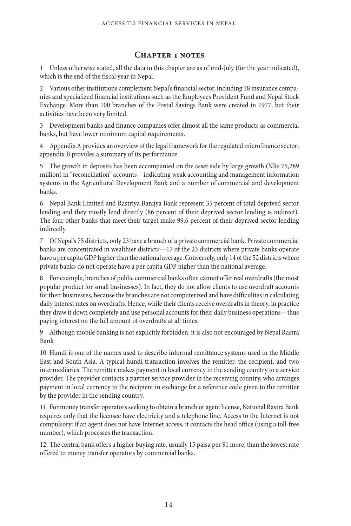### **Chapter 1 notes**

1 Unless otherwise stated, all the data in this chapter are as of mid-July (for the year indicated), which is the end of the fiscal year in Nepal.

2 Various other institutions complement Nepal's financial sector, including 18 insurance companies and specialized financial institutions such as the Employees Provident Fund and Nepal Stock Exchange. More than 100 branches of the Postal Savings Bank were created in 1977, but their activities have been very limited.

3 Development banks and finance companies offer almost all the same products as commercial banks, but have lower minimum capital requirements.

4 Appendix A provides an overview of the legal framework for the regulated microfinance sector; appendix B provides a summary of its performance.

5 The growth in deposits has been accompanied on the asset side by large growth (NRs 75,289 million) in "reconciliation" accounts—indicating weak accounting and management information systems in the Agricultural Development Bank and a number of commercial and development banks.

6 Nepal Bank Limited and Rastriya Banijya Bank represent 35 percent of total deprived sector lending and they mostly lend directly (86 percent of their deprived sector lending is indirect). The four other banks that meet their target make 99.6 percent of their deprived sector lending indirectly.

7 Of Nepal's 75 districts, only 23 have a branch of a private commercial bank. Private commercial banks are concentrated in wealthier districts—17 of the 23 districts where private banks operate have a per capita GDP higher than the national average. Conversely, only 14 of the 52 districts where private banks do not operate have a per capita GDP higher than the national average.

8 For example, branches of public commercial banks often cannot offer real overdrafts (the most popular product for small businesses). In fact, they do not allow clients to use overdraft accounts for their businesses, because the branches are not computerized and have difficulties in calculating daily interest rates on overdrafts. Hence, while their clients receive overdrafts in theory, in practice they draw it down completely and use personal accounts for their daily business operations—thus paying interest on the full amount of overdrafts at all times.

9 Although mobile banking is not explicitly forbidden, it is also not encouraged by Nepal Rastra Bank.

10 Hundi is one of the names used to describe informal remittance systems used in the Middle East and South Asia. A typical hundi transaction involves the remitter, the recipient, and two intermediaries. The remitter makes payment in local currency in the sending country to a service provider. The provider contacts a partner service provider in the receiving country, who arranges payment in local currency to the recipient in exchange for a reference code given to the remitter by the provider in the sending country.

11 For money transfer operators seeking to obtain a branch or agent license, National Rastra Bank requires only that the licensee have electricity and a telephone line. Access to the Internet is not compulsory: if an agent does not have Internet access, it contacts the head office (using a toll-free number), which processes the transaction.

12 The central bank offers a higher buying rate, usually 15 paisa per \$1 more, than the lowest rate offered to money transfer operators by commercial banks.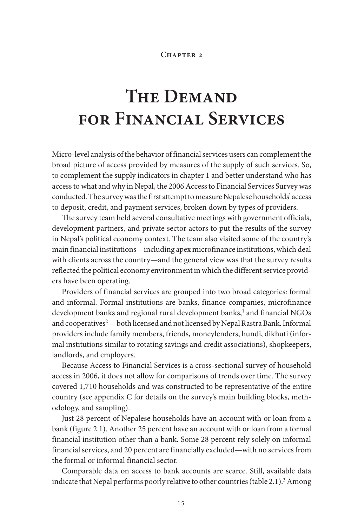### CHAPTER 2

## <span id="page-32-0"></span>**The Demand for Financial Services**

Micro-level analysis of the behavior of financial services users can complement the broad picture of access provided by measures of the supply of such services. So, to complement the supply indicators in chapter 1 and better understand who has access to what and why in Nepal, the 2006 Access to Financial Services Survey was conducted. The survey was the first attempt to measure Nepalese households' access to deposit, credit, and payment services, broken down by types of providers.

The survey team held several consultative meetings with government officials, development partners, and private sector actors to put the results of the survey in Nepal's political economy context. The team also visited some of the country's main financial institutions—including apex microfinance institutions, which deal with clients across the country—and the general view was that the survey results reflected the political economy environment in which the different service providers have been operating.

Providers of financial services are grouped into two broad categories: formal and informal. Formal institutions are banks, finance companies, microfinance development banks and regional rural development banks,<sup>1</sup> and financial NGOs and cooperatives<sup>2</sup> —both licensed and not licensed by Nepal Rastra Bank. Informal providers include family members, friends, moneylenders, hundi, dikhuti (informal institutions similar to rotating savings and credit associations), shopkeepers, landlords, and employers.

Because Access to Financial Services is a cross-sectional survey of household access in 2006, it does not allow for comparisons of trends over time. The survey covered 1,710 households and was constructed to be representative of the entire country (see appendix C for details on the survey's main building blocks, methodology, and sampling).

Just 28 percent of Nepalese households have an account with or loan from a bank (figure 2.1). Another 25 percent have an account with or loan from a formal financial institution other than a bank. Some 28 percent rely solely on informal financial services, and 20 percent are financially excluded—with no services from the formal or informal financial sector.

Comparable data on access to bank accounts are scarce. Still, available data indicate that Nepal performs poorly relative to other countries (table 2.1).<sup>3</sup> Among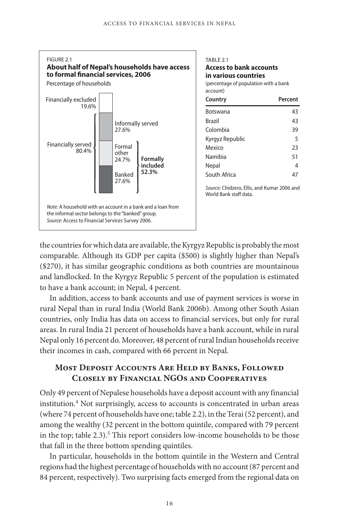<span id="page-33-0"></span>

| <b>Access to bank accounts</b><br>in various countries<br>(percentage of population with a bank<br>account) |         |
|-------------------------------------------------------------------------------------------------------------|---------|
| Country                                                                                                     | Percent |
| Botswana                                                                                                    | 43      |
| <b>Brazil</b>                                                                                               | 43      |
| Colombia                                                                                                    | 39      |
| Kyrgyz Republic                                                                                             | 5       |
| Mexico                                                                                                      | 23      |
| Namibia                                                                                                     | 51      |
| Nepal                                                                                                       | 4       |
| South Africa                                                                                                | 47      |
| Source: Chidzero, Ellis, and Kumar 2006 and<br>World Bank staff data.                                       |         |

the countries for which data are available, the Kyrgyz Republic is probably the most comparable. Although its GDP per capita (\$500) is slightly higher than Nepal's (\$270), it has similar geographic conditions as both countries are mountainous and landlocked. In the Kyrgyz Republic 5 percent of the population is estimated to have a bank account; in Nepal, 4 percent.

In addition, access to bank accounts and use of payment services is worse in rural Nepal than in rural India (World Bank 2006b). Among other South Asian countries, only India has data on access to financial services, but only for rural areas. In rural India 21 percent of households have a bank account, while in rural Nepal only 16 percent do. Moreover, 48 percent of rural Indian households receive their incomes in cash, compared with 66 percent in Nepal.

## **Most Deposit Accounts Are Held by Banks, Followed Closely by Financial NGOs and Cooperatives**

Only 49 percent of Nepalese households have a deposit account with any financial institution.4 Not surprisingly, access to accounts is concentrated in urban areas (where 74 percent of households have one; table 2.2), in the Terai (52 percent), and among the wealthy (32 percent in the bottom quintile, compared with 79 percent in the top; table 2.3).<sup>5</sup> This report considers low-income households to be those that fall in the three bottom spending quintiles.

In particular, households in the bottom quintile in the Western and Central regions had the highest percentage of households with no account (87 percent and 84 percent, respectively). Two surprising facts emerged from the regional data on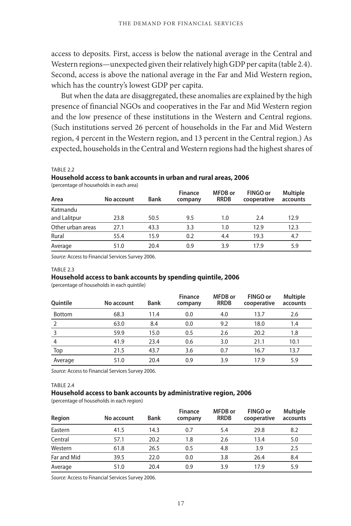access to deposits. First, access is below the national average in the Central and Western regions—unexpected given their relatively high GDP per capita (table 2.4). Second, access is above the national average in the Far and Mid Western region, which has the country's lowest GDP per capita.

But when the data are disaggregated, these anomalies are explained by the high presence of financial NGOs and cooperatives in the Far and Mid Western region and the low presence of these institutions in the Western and Central regions. (Such institutions served 26 percent of households in the Far and Mid Western region, 4 percent in the Western region, and 13 percent in the Central region.) As expected, households in the Central and Western regions had the highest shares of

#### TABLE 2.2

#### **Household access to bank accounts in urban and rural areas, 2006**

(percentage of households in each area)

| Area              | No account | <b>Bank</b> | <b>Finance</b><br>company | <b>MFDB</b> or<br><b>RRDB</b> | FINGO or<br>cooperative | Multiple<br>accounts |
|-------------------|------------|-------------|---------------------------|-------------------------------|-------------------------|----------------------|
| Katmandu          |            |             |                           |                               |                         |                      |
| and Lalitpur      | 23.8       | 50.5        | 9.5                       | 1.0                           | 2.4                     | 12.9                 |
| Other urban areas | 27.1       | 43.3        | 3.3                       | 1.0                           | 12.9                    | 12.3                 |
| Rural             | 55.4       | 15.9        | 0.2                       | 4.4                           | 19.3                    | 4.7                  |
| Average           | 51.0       | 20.4        | 0.9                       | 3.9                           | 17.9                    | 5.9                  |

Source: Access to Financial Services Survey 2006.

#### TABLE 2.3

#### **Household access to bank accounts by spending quintile, 2006**

(percentage of households in each quintile)

| Ouintile       | No account | <b>Bank</b> | <b>Finance</b><br>company | MFDB or<br><b>RRDB</b> | FINGO or<br>cooperative | Multiple<br>accounts |
|----------------|------------|-------------|---------------------------|------------------------|-------------------------|----------------------|
| <b>Bottom</b>  | 68.3       | 11.4        | 0.0                       | 4.0                    | 13.7                    | 2.6                  |
| $\overline{2}$ | 63.0       | 8.4         | 0.0                       | 9.2                    | 18.0                    | 1.4                  |
| $\overline{3}$ | 59.9       | 15.0        | 0.5                       | 2.6                    | 20.2                    | 1.8                  |
| $\overline{4}$ | 41.9       | 23.4        | 0.6                       | 3.0                    | 21.1                    | 10.1                 |
| Top            | 21.5       | 43.7        | 3.6                       | 0.7                    | 16.7                    | 13.7                 |
| Average        | 51.0       | 20.4        | 0.9                       | 3.9                    | 17.9                    | 5.9                  |

Source: Access to Financial Services Survey 2006.

#### TABLE 2.4

#### **Household access to bank accounts by administrative region, 2006**

(percentage of households in each region)

| Region      | No account | <b>Bank</b> | <b>Finance</b><br>company | <b>MFDB</b> or<br><b>RRDB</b> | FINGO or<br>cooperative | Multiple<br>accounts |
|-------------|------------|-------------|---------------------------|-------------------------------|-------------------------|----------------------|
| Eastern     | 41.5       | 14.3        | 0.7                       | 5.4                           | 29.8                    | 8.2                  |
| Central     | 57.1       | 20.2        | 1.8                       | 2.6                           | 13.4                    | 5.0                  |
| Western     | 61.8       | 26.5        | 0.5                       | 4.8                           | 3.9                     | 2.5                  |
| Far and Mid | 39.5       | 22.0        | 0.0                       | 3.8                           | 26.4                    | 8.4                  |
| Average     | 51.0       | 20.4        | 0.9                       | 3.9                           | 17.9                    | 5.9                  |

Source: Access to Financial Services Survey 2006.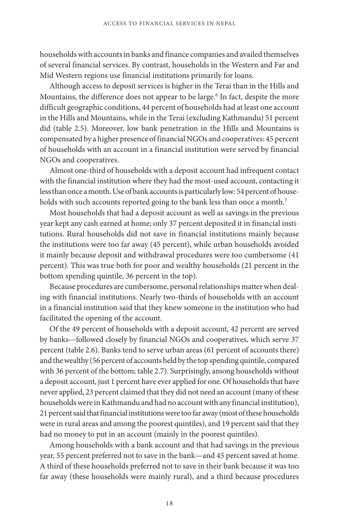households with accounts in banks and finance companies and availed themselves of several financial services. By contrast, households in the Western and Far and Mid Western regions use financial institutions primarily for loans.

Although access to deposit services is higher in the Terai than in the Hills and Mountains, the difference does not appear to be large.<sup>6</sup> In fact, despite the more difficult geographic conditions, 44 percent of households had at least one account in the Hills and Mountains, while in the Terai (excluding Kathmandu) 51 percent did (table 2.5). Moreover, low bank penetration in the Hills and Mountains is compensated by a higher presence of financial NGOs and cooperatives: 45 percent of households with an account in a financial institution were served by financial NGOs and cooperatives.

Almost one-third of households with a deposit account had infrequent contact with the financial institution where they had the most-used account, contacting it less than once a month. Use of bank accounts is particularly low: 54 percent of households with such accounts reported going to the bank less than once a month.<sup>7</sup>

Most households that had a deposit account as well as savings in the previous year kept any cash earned at home; only 37 percent deposited it in financial institutions. Rural households did not save in financial institutions mainly because the institutions were too far away (45 percent), while urban households avoided it mainly because deposit and withdrawal procedures were too cumbersome (41 percent). This was true both for poor and wealthy households (21 percent in the bottom spending quintile, 36 percent in the top).

Because procedures are cumbersome, personal relationships matter when dealing with financial institutions. Nearly two-thirds of households with an account in a financial institution said that they knew someone in the institution who had facilitated the opening of the account.

Of the 49 percent of households with a deposit account, 42 percent are served by banks—followed closely by financial NGOs and cooperatives, which serve 37 percent (table 2.6). Banks tend to serve urban areas (61 percent of accounts there) and the wealthy (56 percent of accounts held by the top spending quintile, compared with 36 percent of the bottom; table 2.7). Surprisingly, among households without a deposit account, just 1 percent have ever applied for one. Of households that have never applied, 23 percent claimed that they did not need an account (many of these households were in Kathmandu and had no account with any financial institution), 21 percent said that financial institutions were too far away (most of these households were in rural areas and among the poorest quintiles), and 19 percent said that they had no money to put in an account (mainly in the poorest quintiles).

Among households with a bank account and that had savings in the previous year, 55 percent preferred not to save in the bank—and 45 percent saved at home. A third of these households preferred not to save in their bank because it was too far away (these households were mainly rural), and a third because procedures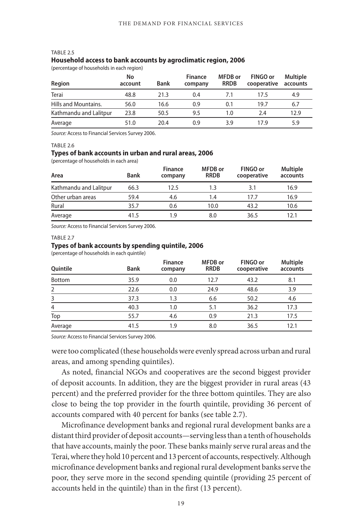#### TABLE 2.5

#### **Household access to bank accounts by agroclimatic region, 2006**

(percentage of households in each region)

| Region                 | No<br>account | <b>Bank</b> | <b>Finance</b><br>company | <b>MFDB</b> or<br><b>RRDB</b> | <b>FINGO or</b><br>cooperative | Multiple<br>accounts |
|------------------------|---------------|-------------|---------------------------|-------------------------------|--------------------------------|----------------------|
| Terai                  | 48.8          | 21.3        | 0.4                       |                               | 17.5                           | 4.9                  |
| Hills and Mountains.   | 56.0          | 16.6        | 0.9                       | 0.1                           | 19.7                           | 6.7                  |
| Kathmandu and Lalitpur | 23.8          | 50.5        | 9.5                       | 1.0                           | 2.4                            | 12.9                 |
| Average                | 51.0          | 20.4        | 0.9                       | 3.9                           | 17 9                           | 5.9                  |

Source: Access to Financial Services Survey 2006.

#### TABLE 2.6

#### **Types of bank accounts in urban and rural areas, 2006**

(percentage of households in each area)

| Area                   | <b>Bank</b> | <b>Finance</b><br>company | <b>MFDB</b> or<br><b>RRDB</b> | FINGO or<br>cooperative | <b>Multiple</b><br>accounts |
|------------------------|-------------|---------------------------|-------------------------------|-------------------------|-----------------------------|
| Kathmandu and Lalitpur | 66.3        | 12.5                      | 1.3                           | 3.1                     | 16.9                        |
| Other urban areas      | 59.4        | 4.6                       | 1.4                           | 17.7                    | 16.9                        |
| Rural                  | 35.7        | 0.6                       | 10.0                          | 43.2                    | 10.6                        |
| Average                | 41.5        | 1.9                       | 8.0                           | 36.5                    | 12.1                        |

Source: Access to Financial Services Survey 2006.

#### TABLE 2.7

#### **Types of bank accounts by spending quintile, 2006**

(percentage of households in each quintile)

| Quintile      | <b>Bank</b> | <b>Finance</b><br>company | <b>MFDB</b> or<br><b>RRDB</b> | FINGO or<br>cooperative | <b>Multiple</b><br>accounts |
|---------------|-------------|---------------------------|-------------------------------|-------------------------|-----------------------------|
| <b>Bottom</b> | 35.9        | 0.0                       | 12.7                          | 43.2                    | 8.1                         |
| 2             | 22.6        | 0.0                       | 24.9                          | 48.6                    | 3.9                         |
| 3             | 37.3        | 1.3                       | 6.6                           | 50.2                    | 4.6                         |
| 4             | 40.3        | 1.0                       | 5.1                           | 36.2                    | 17.3                        |
| Top           | 55.7        | 4.6                       | 0.9                           | 21.3                    | 17.5                        |
| Average       | 41.5        | 1.9                       | 8.0                           | 36.5                    | 12.1                        |

Source: Access to Financial Services Survey 2006.

were too complicated (these households were evenly spread across urban and rural areas, and among spending quintiles).

As noted, financial NGOs and cooperatives are the second biggest provider of deposit accounts. In addition, they are the biggest provider in rural areas (43 percent) and the preferred provider for the three bottom quintiles. They are also close to being the top provider in the fourth quintile, providing 36 percent of accounts compared with 40 percent for banks (see table 2.7).

Microfinance development banks and regional rural development banks are a distant third provider of deposit accounts—serving less than a tenth of households that have accounts, mainly the poor. These banks mainly serve rural areas and the Terai, where they hold 10 percent and 13 percent of accounts, respectively. Although microfinance development banks and regional rural development banks serve the poor, they serve more in the second spending quintile (providing 25 percent of accounts held in the quintile) than in the first (13 percent).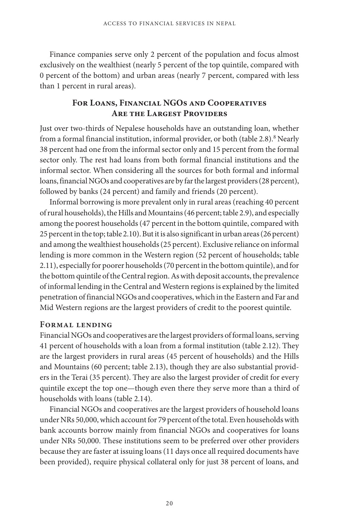Finance companies serve only 2 percent of the population and focus almost exclusively on the wealthiest (nearly 5 percent of the top quintile, compared with 0 percent of the bottom) and urban areas (nearly 7 percent, compared with less than 1 percent in rural areas).

# **For Loans, Financial NGOs and Cooperatives Are the Largest Providers**

Just over two-thirds of Nepalese households have an outstanding loan, whether from a formal financial institution, informal provider, or both (table 2.8).<sup>8</sup> Nearly 38 percent had one from the informal sector only and 15 percent from the formal sector only. The rest had loans from both formal financial institutions and the informal sector. When considering all the sources for both formal and informal loans, financial NGOs and cooperatives are by far the largest providers (28 percent), followed by banks (24 percent) and family and friends (20 percent).

Informal borrowing is more prevalent only in rural areas (reaching 40 percent of rural households), the Hills and Mountains (46 percent; table 2.9), and especially among the poorest households (47 percent in the bottom quintile, compared with 25 percent in the top; table 2.10). But it is also significant in urban areas (26 percent) and among the wealthiest households (25 percent). Exclusive reliance on informal lending is more common in the Western region (52 percent of households; table 2.11), especially for poorer households (70 percent in the bottom quintile), and for the bottom quintile of the Central region. As with deposit accounts, the prevalence of informal lending in the Central and Western regions is explained by the limited penetration of financial NGOs and cooperatives, which in the Eastern and Far and Mid Western regions are the largest providers of credit to the poorest quintile.

# **Formal lending**

Financial NGOs and cooperatives are the largest providers of formal loans, serving 41 percent of households with a loan from a formal institution (table 2.12). They are the largest providers in rural areas (45 percent of households) and the Hills and Mountains (60 percent; table 2.13), though they are also substantial providers in the Terai (35 percent). They are also the largest provider of credit for every quintile except the top one—though even there they serve more than a third of households with loans (table 2.14).

Financial NGOs and cooperatives are the largest providers of household loans under NRs 50,000, which account for 79 percent of the total. Even households with bank accounts borrow mainly from financial NGOs and cooperatives for loans under NRs 50,000. These institutions seem to be preferred over other providers because they are faster at issuing loans (11 days once all required documents have been provided), require physical collateral only for just 38 percent of loans, and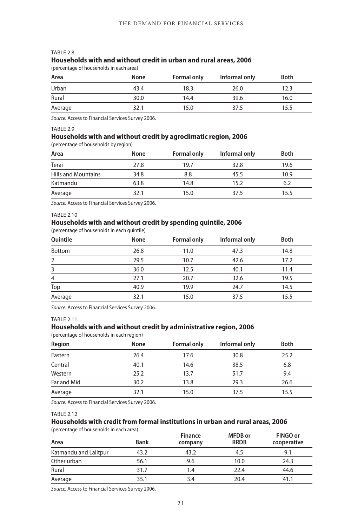#### TABLE 2.8

## **Households with and without credit in urban and rural areas, 2006**

(percentage of households in each area)

| Area    | None | <b>Formal only</b> | Informal only | Both |
|---------|------|--------------------|---------------|------|
| Urban   | 43.4 | 18.3               | 26.0          | 12.3 |
| Rural   | 30.0 | 14.4               | 39.6          | 16.0 |
| Average | 32.1 | 15.0               | 37.5          | 15.5 |

Source: Access to Financial Services Survey 2006.

#### TABLE 2.9

#### **Households with and without credit by agroclimatic region, 2006**

(percentage of households by region)

| Area                       | None | <b>Formal only</b> | Informal only | <b>Both</b> |
|----------------------------|------|--------------------|---------------|-------------|
| Terai                      | 27.8 | 19.7               | 32.8          | 19.6        |
| <b>Hills and Mountains</b> | 34.8 | 8.8                | 45.5          | 10.9        |
| Katmandu                   | 63.8 | 14.8               | 15.2          | 6.2         |
| Average                    | 32.1 | 15.0               | 37.5          | 15.5        |

Source: Access to Financial Services Survey 2006.

#### TABLE 2.10

#### **Households with and without credit by spending quintile, 2006**

(percentage of households in each quintile)

| Quintile       | None | <b>Formal only</b> | Informal only | <b>Both</b> |
|----------------|------|--------------------|---------------|-------------|
| <b>Bottom</b>  | 26.8 | 11.0               | 47.3          | 14.8        |
| $\overline{2}$ | 29.5 | 10.7               | 42.6          | 17.2        |
| 3              | 36.0 | 12.5               | 40.1          | 11.4        |
| 4              | 27.1 | 20.7               | 32.6          | 19.5        |
| Top            | 40.9 | 19.9               | 24.7          | 14.5        |
| Average        | 32.1 | 15.0               | 37.5          | 15.5        |

Source: Access to Financial Services Survey 2006.

#### TABLE 2.11

## **Households with and without credit by administrative region, 2006**

(percentage of households in each region)

| Region      | None | Formal only | Informal only | <b>Both</b> |
|-------------|------|-------------|---------------|-------------|
| Eastern     | 26.4 | 17.6        | 30.8          | 25.2        |
| Central     | 40.1 | 14.6        | 38.5          | 6.8         |
| Western     | 25.2 | 13.7        | 51.7          | 9.4         |
| Far and Mid | 30.2 | 13.8        | 29.3          | 26.6        |
| Average     | 32.1 | 15.0        | 37.5          | 15.5        |

Source: Access to Financial Services Survey 2006.

#### TABLE 2.12

## **Households with credit from formal institutions in urban and rural areas, 2006**

(percentage of households in each area)

| Area                  | <b>Bank</b> | <b>Finance</b><br>company | <b>MFDB</b> or<br><b>RRDB</b> | FINGO or<br>cooperative |
|-----------------------|-------------|---------------------------|-------------------------------|-------------------------|
| Katmandu and Lalitpur | 43.2        | 43.2                      | 4.5                           | 9.1                     |
| Other urban           | 56.1        | 9.6                       | 10.0                          | 24.3                    |
| Rural                 | 31.7        | 1.4                       | 22.4                          | 44.6                    |
| Average               | 35.1        | 3.4                       | 20.4                          | 41.1                    |

Source: Access to Financial Services Survey 2006.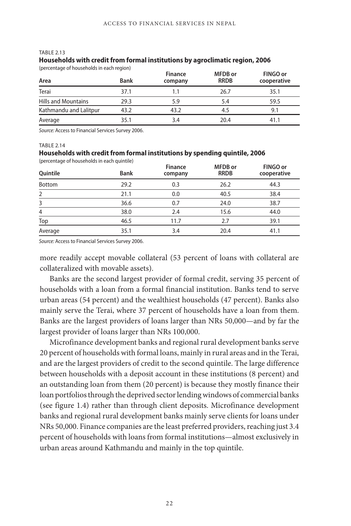#### TABLE 2.13

## **Households with credit from formal institutions by agroclimatic region, 2006**

(percentage of households in each region)

|                            |             | <b>Finance</b> | MFDB or     | FINGO or<br>cooperative |  |
|----------------------------|-------------|----------------|-------------|-------------------------|--|
| Area                       | <b>Bank</b> | company        | <b>RRDB</b> |                         |  |
| Terai                      | 37.1        | 1.1            | 26.7        | 35.1                    |  |
| <b>Hills and Mountains</b> | 29.3        | 5.9            | 5.4         | 59.5                    |  |
| Kathmandu and Lalitpur     | 43.2        | 43.2           | 4.5         | 9.1                     |  |
| Average                    | 35.1        | 3.4            | 20.4        | 41.1                    |  |

Source: Access to Financial Services Survey 2006.

#### TABLE 2.14

#### **Households with credit from formal institutions by spending quintile, 2006** (percentage of households in each quintile)

| percentage or nousenolds in each guintine, |             | <b>Finance</b> | <b>MFDB</b> or | FINGO or    |  |
|--------------------------------------------|-------------|----------------|----------------|-------------|--|
| <b>Ouintile</b>                            | <b>Bank</b> | company        | <b>RRDB</b>    | cooperative |  |
| <b>Bottom</b>                              | 29.2        | 0.3            | 26.2           | 44.3        |  |
| $\overline{2}$                             | 21.1        | 0.0            | 40.5           | 38.4        |  |
| 3                                          | 36.6        | 0.7            | 24.0           | 38.7        |  |
| 4                                          | 38.0        | 2.4            | 15.6           | 44.0        |  |
| Top                                        | 46.5        | 11.7           | 2.7            | 39.1        |  |
| Average                                    | 35.1        | 3.4            | 20.4           | 41.1        |  |

Source: Access to Financial Services Survey 2006.

more readily accept movable collateral (53 percent of loans with collateral are collateralized with movable assets).

Banks are the second largest provider of formal credit, serving 35 percent of households with a loan from a formal financial institution. Banks tend to serve urban areas (54 percent) and the wealthiest households (47 percent). Banks also mainly serve the Terai, where 37 percent of households have a loan from them. Banks are the largest providers of loans larger than NRs 50,000—and by far the largest provider of loans larger than NRs 100,000.

Microfinance development banks and regional rural development banks serve 20 percent of households with formal loans, mainly in rural areas and in the Terai, and are the largest providers of credit to the second quintile. The large difference between households with a deposit account in these institutions (8 percent) and an outstanding loan from them (20 percent) is because they mostly finance their loan portfolios through the deprived sector lending windows of commercial banks (see figure 1.4) rather than through client deposits. Microfinance development banks and regional rural development banks mainly serve clients for loans under NRs 50,000. Finance companies are the least preferred providers, reaching just 3.4 percent of households with loans from formal institutions—almost exclusively in urban areas around Kathmandu and mainly in the top quintile.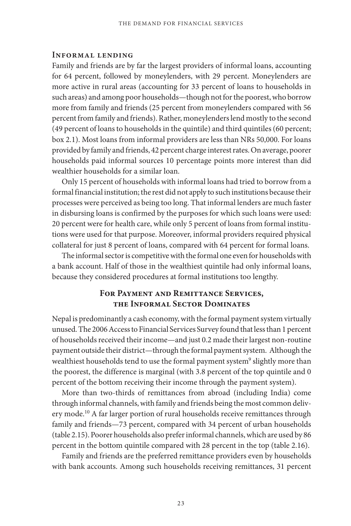## **Informal lending**

Family and friends are by far the largest providers of informal loans, accounting for 64 percent, followed by moneylenders, with 29 percent. Moneylenders are more active in rural areas (accounting for 33 percent of loans to households in such areas) and among poor households—though not for the poorest, who borrow more from family and friends (25 percent from moneylenders compared with 56 percent from family and friends). Rather, moneylenders lend mostly to the second (49 percent of loans to households in the quintile) and third quintiles (60 percent; box 2.1). Most loans from informal providers are less than NRs 50,000. For loans provided by family and friends, 42 percent charge interest rates. On average, poorer households paid informal sources 10 percentage points more interest than did wealthier households for a similar loan.

Only 15 percent of households with informal loans had tried to borrow from a formal financial institution; the rest did not apply to such institutions because their processes were perceived as being too long. That informal lenders are much faster in disbursing loans is confirmed by the purposes for which such loans were used: 20 percent were for health care, while only 5 percent of loans from formal institutions were used for that purpose. Moreover, informal providers required physical collateral for just 8 percent of loans, compared with 64 percent for formal loans.

The informal sector is competitive with the formal one even for households with a bank account. Half of those in the wealthiest quintile had only informal loans, because they considered procedures at formal institutions too lengthy.

# **For Payment and Remittance Services, the Informal Sector Dominates**

Nepal is predominantly a cash economy, with the formal payment system virtually unused. The 2006 Access to Financial Services Survey found that less than 1 percent of households received their income—and just 0.2 made their largest non-routine payment outside their district—through the formal payment system. Although the wealthiest households tend to use the formal payment system<sup>9</sup> slightly more than the poorest, the difference is marginal (with 3.8 percent of the top quintile and 0 percent of the bottom receiving their income through the payment system).

More than two-thirds of remittances from abroad (including India) come through informal channels, with family and friends being the most common delivery mode.<sup>10</sup> A far larger portion of rural households receive remittances through family and friends—73 percent, compared with 34 percent of urban households (table 2.15). Poorer households also prefer informal channels, which are used by 86 percent in the bottom quintile compared with 28 percent in the top (table 2.16).

Family and friends are the preferred remittance providers even by households with bank accounts. Among such households receiving remittances, 31 percent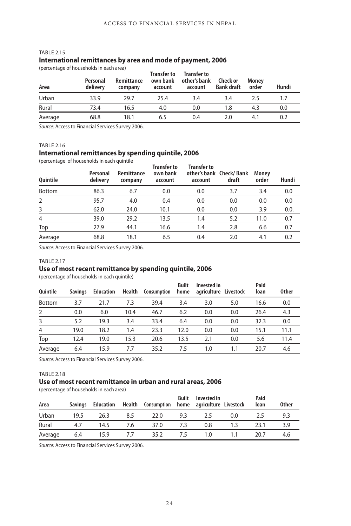#### TABLE 2.15 **International remittances by area and mode of payment, 2006**

(percentage of households in each area)

| Area    | Personal<br>delivery | Remittance<br>company | <b>Transfer to</b><br>own bank<br>account | <b>Transfer to</b><br>other's bank<br>account | <b>Check or</b><br><b>Bank draft</b> | Money<br>order | Hundi |
|---------|----------------------|-----------------------|-------------------------------------------|-----------------------------------------------|--------------------------------------|----------------|-------|
| Urban   | 33.9                 | 29.7                  | 25.4                                      | 3.4                                           | 3.4                                  | 2.5            | 1.7   |
| Rural   | 73.4                 | 16.5                  | 4.0                                       | 0.0                                           | 1.8                                  | 4.3            | 0.0   |
| Average | 68.8                 | 18.1                  | 6.5                                       | 0.4                                           | 2.0                                  | 4.1            | 0.2   |

Source: Access to Financial Services Survey 2006.

#### TABLE 2.16

#### **International remittances by spending quintile, 2006**

(percentage of households in each quintile

| <b>Ouintile</b> | Personal<br>delivery | Remittance<br>company | <b>Transfer to</b><br>own bank<br>account | <b>Transfer to</b><br>account | other's bank Check/Bank<br>draft | Monev<br>order | Hundi |
|-----------------|----------------------|-----------------------|-------------------------------------------|-------------------------------|----------------------------------|----------------|-------|
| <b>Bottom</b>   | 86.3                 | 6.7                   | 0.0                                       | 0.0                           | 3.7                              | 3.4            | 0.0   |
| 2               | 95.7                 | 4.0                   | 0.4                                       | 0.0                           | 0.0                              | 0.0            | 0.0   |
| 3               | 62.0                 | 24.0                  | 10.1                                      | 0.0                           | 0.0                              | 3.9            | 0.0.  |
| 4               | 39.0                 | 29.2                  | 13.5                                      | 1.4                           | 5.2                              | 11.0           | 0.7   |
| Top             | 27.9                 | 44.1                  | 16.6                                      | 1.4                           | 2.8                              | 6.6            | 0.7   |
| Average         | 68.8                 | 18.1                  | 6.5                                       | 0.4                           | 2.0                              | 4.1            | 0.2   |

Source: Access to Financial Services Survey 2006.

#### TABLE 2.17

#### **Use of most recent remittance by spending quintile, 2006**

(percentage of households in each quintile)

| <b>Ouintile</b> | Savings | <b>Education</b> | Health | Consumption | <b>Built</b><br>home | Invested in<br>agriculture Livestock |     | Paid<br>loan | <b>Other</b> |
|-----------------|---------|------------------|--------|-------------|----------------------|--------------------------------------|-----|--------------|--------------|
| <b>Bottom</b>   | 3.7     | 21.7             | 7.3    | 39.4        | 3.4                  | 3.0                                  | 5.0 | 16.6         | 0.0          |
| 2               | 0.0     | 6.0              | 10.4   | 46.7        | 6.2                  | 0.0                                  | 0.0 | 26.4         | 4.3          |
| 3               | 5.2     | 19.3             | 3.4    | 33.4        | 6.4                  | 0.0                                  | 0.0 | 32.3         | 0.0          |
| 4               | 19.0    | 18.2             | 1.4    | 23.3        | 12.0                 | 0.0                                  | 0.0 | 15.1         | 11.1         |
| Top             | 12.4    | 19.0             | 15.3   | 20.6        | 13.5                 | 2.1                                  | 0.0 | 5.6          | 11.4         |
| Average         | 6.4     | 15.9             | 7.7    | 35.2        | 7.5                  | 1.0                                  | 1.1 | 20.7         | 4.6          |

Source: Access to Financial Services Survey 2006.

#### TABLE 2.18

#### **Use of most recent remittance in urban and rural areas, 2006**

(percentage of households in each area)

| Area    | Savings | Education | Health | Consumption | Built | Invested in<br>home agriculture Livestock |     | Paid<br>loan | 0ther |
|---------|---------|-----------|--------|-------------|-------|-------------------------------------------|-----|--------------|-------|
| Urban   | 19.5    | 26.3      | 8.5    | 22.0        | 9.3   | 2.5                                       | 0.0 | 2.5          | 9.3   |
| Rural   | 4.7     | 14.5      | 7.6    | 37.0        | 7.3   | 0.8                                       |     | 23.1         | 3.9   |
| Average | 6.4     | 15.9      | 7.7    | 35.2        | 7.5   | 1.0                                       |     | 20.7         | 4.6   |

Source: Access to Financial Services Survey 2006.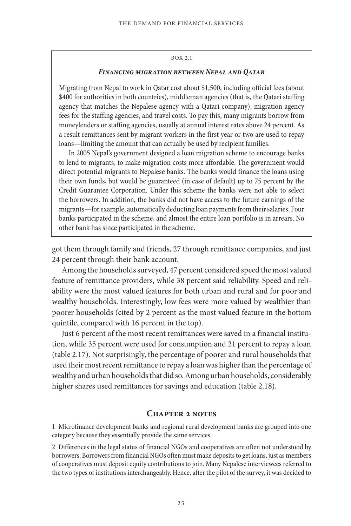#### BOX 2.1

#### *Financing migration between Nepal and Qatar*

Migrating from Nepal to work in Qatar cost about \$1,500, including official fees (about \$400 for authorities in both countries), middleman agencies (that is, the Qatari staffing agency that matches the Nepalese agency with a Qatari company), migration agency fees for the staffing agencies, and travel costs. To pay this, many migrants borrow from moneylenders or staffing agencies, usually at annual interest rates above 24 percent. As a result remittances sent by migrant workers in the first year or two are used to repay loans—limiting the amount that can actually be used by recipient families.

In 2005 Nepal's government designed a loan migration scheme to encourage banks to lend to migrants, to make migration costs more affordable. The government would direct potential migrants to Nepalese banks. The banks would finance the loans using their own funds, but would be guaranteed (in case of default) up to 75 percent by the Credit Guarantee Corporation. Under this scheme the banks were not able to select the borrowers. In addition, the banks did not have access to the future earnings of the migrants—for example, automatically deducting loan payments from their salaries. Four banks participated in the scheme, and almost the entire loan portfolio is in arrears. No other bank has since participated in the scheme.

got them through family and friends, 27 through remittance companies, and just 24 percent through their bank account.

Among the households surveyed, 47 percent considered speed the most valued feature of remittance providers, while 38 percent said reliability. Speed and reliability were the most valued features for both urban and rural and for poor and wealthy households. Interestingly, low fees were more valued by wealthier than poorer households (cited by 2 percent as the most valued feature in the bottom quintile, compared with 16 percent in the top).

Just 6 percent of the most recent remittances were saved in a financial institution, while 35 percent were used for consumption and 21 percent to repay a loan (table 2.17). Not surprisingly, the percentage of poorer and rural households that used their most recent remittance to repay a loan was higher than the percentage of wealthy and urban households that did so. Among urban households, considerably higher shares used remittances for savings and education (table 2.18).

## **Chapter 2 notes**

1 Microfinance development banks and regional rural development banks are grouped into one category because they essentially provide the same services.

2 Differences in the legal status of financial NGOs and cooperatives are often not understood by borrowers. Borrowers from financial NGOs often must make deposits to get loans, just as members of cooperatives must deposit equity contributions to join. Many Nepalese interviewees referred to the two types of institutions interchangeably. Hence, after the pilot of the survey, it was decided to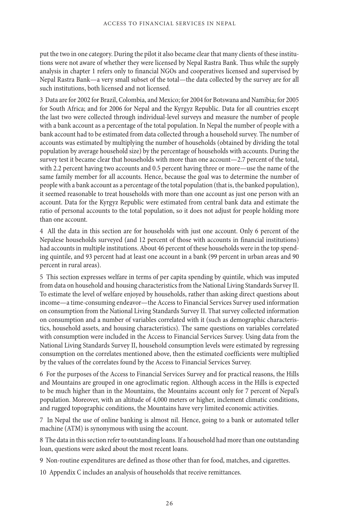put the two in one category. During the pilot it also became clear that many clients of these institutions were not aware of whether they were licensed by Nepal Rastra Bank. Thus while the supply analysis in chapter 1 refers only to financial NGOs and cooperatives licensed and supervised by Nepal Rastra Bank—a very small subset of the total—the data collected by the survey are for all such institutions, both licensed and not licensed.

3 Data are for 2002 for Brazil, Colombia, and Mexico; for 2004 for Botswana and Namibia; for 2005 for South Africa; and for 2006 for Nepal and the Kyrgyz Republic. Data for all countries except the last two were collected through individual-level surveys and measure the number of people with a bank account as a percentage of the total population. In Nepal the number of people with a bank account had to be estimated from data collected through a household survey. The number of accounts was estimated by multiplying the number of households (obtained by dividing the total population by average household size) by the percentage of households with accounts. During the survey test it became clear that households with more than one account—2.7 percent of the total, with 2.2 percent having two accounts and 0.5 percent having three or more—use the name of the same family member for all accounts. Hence, because the goal was to determine the number of people with a bank account as a percentage of the total population (that is, the banked population), it seemed reasonable to treat households with more than one account as just one person with an account. Data for the Kyrgyz Republic were estimated from central bank data and estimate the ratio of personal accounts to the total population, so it does not adjust for people holding more than one account.

4 All the data in this section are for households with just one account. Only 6 percent of the Nepalese households surveyed (and 12 percent of those with accounts in financial institutions) had accounts in multiple institutions. About 46 percent of these households were in the top spending quintile, and 93 percent had at least one account in a bank (99 percent in urban areas and 90 percent in rural areas).

5 This section expresses welfare in terms of per capita spending by quintile, which was imputed from data on household and housing characteristics from the National Living Standards Survey II. To estimate the level of welfare enjoyed by households, rather than asking direct questions about income—a time-consuming endeavor—the Access to Financial Services Survey used information on consumption from the National Living Standards Survey II. That survey collected information on consumption and a number of variables correlated with it (such as demographic characteristics, household assets, and housing characteristics). The same questions on variables correlated with consumption were included in the Access to Financial Services Survey. Using data from the National Living Standards Survey II, household consumption levels were estimated by regressing consumption on the correlates mentioned above, then the estimated coefficients were multiplied by the values of the correlates found by the Access to Financial Services Survey.

6 For the purposes of the Access to Financial Services Survey and for practical reasons, the Hills and Mountains are grouped in one agroclimatic region. Although access in the Hills is expected to be much higher than in the Mountains, the Mountains account only for 7 percent of Nepal's population. Moreover, with an altitude of 4,000 meters or higher, inclement climatic conditions, and rugged topographic conditions, the Mountains have very limited economic activities.

7 In Nepal the use of online banking is almost nil. Hence, going to a bank or automated teller machine (ATM) is synonymous with using the account.

8 The data in this section refer to outstanding loans. If a household had more than one outstanding loan, questions were asked about the most recent loans.

9 Non-routine expenditures are defined as those other than for food, matches, and cigarettes.

10 Appendix C includes an analysis of households that receive remittances.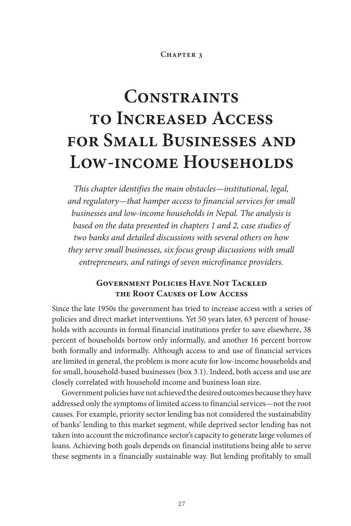## CHAPTER 3

# **Constraints to Increased Access for Small Businesses and Low-income Households**

*This chapter identifies the main obstacles—institutional, legal, and regulatory—that hamper access to financial services for small businesses and low-income households in Nepal. The analysis is based on the data presented in chapters 1 and 2, case studies of two banks and detailed discussions with several others on how they serve small businesses, six focus group discussions with small entrepreneurs, and ratings of seven microfinance providers.*

# **Government Policies Have Not Tackled the Root Causes of Low Access**

Since the late 1950s the government has tried to increase access with a series of policies and direct market interventions*.* Yet 50 years later, 63 percent of households with accounts in formal financial institutions prefer to save elsewhere, 38 percent of households borrow only informally, and another 16 percent borrow both formally and informally. Although access to and use of financial services are limited in general, the problem is more acute for low-income households and for small, household-based businesses (box 3.1). Indeed, both access and use are closely correlated with household income and business loan size.

Government policies have not achieved the desired outcomes because they have addressed only the symptoms of limited access to financial services—not the root causes. For example, priority sector lending has not considered the sustainability of banks' lending to this market segment, while deprived sector lending has not taken into account the microfinance sector's capacity to generate large volumes of loans. Achieving both goals depends on financial institutions being able to serve these segments in a financially sustainable way. But lending profitably to small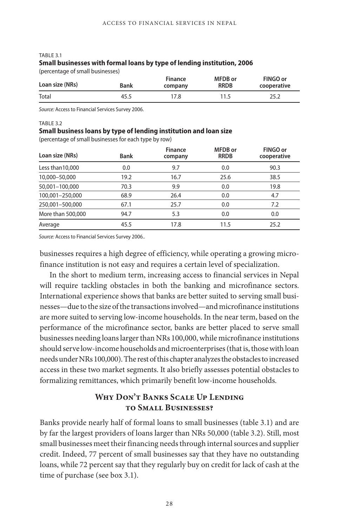#### TABLE 3.1 **Small businesses with formal loans by type of lending institution, 2006** (percentage of small businesses)

| Loan size (NRs) | Bank | <b>Finance</b><br>company | MFDB or<br><b>RRDB</b> | FINGO or<br>cooperative |
|-----------------|------|---------------------------|------------------------|-------------------------|
| Total           | 45.5 | 17.8                      | 11.5                   | 25.2                    |

Source: Access to Financial Services Survey 2006.

#### TABLE 3.2

#### **Small business loans by type of lending institution and loan size**

(percentage of small businesses for each type by row)

| Loan size (NRs)   | <b>Bank</b> | <b>Finance</b><br>company | <b>MFDB</b> or<br><b>RRDB</b> | FINGO or<br>cooperative |
|-------------------|-------------|---------------------------|-------------------------------|-------------------------|
| Less than 10,000  | 0.0         | 9.7                       | 0.0                           | 90.3                    |
| 10,000-50,000     | 19.2        | 16.7                      | 25.6                          | 38.5                    |
| 50,001-100,000    | 70.3        | 9.9                       | 0.0                           | 19.8                    |
| 100,001-250,000   | 68.9        | 26.4                      | 0.0                           | 4.7                     |
| 250,001-500,000   | 67.1        | 25.7                      | 0.0                           | 7.2                     |
| More than 500,000 | 94.7        | 5.3                       | 0.0                           | 0.0                     |
| Average           | 45.5        | 17.8                      | 11.5                          | 25.2                    |

Source: Access to Financial Services Survey 2006..

businesses requires a high degree of efficiency, while operating a growing microfinance institution is not easy and requires a certain level of specialization.

In the short to medium term, increasing access to financial services in Nepal will require tackling obstacles in both the banking and microfinance sectors. International experience shows that banks are better suited to serving small businesses—due to the size of the transactions involved—and microfinance institutions are more suited to serving low-income households. In the near term, based on the performance of the microfinance sector, banks are better placed to serve small businesses needing loans larger than NRs 100,000, while microfinance institutions should serve low-income households and microenterprises (that is, those with loan needs under NRs 100,000). The rest of this chapter analyzes the obstacles to increased access in these two market segments. It also briefly assesses potential obstacles to formalizing remittances, which primarily benefit low-income households.

# **Why Don't Banks Scale Up Lending to Small Businesses?**

Banks provide nearly half of formal loans to small businesses (table 3.1) and are by far the largest providers of loans larger than NRs 50,000 (table 3.2). Still, most small businesses meet their financing needs through internal sources and supplier credit. Indeed, 77 percent of small businesses say that they have no outstanding loans, while 72 percent say that they regularly buy on credit for lack of cash at the time of purchase (see box 3.1).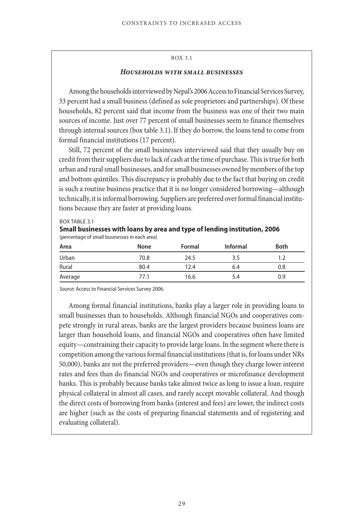#### BOX 3.1

#### *Households with small businesses*

Among the households interviewed by Nepal's 2006 Access to Financial Services Survey, 33 percent had a small business (defined as sole proprietors and partnerships). Of these households, 82 percent said that income from the business was one of their two main sources of income. Just over 77 percent of small businesses seem to finance themselves through internal sources (box table 3.1). If they do borrow, the loans tend to come from formal financial institutions (17 percent).

Still, 72 percent of the small businesses interviewed said that they usually buy on credit from their suppliers due to lack of cash at the time of purchase. This is true for both urban and rural small businesses, and for small businesses owned by members of the top and bottom quintiles. This discrepancy is probably due to the fact that buying on credit is such a routine business practice that it is no longer considered borrowing—although technically, it is informal borrowing. Suppliers are preferred over formal financial institutions because they are faster at providing loans.

BOX TABLE 3.1

**Small businesses with loans by area and type of lending institution, 2006** (percentage of small businesses in each area)

| Area    | None | Formal | <b>Informal</b> | <b>Both</b> |
|---------|------|--------|-----------------|-------------|
| Urban   | 70.8 | 24.5   | 3.5             |             |
| Rural   | 80.4 | 12.4   | 6.4             | 0.8         |
| Average | 77.1 | 16.6   | 5.4             | 0.9         |

Source: Access to Financial Services Survey 2006.

Among formal financial institutions, banks play a larger role in providing loans to small businesses than to households. Although financial NGOs and cooperatives compete strongly in rural areas, banks are the largest providers because business loans are larger than household loans, and financial NGOs and cooperatives often have limited equity—constraining their capacity to provide large loans. In the segment where there is competition among the various formal financial institutions (that is, for loans under NRs 50,000), banks are not the preferred providers—even though they charge lower interest rates and fees than do financial NGOs and cooperatives or microfinance development banks. This is probably because banks take almost twice as long to issue a loan, require physical collateral in almost all cases, and rarely accept movable collateral. And though the direct costs of borrowing from banks (interest and fees) are lower, the indirect costs are higher (such as the costs of preparing financial statements and of registering and evaluating collateral).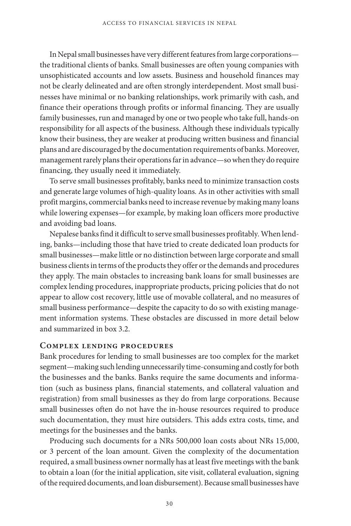In Nepal small businesses have very different features from large corporations the traditional clients of banks*.* Small businesses are often young companies with unsophisticated accounts and low assets. Business and household finances may not be clearly delineated and are often strongly interdependent. Most small businesses have minimal or no banking relationships, work primarily with cash, and finance their operations through profits or informal financing. They are usually family businesses, run and managed by one or two people who take full, hands-on responsibility for all aspects of the business. Although these individuals typically know their business, they are weaker at producing written business and financial plans and are discouraged by the documentation requirements of banks. Moreover, management rarely plans their operations far in advance—so when they do require financing, they usually need it immediately.

To serve small businesses profitably, banks need to minimize transaction costs and generate large volumes of high-quality loans*.* As in other activities with small profit margins, commercial banks need to increase revenue by making many loans while lowering expenses—for example, by making loan officers more productive and avoiding bad loans.

Nepalese banks find it difficult to serve small businesses profitably*.* When lending, banks—including those that have tried to create dedicated loan products for small businesses—make little or no distinction between large corporate and small business clients in terms of the products they offer or the demands and procedures they apply. The main obstacles to increasing bank loans for small businesses are complex lending procedures, inappropriate products, pricing policies that do not appear to allow cost recovery, little use of movable collateral, and no measures of small business performance—despite the capacity to do so with existing management information systems. These obstacles are discussed in more detail below and summarized in box 3.2.

## **Complex lending procedures**

Bank procedures for lending to small businesses are too complex for the market segment—making such lending unnecessarily time-consuming and costly for both the businesses and the banks. Banks require the same documents and information (such as business plans, financial statements, and collateral valuation and registration) from small businesses as they do from large corporations. Because small businesses often do not have the in-house resources required to produce such documentation, they must hire outsiders. This adds extra costs, time, and meetings for the businesses and the banks.

Producing such documents for a NRs 500,000 loan costs about NRs 15,000, or 3 percent of the loan amount. Given the complexity of the documentation required, a small business owner normally has at least five meetings with the bank to obtain a loan (for the initial application, site visit, collateral evaluation, signing of the required documents, and loan disbursement). Because small businesses have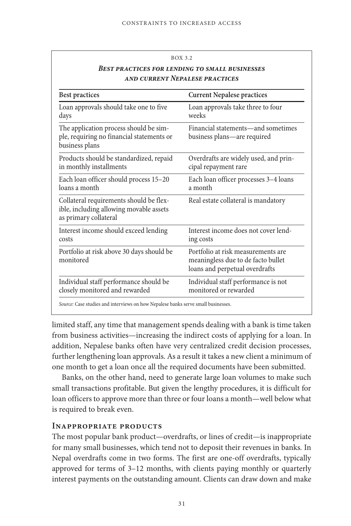| <b>BOX 3.2</b>                                                                                              |                                                                                                            |  |  |  |  |
|-------------------------------------------------------------------------------------------------------------|------------------------------------------------------------------------------------------------------------|--|--|--|--|
| <b>BEST PRACTICES FOR LENDING TO SMALL BUSINESSES</b><br>AND CURRENT NEPALESE PRACTICES                     |                                                                                                            |  |  |  |  |
| <b>Best practices</b>                                                                                       | <b>Current Nepalese practices</b>                                                                          |  |  |  |  |
| Loan approvals should take one to five<br>days                                                              | Loan approvals take three to four<br>weeks                                                                 |  |  |  |  |
| The application process should be sim-<br>ple, requiring no financial statements or<br>business plans       | Financial statements—and sometimes<br>business plans—are required                                          |  |  |  |  |
| Products should be standardized, repaid<br>in monthly installments                                          | Overdrafts are widely used, and prin-<br>cipal repayment rare                                              |  |  |  |  |
| Each loan officer should process 15-20<br>loans a month                                                     | Each loan officer processes 3-4 loans<br>a month                                                           |  |  |  |  |
| Collateral requirements should be flex-<br>ible, including allowing movable assets<br>as primary collateral | Real estate collateral is mandatory                                                                        |  |  |  |  |
| Interest income should exceed lending<br>costs                                                              | Interest income does not cover lend-<br>ing costs                                                          |  |  |  |  |
| Portfolio at risk above 30 days should be<br>monitored                                                      | Portfolio at risk measurements are<br>meaningless due to de facto bullet<br>loans and perpetual overdrafts |  |  |  |  |
| Individual staff performance should be<br>closely monitored and rewarded                                    | Individual staff performance is not<br>monitored or rewarded                                               |  |  |  |  |

*Source:* Case studies and interviews on how Nepalese banks serve small businesses.

limited staff, any time that management spends dealing with a bank is time taken from business activities—increasing the indirect costs of applying for a loan. In addition, Nepalese banks often have very centralized credit decision processes, further lengthening loan approvals. As a result it takes a new client a minimum of one month to get a loan once all the required documents have been submitted.

Banks, on the other hand, need to generate large loan volumes to make such small transactions profitable. But given the lengthy procedures, it is difficult for loan officers to approve more than three or four loans a month—well below what is required to break even.

## **Inappropriate products**

The most popular bank product—overdrafts, or lines of credit—is inappropriate for many small businesses, which tend not to deposit their revenues in banks*.* In Nepal overdrafts come in two forms. The first are one-off overdrafts, typically approved for terms of 3–12 months, with clients paying monthly or quarterly interest payments on the outstanding amount. Clients can draw down and make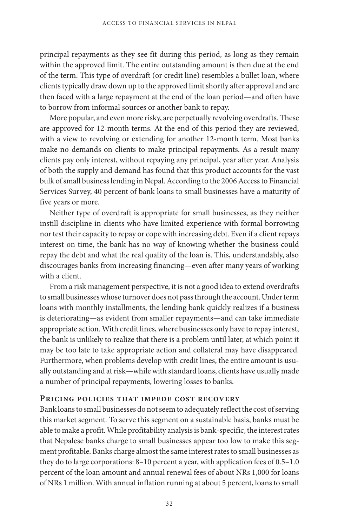principal repayments as they see fit during this period, as long as they remain within the approved limit. The entire outstanding amount is then due at the end of the term. This type of overdraft (or credit line) resembles a bullet loan, where clients typically draw down up to the approved limit shortly after approval and are then faced with a large repayment at the end of the loan period—and often have to borrow from informal sources or another bank to repay.

More popular, and even more risky, are perpetually revolving overdrafts. These are approved for 12-month terms. At the end of this period they are reviewed, with a view to revolving or extending for another 12-month term. Most banks make no demands on clients to make principal repayments. As a result many clients pay only interest, without repaying any principal, year after year. Analysis of both the supply and demand has found that this product accounts for the vast bulk of small business lending in Nepal. According to the 2006 Access to Financial Services Survey, 40 percent of bank loans to small businesses have a maturity of five years or more.

Neither type of overdraft is appropriate for small businesses, as they neither instill discipline in clients who have limited experience with formal borrowing nor test their capacity to repay or cope with increasing debt. Even if a client repays interest on time, the bank has no way of knowing whether the business could repay the debt and what the real quality of the loan is. This, understandably, also discourages banks from increasing financing—even after many years of working with a client.

From a risk management perspective, it is not a good idea to extend overdrafts to small businesses whose turnover does not pass through the account. Under term loans with monthly installments, the lending bank quickly realizes if a business is deteriorating—as evident from smaller repayments—and can take immediate appropriate action. With credit lines, where businesses only have to repay interest, the bank is unlikely to realize that there is a problem until later, at which point it may be too late to take appropriate action and collateral may have disappeared. Furthermore, when problems develop with credit lines, the entire amount is usually outstanding and at risk—while with standard loans, clients have usually made a number of principal repayments, lowering losses to banks.

## **Pricing policies that impede cost recovery**

Bank loans to small businesses do not seem to adequately reflect the cost of serving this market segment*.* To serve this segment on a sustainable basis, banks must be able to make a profit. While profitability analysis is bank-specific, the interest rates that Nepalese banks charge to small businesses appear too low to make this segment profitable. Banks charge almost the same interest rates to small businesses as they do to large corporations: 8–10 percent a year, with application fees of 0.5–1.0 percent of the loan amount and annual renewal fees of about NRs 1,000 for loans of NRs 1 million. With annual inflation running at about 5 percent, loans to small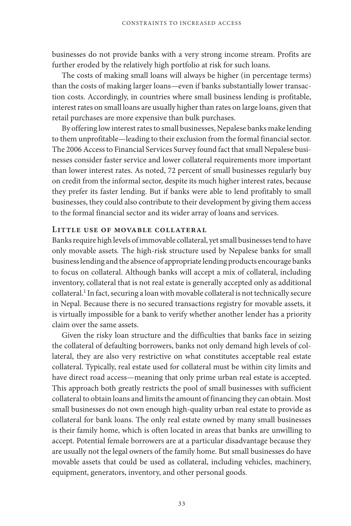businesses do not provide banks with a very strong income stream. Profits are further eroded by the relatively high portfolio at risk for such loans.

The costs of making small loans will always be higher (in percentage terms) than the costs of making larger loans—even if banks substantially lower transaction costs. Accordingly, in countries where small business lending is profitable, interest rates on small loans are usually higher than rates on large loans, given that retail purchases are more expensive than bulk purchases.

By offering low interest rates to small businesses, Nepalese banks make lending to them unprofitable—leading to their exclusion from the formal financial sector. The 2006 Access to Financial Services Survey found fact that small Nepalese businesses consider faster service and lower collateral requirements more important than lower interest rates. As noted, 72 percent of small businesses regularly buy on credit from the informal sector, despite its much higher interest rates, because they prefer its faster lending. But if banks were able to lend profitably to small businesses, they could also contribute to their development by giving them access to the formal financial sector and its wider array of loans and services.

## **Little use of movable collateral**

Banks require high levels of immovable collateral, yet small businesses tend to have only movable assets*.* The high-risk structure used by Nepalese banks for small business lending and the absence of appropriate lending products encourage banks to focus on collateral. Although banks will accept a mix of collateral, including inventory, collateral that is not real estate is generally accepted only as additional collateral.<sup>1</sup> In fact, securing a loan with movable collateral is not technically secure in Nepal. Because there is no secured transactions registry for movable assets, it is virtually impossible for a bank to verify whether another lender has a priority claim over the same assets.

Given the risky loan structure and the difficulties that banks face in seizing the collateral of defaulting borrowers, banks not only demand high levels of collateral, they are also very restrictive on what constitutes acceptable real estate collateral. Typically, real estate used for collateral must be within city limits and have direct road access—meaning that only prime urban real estate is accepted. This approach both greatly restricts the pool of small businesses with sufficient collateral to obtain loans and limits the amount of financing they can obtain. Most small businesses do not own enough high-quality urban real estate to provide as collateral for bank loans. The only real estate owned by many small businesses is their family home, which is often located in areas that banks are unwilling to accept. Potential female borrowers are at a particular disadvantage because they are usually not the legal owners of the family home. But small businesses do have movable assets that could be used as collateral, including vehicles, machinery, equipment, generators, inventory, and other personal goods.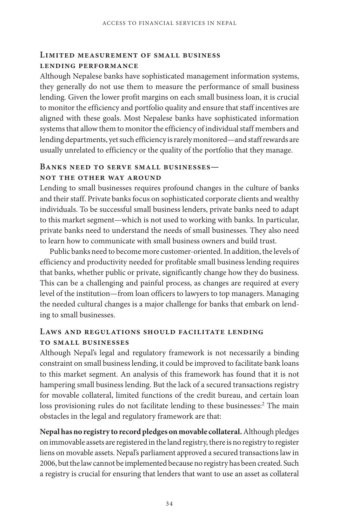# **Limited measurement of small business lending performance**

Although Nepalese banks have sophisticated management information systems, they generally do not use them to measure the performance of small business lending*.* Given the lower profit margins on each small business loan, it is crucial to monitor the efficiency and portfolio quality and ensure that staff incentives are aligned with these goals. Most Nepalese banks have sophisticated information systems that allow them to monitor the efficiency of individual staff members and lending departments, yet such efficiency is rarely monitored—and staff rewards are usually unrelated to efficiency or the quality of the portfolio that they manage.

## **Banks need to serve small businesses—**

## **not the other way around**

Lending to small businesses requires profound changes in the culture of banks and their staff. Private banks focus on sophisticated corporate clients and wealthy individuals. To be successful small business lenders, private banks need to adapt to this market segment—which is not used to working with banks. In particular, private banks need to understand the needs of small businesses. They also need to learn how to communicate with small business owners and build trust.

Public banks need to become more customer-oriented. In addition, the levels of efficiency and productivity needed for profitable small business lending requires that banks, whether public or private, significantly change how they do business. This can be a challenging and painful process, as changes are required at every level of the institution—from loan officers to lawyers to top managers. Managing the needed cultural changes is a major challenge for banks that embark on lending to small businesses.

# **Laws and regulations should facilitate lending to small businesses**

Although Nepal's legal and regulatory framework is not necessarily a binding constraint on small business lending, it could be improved to facilitate bank loans to this market segment. An analysis of this framework has found that it is not hampering small business lending. But the lack of a secured transactions registry for movable collateral, limited functions of the credit bureau, and certain loan loss provisioning rules do not facilitate lending to these businesses:<sup>2</sup> The main obstacles in the legal and regulatory framework are that:

**Nepal has no registry to record pledges on movable collateral.**Although pledges on immovable assets are registered in the land registry, there is no registry to register liens on movable assets. Nepal's parliament approved a secured transactions law in 2006, but the law cannot be implemented because no registry has been created. Such a registry is crucial for ensuring that lenders that want to use an asset as collateral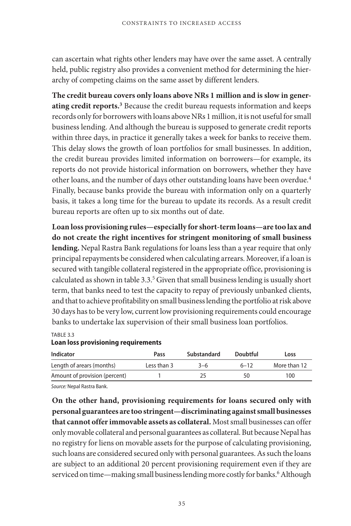can ascertain what rights other lenders may have over the same asset. A centrally held, public registry also provides a convenient method for determining the hierarchy of competing claims on the same asset by different lenders.

**The credit bureau covers only loans above NRs 1 million and is slow in generating credit reports.3** Because the credit bureau requests information and keeps records only for borrowers with loans above NRs 1 million, it is not useful for small business lending. And although the bureau is supposed to generate credit reports within three days, in practice it generally takes a week for banks to receive them. This delay slows the growth of loan portfolios for small businesses. In addition, the credit bureau provides limited information on borrowers—for example, its reports do not provide historical information on borrowers, whether they have other loans, and the number of days other outstanding loans have been overdue.<sup>4</sup> Finally, because banks provide the bureau with information only on a quarterly basis, it takes a long time for the bureau to update its records. As a result credit bureau reports are often up to six months out of date.

**Loan loss provisioning rules—especially for short-term loans—are too lax and do not create the right incentives for stringent monitoring of small business lending.** Nepal Rastra Bank regulations for loans less than a year require that only principal repayments be considered when calculating arrears. Moreover, if a loan is secured with tangible collateral registered in the appropriate office, provisioning is calculated as shown in table 3.3.<sup>5</sup> Given that small business lending is usually short term, that banks need to test the capacity to repay of previously unbanked clients, and that to achieve profitability on small business lending the portfolio at risk above 30 days has to be very low, current low provisioning requirements could encourage banks to undertake lax supervision of their small business loan portfolios.

## TARI F 3.3 **Loan loss provisioning requirements**

| Indicator                     | Pass        | Substandard | Doubtful | Loss         |
|-------------------------------|-------------|-------------|----------|--------------|
| Length of arears (months)     | Less than 3 | $3-6$       | $6 - 12$ | More than 12 |
| Amount of provision (percent) |             |             | 50       | 100          |

Source: Nepal Rastra Bank.

**On the other hand, provisioning requirements for loans secured only with personal guarantees are too stringent—discriminating against small businesses that cannot offer immovable assets as collateral.** Most small businesses can offer only movable collateral and personal guarantees as collateral. But because Nepal has no registry for liens on movable assets for the purpose of calculating provisioning, such loans are considered secured only with personal guarantees. As such the loans are subject to an additional 20 percent provisioning requirement even if they are serviced on time—making small business lending more costly for banks.<sup>6</sup> Although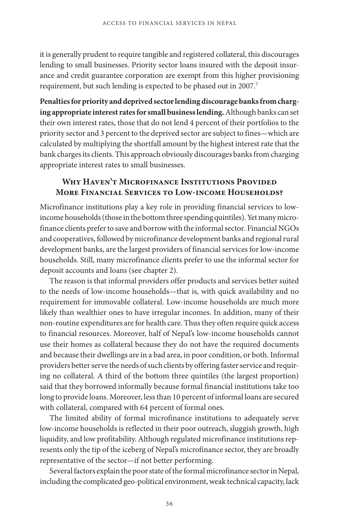it is generally prudent to require tangible and registered collateral, this discourages lending to small businesses. Priority sector loans insured with the deposit insurance and credit guarantee corporation are exempt from this higher provisioning requirement, but such lending is expected to be phased out in 2007.<sup>7</sup>

**Penalties for priority and deprived sector lending discourage banks from charging appropriate interest rates for small business lending.** Although banks can set their own interest rates, those that do not lend 4 percent of their portfolios to the priority sector and 3 percent to the deprived sector are subject to fines—which are calculated by multiplying the shortfall amount by the highest interest rate that the bank charges its clients. This approach obviously discourages banks from charging appropriate interest rates to small businesses.

# **Why Haven't Microfinance Institutions Provided More Financial Services to Low-income Households?**

Microfinance institutions play a key role in providing financial services to lowincome households (those in the bottom three spending quintiles). Yet many microfinance clients prefer to save and borrow with the informal sector*.* Financial NGOs and cooperatives, followed by microfinance development banks and regional rural development banks, are the largest providers of financial services for low-income households. Still, many microfinance clients prefer to use the informal sector for deposit accounts and loans (see chapter 2).

The reason is that informal providers offer products and services better suited to the needs of low-income households—that is, with quick availability and no requirement for immovable collateral*.* Low-income households are much more likely than wealthier ones to have irregular incomes. In addition, many of their non-routine expenditures are for health care. Thus they often require quick access to financial resources. Moreover, half of Nepal's low-income households cannot use their homes as collateral because they do not have the required documents and because their dwellings are in a bad area, in poor condition, or both. Informal providers better serve the needs of such clients by offering faster service and requiring no collateral. A third of the bottom three quintiles (the largest proportion) said that they borrowed informally because formal financial institutions take too long to provide loans. Moreover, less than 10 percent of informal loans are secured with collateral, compared with 64 percent of formal ones.

The limited ability of formal microfinance institutions to adequately serve low-income households is reflected in their poor outreach, sluggish growth, high liquidity, and low profitability. Although regulated microfinance institutions represents only the tip of the iceberg of Nepal's microfinance sector, they are broadly representative of the sector—if not better performing.

Several factors explain the poor state of the formal microfinance sector in Nepal, including the complicated geo-political environment, weak technical capacity, lack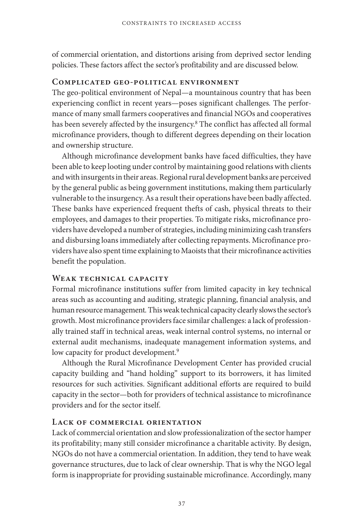of commercial orientation, and distortions arising from deprived sector lending policies. These factors affect the sector's profitability and are discussed below.

## **Complicated geo-political environment**

The geo-political environment of Nepal—a mountainous country that has been experiencing conflict in recent years—poses significant challenges*.* The performance of many small farmers cooperatives and financial NGOs and cooperatives has been severely affected by the insurgency.<sup>8</sup> The conflict has affected all formal microfinance providers, though to different degrees depending on their location and ownership structure.

Although microfinance development banks have faced difficulties, they have been able to keep looting under control by maintaining good relations with clients and with insurgents in their areas. Regional rural development banks are perceived by the general public as being government institutions, making them particularly vulnerable to the insurgency. As a result their operations have been badly affected. These banks have experienced frequent thefts of cash, physical threats to their employees, and damages to their properties. To mitigate risks, microfinance providers have developed a number of strategies, including minimizing cash transfers and disbursing loans immediately after collecting repayments. Microfinance providers have also spent time explaining to Maoists that their microfinance activities benefit the population.

# **Weak technical capacity**

Formal microfinance institutions suffer from limited capacity in key technical areas such as accounting and auditing, strategic planning, financial analysis, and human resource management*.* This weak technical capacity clearly slows the sector's growth. Most microfinance providers face similar challenges: a lack of professionally trained staff in technical areas, weak internal control systems, no internal or external audit mechanisms, inadequate management information systems, and low capacity for product development.<sup>9</sup>

Although the Rural Microfinance Development Center has provided crucial capacity building and "hand holding" support to its borrowers, it has limited resources for such activities. Significant additional efforts are required to build capacity in the sector—both for providers of technical assistance to microfinance providers and for the sector itself.

# **Lack of commercial orientation**

Lack of commercial orientation and slow professionalization of the sector hamper its profitability; many still consider microfinance a charitable activity*.* By design, NGOs do not have a commercial orientation. In addition, they tend to have weak governance structures, due to lack of clear ownership. That is why the NGO legal form is inappropriate for providing sustainable microfinance. Accordingly, many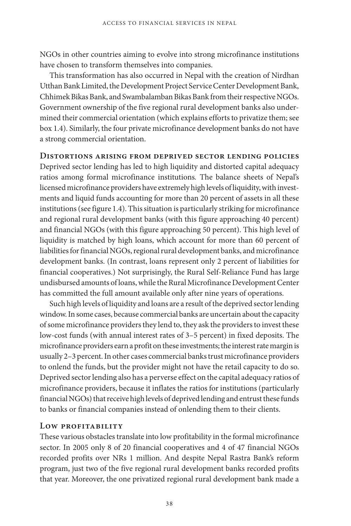NGOs in other countries aiming to evolve into strong microfinance institutions have chosen to transform themselves into companies.

This transformation has also occurred in Nepal with the creation of Nirdhan Utthan Bank Limited, the Development Project Service Center Development Bank, Chhimek Bikas Bank, and Swambalamban Bikas Bank from their respective NGOs. Government ownership of the five regional rural development banks also undermined their commercial orientation (which explains efforts to privatize them; see box 1.4). Similarly, the four private microfinance development banks do not have a strong commercial orientation.

## **Distortions arising from deprived sector lending policies**

Deprived sector lending has led to high liquidity and distorted capital adequacy ratios among formal microfinance institutions*.* The balance sheets of Nepal's licensed microfinance providers have extremely high levels of liquidity, with investments and liquid funds accounting for more than 20 percent of assets in all these institutions (see figure 1.4). This situation is particularly striking for microfinance and regional rural development banks (with this figure approaching 40 percent) and financial NGOs (with this figure approaching 50 percent). This high level of liquidity is matched by high loans, which account for more than 60 percent of liabilities for financial NGOs, regional rural development banks, and microfinance development banks. (In contrast, loans represent only 2 percent of liabilities for financial cooperatives.) Not surprisingly, the Rural Self-Reliance Fund has large undisbursed amounts of loans, while the Rural Microfinance Development Center has committed the full amount available only after nine years of operations.

Such high levels of liquidity and loans are a result of the deprived sector lending window. In some cases, because commercial banks are uncertain about the capacity of some microfinance providers they lend to, they ask the providers to invest these low-cost funds (with annual interest rates of 3–5 percent) in fixed deposits. The microfinance providers earn a profit on these investments; the interest rate margin is usually 2–3 percent. In other cases commercial banks trust microfinance providers to onlend the funds, but the provider might not have the retail capacity to do so. Deprived sector lending also has a perverse effect on the capital adequacy ratios of microfinance providers, because it inflates the ratios for institutions (particularly financial NGOs) that receive high levels of deprived lending and entrust these funds to banks or financial companies instead of onlending them to their clients.

## LOW PROFITABILITY

These various obstacles translate into low profitability in the formal microfinance sector. In 2005 only 8 of 20 financial cooperatives and 4 of 47 financial NGOs recorded profits over NRs 1 million. And despite Nepal Rastra Bank's reform program, just two of the five regional rural development banks recorded profits that year. Moreover, the one privatized regional rural development bank made a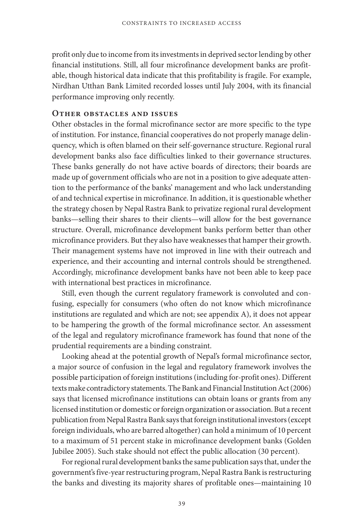profit only due to income from its investments in deprived sector lending by other financial institutions. Still, all four microfinance development banks are profitable, though historical data indicate that this profitability is fragile. For example, Nirdhan Utthan Bank Limited recorded losses until July 2004, with its financial performance improving only recently.

## **Other obstacles and issues**

Other obstacles in the formal microfinance sector are more specific to the type of institution*.* For instance, financial cooperatives do not properly manage delinquency, which is often blamed on their self-governance structure. Regional rural development banks also face difficulties linked to their governance structures. These banks generally do not have active boards of directors; their boards are made up of government officials who are not in a position to give adequate attention to the performance of the banks' management and who lack understanding of and technical expertise in microfinance. In addition, it is questionable whether the strategy chosen by Nepal Rastra Bank to privatize regional rural development banks—selling their shares to their clients—will allow for the best governance structure. Overall, microfinance development banks perform better than other microfinance providers. But they also have weaknesses that hamper their growth. Their management systems have not improved in line with their outreach and experience, and their accounting and internal controls should be strengthened. Accordingly, microfinance development banks have not been able to keep pace with international best practices in microfinance.

Still, even though the current regulatory framework is convoluted and confusing, especially for consumers (who often do not know which microfinance institutions are regulated and which are not; see appendix A), it does not appear to be hampering the growth of the formal microfinance sector. An assessment of the legal and regulatory microfinance framework has found that none of the prudential requirements are a binding constraint.

Looking ahead at the potential growth of Nepal's formal microfinance sector, a major source of confusion in the legal and regulatory framework involves the possible participation of foreign institutions (including for-profit ones). Different texts make contradictory statements. The Bank and Financial Institution Act (2006) says that licensed microfinance institutions can obtain loans or grants from any licensed institution or domestic or foreign organization or association. But a recent publication from Nepal Rastra Bank says that foreign institutional investors (except foreign individuals, who are barred altogether) can hold a minimum of 10 percent to a maximum of 51 percent stake in microfinance development banks (Golden Jubilee 2005). Such stake should not effect the public allocation (30 percent).

For regional rural development banks the same publication says that, under the government's five-year restructuring program, Nepal Rastra Bank is restructuring the banks and divesting its majority shares of profitable ones—maintaining 10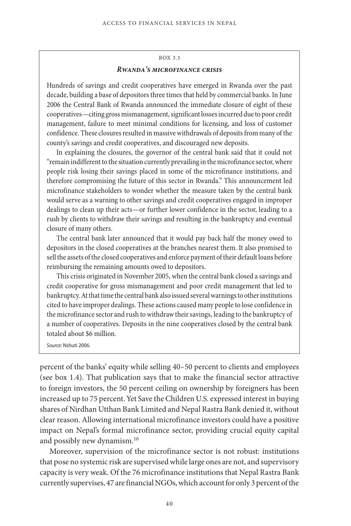#### BOX 3.3

## *Rwanda's microfinance crisis*

Hundreds of savings and credit cooperatives have emerged in Rwanda over the past decade, building a base of depositors three times that held by commercial banks. In June 2006 the Central Bank of Rwanda announced the immediate closure of eight of these cooperatives—citing gross mismanagement, significant losses incurred due to poor credit management, failure to meet minimal conditions for licensing, and loss of customer confidence. These closures resulted in massive withdrawals of deposits from many of the county's savings and credit cooperatives, and discouraged new deposits.

In explaining the closures, the governor of the central bank said that it could not "remain indifferent to the situation currently prevailing in the microfinance sector, where people risk losing their savings placed in some of the microfinance institutions, and therefore compromising the future of this sector in Rwanda." This announcement led microfinance stakeholders to wonder whether the measure taken by the central bank would serve as a warning to other savings and credit cooperatives engaged in improper dealings to clean up their acts—or further lower confidence in the sector, leading to a rush by clients to withdraw their savings and resulting in the bankruptcy and eventual closure of many others.

The central bank later announced that it would pay back half the money owed to depositors in the closed cooperatives at the branches nearest them. It also promised to sell the assets of the closed cooperatives and enforce payment of their default loans before reimbursing the remaining amounts owed to depositors.

This crisis originated in November 2005, when the central bank closed a savings and credit cooperative for gross mismanagement and poor credit management that led to bankruptcy. At that time the central bank also issued several warnings to other institutions cited to have improper dealings. These actions caused many people to lose confidence in the microfinance sector and rush to withdraw their savings, leading to the bankruptcy of a number of cooperatives. Deposits in the nine cooperatives closed by the central bank totaled about \$6 million.

Source: Nshuti 2006.

percent of the banks' equity while selling 40–50 percent to clients and employees (see box 1.4). That publication says that to make the financial sector attractive to foreign investors, the 50 percent ceiling on ownership by foreigners has been increased up to 75 percent. Yet Save the Children U.S. expressed interest in buying shares of Nirdhan Utthan Bank Limited and Nepal Rastra Bank denied it, without clear reason. Allowing international microfinance investors could have a positive impact on Nepal's formal microfinance sector, providing crucial equity capital and possibly new dynamism.10

Moreover, supervision of the microfinance sector is not robust: institutions that pose no systemic risk are supervised while large ones are not, and supervisory capacity is very weak*.* Of the 76 microfinance institutions that Nepal Rastra Bank currently supervises, 47 are financial NGOs, which account for only 3 percent of the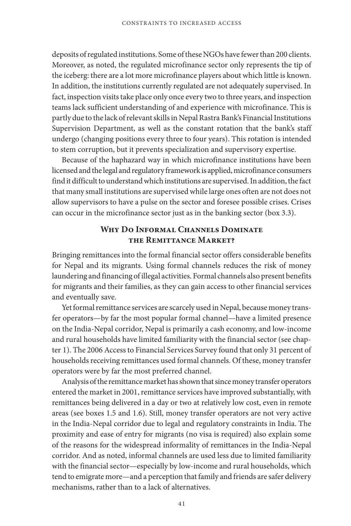deposits of regulated institutions. Some of these NGOs have fewer than 200 clients. Moreover, as noted, the regulated microfinance sector only represents the tip of the iceberg: there are a lot more microfinance players about which little is known. In addition, the institutions currently regulated are not adequately supervised. In fact, inspection visits take place only once every two to three years, and inspection teams lack sufficient understanding of and experience with microfinance. This is partly due to the lack of relevant skills in Nepal Rastra Bank's Financial Institutions Supervision Department, as well as the constant rotation that the bank's staff undergo (changing positions every three to four years). This rotation is intended to stem corruption, but it prevents specialization and supervisory expertise.

Because of the haphazard way in which microfinance institutions have been licensed and the legal and regulatory framework is applied, microfinance consumers find it difficult to understand which institutions are supervised. In addition, the fact that many small institutions are supervised while large ones often are not does not allow supervisors to have a pulse on the sector and foresee possible crises. Crises can occur in the microfinance sector just as in the banking sector (box 3.3).

# **Why Do Informal Channels Dominate the Remittance Market?**

Bringing remittances into the formal financial sector offers considerable benefits for Nepal and its migrants. Using formal channels reduces the risk of money laundering and financing of illegal activities. Formal channels also present benefits for migrants and their families, as they can gain access to other financial services and eventually save.

Yet formal remittance services are scarcely used in Nepal, because money transfer operators—by far the most popular formal channel—have a limited presence on the India-Nepal corridor, Nepal is primarily a cash economy, and low-income and rural households have limited familiarity with the financial sector (see chapter 1). The 2006 Access to Financial Services Survey found that only 31 percent of households receiving remittances used formal channels. Of these, money transfer operators were by far the most preferred channel.

Analysis of the remittance market has shown that since money transfer operators entered the market in 2001, remittance services have improved substantially, with remittances being delivered in a day or two at relatively low cost, even in remote areas (see boxes 1.5 and 1.6). Still, money transfer operators are not very active in the India-Nepal corridor due to legal and regulatory constraints in India. The proximity and ease of entry for migrants (no visa is required) also explain some of the reasons for the widespread informality of remittances in the India-Nepal corridor. And as noted, informal channels are used less due to limited familiarity with the financial sector—especially by low-income and rural households, which tend to emigrate more—and a perception that family and friends are safer delivery mechanisms, rather than to a lack of alternatives.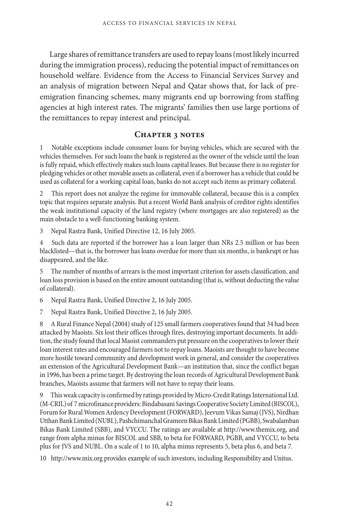Large shares of remittance transfers are used to repay loans (most likely incurred during the immigration process), reducing the potential impact of remittances on household welfare. Evidence from the Access to Financial Services Survey and an analysis of migration between Nepal and Qatar shows that, for lack of preemigration financing schemes, many migrants end up borrowing from staffing agencies at high interest rates. The migrants' families then use large portions of the remittances to repay interest and principal.

## **Chapter 3 notes**

1 Notable exceptions include consumer loans for buying vehicles, which are secured with the vehicles themselves. For such loans the bank is registered as the owner of the vehicle until the loan is fully repaid, which effectively makes such loans capital leases. But because there is no register for pledging vehicles or other movable assets as collateral, even if a borrower has a vehicle that could be used as collateral for a working capital loan, banks do not accept such items as primary collateral.

2 This report does not analyze the regime for immovable collateral, because this is a complex topic that requires separate analysis. But a recent World Bank analysis of creditor rights identifies the weak institutional capacity of the land registry (where mortgages are also registered) as the main obstacle to a well-functioning banking system.

3 Nepal Rastra Bank, Unified Directive 12, 16 July 2005.

4 Such data are reported if the borrower has a loan larger than NRs 2.5 million or has been blacklisted—that is, the borrower has loans overdue for more than six months, is bankrupt or has disappeared, and the like.

5 The number of months of arrears is the most important criterion for assets classification, and loan loss provision is based on the entire amount outstanding (that is, without deducting the value of collateral).

6 Nepal Rastra Bank, Unified Directive 2, 16 July 2005.

7 Nepal Rastra Bank, Unified Directive 2, 16 July 2005.

8 A Rural Finance Nepal (2004) study of 125 small farmers cooperatives found that 34 had been attacked by Maoists. Six lost their offices through fires, destroying important documents. In addition, the study found that local Maoist commanders put pressure on the cooperatives to lower their loan interest rates and encouraged farmers not to repay loans. Maoists are thought to have become more hostile toward community and development work in general, and consider the cooperatives an extension of the Agricultural Development Bank—an institution that, since the conflict began in 1996, has been a prime target. By destroying the loan records of Agricultural Development Bank branches, Maoists assume that farmers will not have to repay their loans.

9 This weak capacity is confirmed by ratings provided by Micro-Credit Ratings International Ltd. (M-CRIL) of 7 microfinance providers: Bindabasani Savings Cooperative Society Limited (BISCOL), Forum for Rural Women Ardency Development (FORWARD), Jeevum Vikas Samaj (JVS), Nirdhan Utthan Bank Limited (NUBL), Pashchimanchal Grameen Bikas Bank Limited (PGBB), Swabalamban Bikas Bank Limited (SBB), and VYCCU. The ratings are available at http://www.themix.org, and range from alpha minus for BISCOL and SBB, to beta for FORWARD, PGBB, and VYCCU, to beta plus for JVS and NUBL. On a scale of 1 to 10, alpha minus represents 5, beta plus 6, and beta 7.

10 http://www.mix.org provides example of such investors, including Responsibility and Unitus.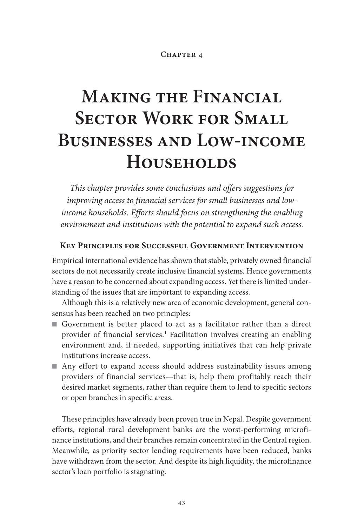## CHAPTER 4

# **Making the Financial Sector Work for Small Businesses and Low-income Households**

*This chapter provides some conclusions and offers suggestions for improving access to financial services for small businesses and lowincome households. Efforts should focus on strengthening the enabling environment and institutions with the potential to expand such access.*

## **Key Principles for Successful Government Intervention**

Empirical international evidence has shown that stable, privately owned financial sectors do not necessarily create inclusive financial systems. Hence governments have a reason to be concerned about expanding access. Yet there is limited understanding of the issues that are important to expanding access.

Although this is a relatively new area of economic development, general consensus has been reached on two principles:

- Government is better placed to act as a facilitator rather than a direct provider of financial services.<sup>1</sup> Facilitation involves creating an enabling environment and, if needed, supporting initiatives that can help private institutions increase access.
- Any effort to expand access should address sustainability issues among providers of financial services—that is, help them profitably reach their desired market segments, rather than require them to lend to specific sectors or open branches in specific areas.

These principles have already been proven true in Nepal. Despite government efforts, regional rural development banks are the worst-performing microfinance institutions, and their branches remain concentrated in the Central region. Meanwhile, as priority sector lending requirements have been reduced, banks have withdrawn from the sector. And despite its high liquidity, the microfinance sector's loan portfolio is stagnating.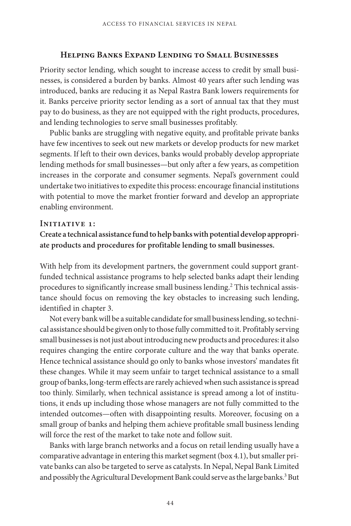## **Helping Banks Expand Lending to Small Businesses**

Priority sector lending, which sought to increase access to credit by small businesses, is considered a burden by banks. Almost 40 years after such lending was introduced, banks are reducing it as Nepal Rastra Bank lowers requirements for it. Banks perceive priority sector lending as a sort of annual tax that they must pay to do business, as they are not equipped with the right products, procedures, and lending technologies to serve small businesses profitably.

Public banks are struggling with negative equity, and profitable private banks have few incentives to seek out new markets or develop products for new market segments. If left to their own devices, banks would probably develop appropriate lending methods for small businesses—but only after a few years, as competition increases in the corporate and consumer segments. Nepal's government could undertake two initiatives to expedite this process: encourage financial institutions with potential to move the market frontier forward and develop an appropriate enabling environment.

## **INITIATIVE 1:**

# **Create a technical assistance fund to help banks with potential develop appropriate products and procedures for profitable lending to small businesses.**

With help from its development partners, the government could support grantfunded technical assistance programs to help selected banks adapt their lending procedures to significantly increase small business lending.<sup>2</sup> This technical assistance should focus on removing the key obstacles to increasing such lending, identified in chapter 3.

Not every bank will be a suitable candidate for small business lending, so technical assistance should be given only to those fully committed to it. Profitably serving small businesses is not just about introducing new products and procedures: it also requires changing the entire corporate culture and the way that banks operate. Hence technical assistance should go only to banks whose investors' mandates fit these changes. While it may seem unfair to target technical assistance to a small group of banks, long-term effects are rarely achieved when such assistance is spread too thinly. Similarly, when technical assistance is spread among a lot of institutions, it ends up including those whose managers are not fully committed to the intended outcomes—often with disappointing results. Moreover, focusing on a small group of banks and helping them achieve profitable small business lending will force the rest of the market to take note and follow suit.

Banks with large branch networks and a focus on retail lending usually have a comparative advantage in entering this market segment (box 4.1), but smaller private banks can also be targeted to serve as catalysts. In Nepal, Nepal Bank Limited and possibly the Agricultural Development Bank could serve as the large banks.<sup>3</sup> But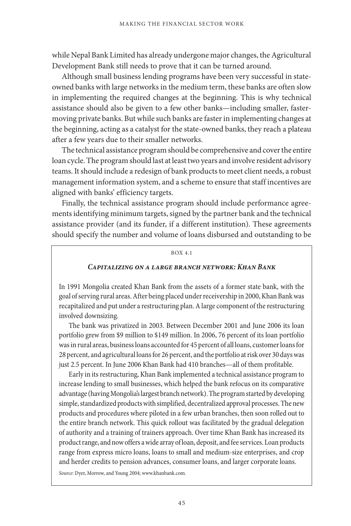while Nepal Bank Limited has already undergone major changes, the Agricultural Development Bank still needs to prove that it can be turned around.

Although small business lending programs have been very successful in stateowned banks with large networks in the medium term, these banks are often slow in implementing the required changes at the beginning. This is why technical assistance should also be given to a few other banks—including smaller, fastermoving private banks. But while such banks are faster in implementing changes at the beginning, acting as a catalyst for the state-owned banks, they reach a plateau after a few years due to their smaller networks.

The technical assistance program should be comprehensive and cover the entire loan cycle. The program should last at least two years and involve resident advisory teams. It should include a redesign of bank products to meet client needs, a robust management information system, and a scheme to ensure that staff incentives are aligned with banks' efficiency targets.

Finally, the technical assistance program should include performance agreements identifying minimum targets, signed by the partner bank and the technical assistance provider (and its funder, if a different institution). These agreements should specify the number and volume of loans disbursed and outstanding to be

#### BOX 4.1

#### *Capitalizing on a large branch network: Khan Bank*

In 1991 Mongolia created Khan Bank from the assets of a former state bank, with the goal of serving rural areas. After being placed under receivership in 2000, Khan Bank was recapitalized and put under a restructuring plan. A large component of the restructuring involved downsizing.

The bank was privatized in 2003. Between December 2001 and June 2006 its loan portfolio grew from \$9 million to \$149 million. In 2006, 76 percent of its loan portfolio was in rural areas, business loans accounted for 45 percent of all loans, customer loans for 28 percent, and agricultural loans for 26 percent, and the portfolio at risk over 30 days was just 2.5 percent. In June 2006 Khan Bank had 410 branches—all of them profitable.

Early in its restructuring, Khan Bank implemented a technical assistance program to increase lending to small businesses, which helped the bank refocus on its comparative advantage (having Mongolia's largest branch network). The program started by developing simple, standardized products with simplified, decentralized approval processes. The new products and procedures where piloted in a few urban branches, then soon rolled out to the entire branch network. This quick rollout was facilitated by the gradual delegation of authority and a training of trainers approach. Over time Khan Bank has increased its product range, and now offers a wide array of loan, deposit, and fee services. Loan products range from express micro loans, loans to small and medium-size enterprises, and crop and herder credits to pension advances, consumer loans, and larger corporate loans.

*Source*: Dyer, Morrow, and Young 2004; www.khanbank.com.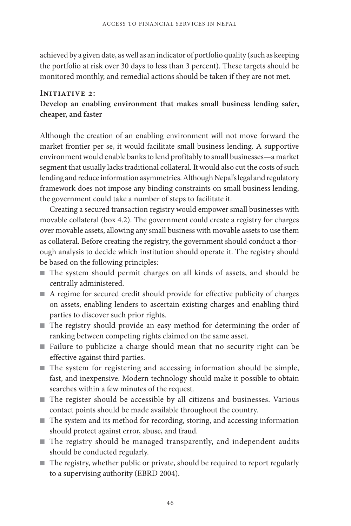achieved by a given date, as well as an indicator of portfolio quality (such as keeping the portfolio at risk over 30 days to less than 3 percent). These targets should be monitored monthly, and remedial actions should be taken if they are not met.

# **INITIATIVE 2: Develop an enabling environment that makes small business lending safer, cheaper, and faster**

Although the creation of an enabling environment will not move forward the market frontier per se, it would facilitate small business lending. A supportive environment would enable banks to lend profitably to small businesses—a market segment that usually lacks traditional collateral. It would also cut the costs of such lending and reduce information asymmetries. Although Nepal's legal and regulatory framework does not impose any binding constraints on small business lending, the government could take a number of steps to facilitate it.

Creating a secured transaction registry would empower small businesses with movable collateral (box 4.2). The government could create a registry for charges over movable assets, allowing any small business with movable assets to use them as collateral. Before creating the registry, the government should conduct a thorough analysis to decide which institution should operate it. The registry should be based on the following principles:

- The system should permit charges on all kinds of assets, and should be centrally administered.
- A regime for secured credit should provide for effective publicity of charges on assets, enabling lenders to ascertain existing charges and enabling third parties to discover such prior rights.
- The registry should provide an easy method for determining the order of ranking between competing rights claimed on the same asset.
- Failure to publicize a charge should mean that no security right can be effective against third parties.
- The system for registering and accessing information should be simple, fast, and inexpensive. Modern technology should make it possible to obtain searches within a few minutes of the request.
- The register should be accessible by all citizens and businesses. Various contact points should be made available throughout the country.
- The system and its method for recording, storing, and accessing information should protect against error, abuse, and fraud.
- The registry should be managed transparently, and independent audits should be conducted regularly.
- The registry, whether public or private, should be required to report regularly to a supervising authority (EBRD 2004).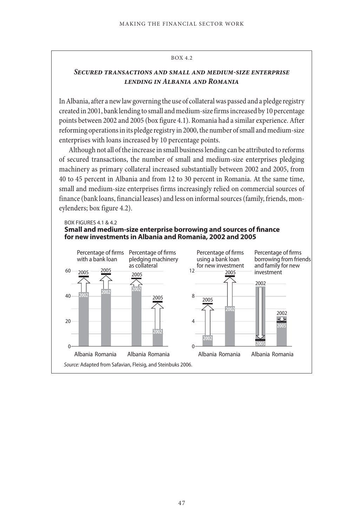#### BOX 4.2

## *Secured transactions and small and medium-size enterprise lending in Albania and Romania*

In Albania, after a new law governing the use of collateral was passed and a pledge registry created in 2001, bank lending to small and medium-size firms increased by 10 percentage points between 2002 and 2005 (box figure 4.1). Romania had a similar experience. After reforming operations in its pledge registry in 2000, the number of small and medium-size enterprises with loans increased by 10 percentage points.

Although not all of the increase in small business lending can be attributed to reforms of secured transactions, the number of small and medium-size enterprises pledging machinery as primary collateral increased substantially between 2002 and 2005, from 40 to 45 percent in Albania and from 12 to 30 percent in Romania. At the same time, small and medium-size enterprises firms increasingly relied on commercial sources of finance (bank loans, financial leases) and less on informal sources (family, friends, moneylenders; box figure 4.2).

#### BOX FIGURES 4.1 & 4.2

#### **Small and medium-size enterprise borrowing and sources of finance for new investments in Albania and Romania, 2002 and 2005**

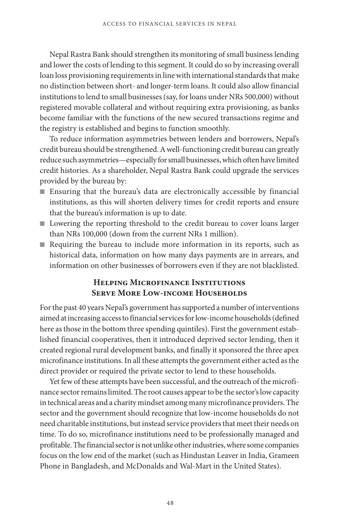Nepal Rastra Bank should strengthen its monitoring of small business lending and lower the costs of lending to this segment. It could do so by increasing overall loan loss provisioning requirements in line with international standards that make no distinction between short- and longer-term loans. It could also allow financial institutions to lend to small businesses (say, for loans under NRs 500,000) without registered movable collateral and without requiring extra provisioning, as banks become familiar with the functions of the new secured transactions regime and the registry is established and begins to function smoothly.

To reduce information asymmetries between lenders and borrowers, Nepal's credit bureau should be strengthened. A well-functioning credit bureau can greatly reduce such asymmetries—especially for small businesses, which often have limited credit histories. As a shareholder, Nepal Rastra Bank could upgrade the services provided by the bureau by:

- Ensuring that the bureau's data are electronically accessible by financial institutions, as this will shorten delivery times for credit reports and ensure that the bureau's information is up to date.
- Lowering the reporting threshold to the credit bureau to cover loans larger than NRs 100,000 (down from the current NRs 1 million).
- Requiring the bureau to include more information in its reports, such as historical data, information on how many days payments are in arrears, and information on other businesses of borrowers even if they are not blacklisted.

# **Helping Microfinance Institutions Serve More Low-income Households**

For the past 40 years Nepal's government has supported a number of interventions aimed at increasing access to financial services for low-income households (defined here as those in the bottom three spending quintiles). First the government established financial cooperatives, then it introduced deprived sector lending, then it created regional rural development banks, and finally it sponsored the three apex microfinance institutions. In all these attempts the government either acted as the direct provider or required the private sector to lend to these households.

Yet few of these attempts have been successful, and the outreach of the microfinance sector remains limited. The root causes appear to be the sector's low capacity in technical areas and a charity mindset among many microfinance providers. The sector and the government should recognize that low-income households do not need charitable institutions, but instead service providers that meet their needs on time. To do so, microfinance institutions need to be professionally managed and profitable. The financial sector is not unlike other industries, where some companies focus on the low end of the market (such as Hindustan Leaver in India, Grameen Phone in Bangladesh, and McDonalds and Wal-Mart in the United States).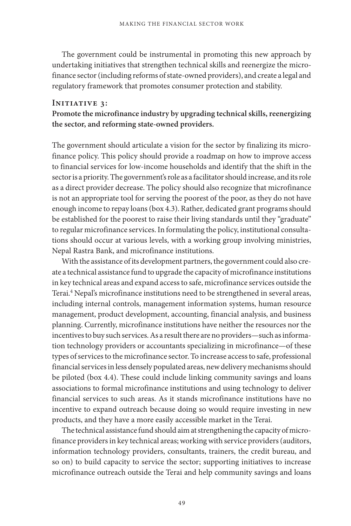The government could be instrumental in promoting this new approach by undertaking initiatives that strengthen technical skills and reenergize the microfinance sector (including reforms of state-owned providers), and create a legal and regulatory framework that promotes consumer protection and stability.

## **INITIATIVE 3:**

**Promote the microfinance industry by upgrading technical skills, reenergizing the sector, and reforming state-owned providers.**

The government should articulate a vision for the sector by finalizing its microfinance policy. This policy should provide a roadmap on how to improve access to financial services for low-income households and identify that the shift in the sector is a priority. The government's role as a facilitator should increase, and its role as a direct provider decrease. The policy should also recognize that microfinance is not an appropriate tool for serving the poorest of the poor, as they do not have enough income to repay loans (box 4.3). Rather, dedicated grant programs should be established for the poorest to raise their living standards until they "graduate" to regular microfinance services. In formulating the policy, institutional consultations should occur at various levels, with a working group involving ministries, Nepal Rastra Bank, and microfinance institutions.

With the assistance of its development partners, the government could also create a technical assistance fund to upgrade the capacity of microfinance institutions in key technical areas and expand access to safe, microfinance services outside the Terai.4 Nepal's microfinance institutions need to be strengthened in several areas, including internal controls, management information systems, human resource management, product development, accounting, financial analysis, and business planning. Currently, microfinance institutions have neither the resources nor the incentives to buy such services. As a result there are no providers—such as information technology providers or accountants specializing in microfinance—of these types of services to the microfinance sector. To increase access to safe, professional financial services in less densely populated areas, new delivery mechanisms should be piloted (box 4.4). These could include linking community savings and loans associations to formal microfinance institutions and using technology to deliver financial services to such areas. As it stands microfinance institutions have no incentive to expand outreach because doing so would require investing in new products, and they have a more easily accessible market in the Terai.

The technical assistance fund should aim at strengthening the capacity of microfinance providers in key technical areas; working with service providers (auditors, information technology providers, consultants, trainers, the credit bureau, and so on) to build capacity to service the sector; supporting initiatives to increase microfinance outreach outside the Terai and help community savings and loans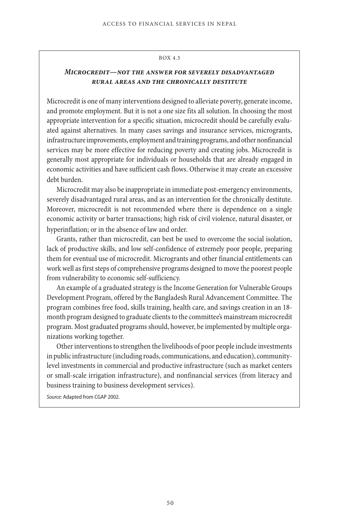#### BOX 4.3

## *Microcredit—not the answer for severely disadvantaged rural areas and the chronically destitute*

Microcredit is one of many interventions designed to alleviate poverty, generate income, and promote employment. But it is not a one size fits all solution. In choosing the most appropriate intervention for a specific situation, microcredit should be carefully evaluated against alternatives. In many cases savings and insurance services, microgrants, infrastructure improvements, employment and training programs, and other nonfinancial services may be more effective for reducing poverty and creating jobs. Microcredit is generally most appropriate for individuals or households that are already engaged in economic activities and have sufficient cash flows. Otherwise it may create an excessive debt burden.

Microcredit may also be inappropriate in immediate post-emergency environments, severely disadvantaged rural areas, and as an intervention for the chronically destitute. Moreover, microcredit is not recommended where there is dependence on a single economic activity or barter transactions; high risk of civil violence, natural disaster, or hyperinflation; or in the absence of law and order.

Grants, rather than microcredit, can best be used to overcome the social isolation, lack of productive skills, and low self-confidence of extremely poor people, preparing them for eventual use of microcredit. Microgrants and other financial entitlements can work well as first steps of comprehensive programs designed to move the poorest people from vulnerability to economic self-sufficiency.

An example of a graduated strategy is the Income Generation for Vulnerable Groups Development Program, offered by the Bangladesh Rural Advancement Committee. The program combines free food, skills training, health care, and savings creation in an 18 month program designed to graduate clients to the committee's mainstream microcredit program. Most graduated programs should, however, be implemented by multiple organizations working together.

Other interventions to strengthen the livelihoods of poor people include investments in public infrastructure (including roads, communications, and education), communitylevel investments in commercial and productive infrastructure (such as market centers or small-scale irrigation infrastructure), and nonfinancial services (from literacy and business training to business development services).

Source: Adapted from CGAP 2002.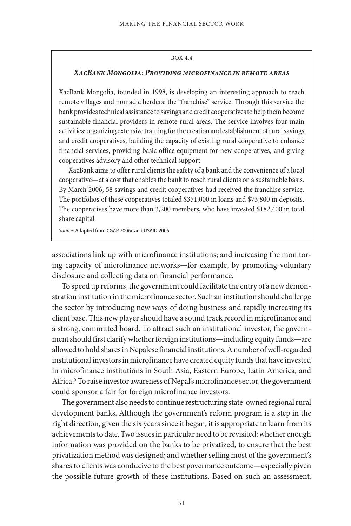#### BOX 4.4

## *XacBank Mongolia: Providing microfinance in remote areas*

XacBank Mongolia, founded in 1998, is developing an interesting approach to reach remote villages and nomadic herders: the "franchise" service. Through this service the bank provides technical assistance to savings and credit cooperatives to help them become sustainable financial providers in remote rural areas. The service involves four main activities: organizing extensive training for the creation and establishment of rural savings and credit cooperatives, building the capacity of existing rural cooperative to enhance financial services, providing basic office equipment for new cooperatives, and giving cooperatives advisory and other technical support.

XacBank aims to offer rural clients the safety of a bank and the convenience of a local cooperative—at a cost that enables the bank to reach rural clients on a sustainable basis. By March 2006, 58 savings and credit cooperatives had received the franchise service. The portfolios of these cooperatives totaled \$351,000 in loans and \$73,800 in deposits. The cooperatives have more than 3,200 members, who have invested \$182,400 in total share capital.

Source: Adapted from CGAP 2006c and USAID 2005.

associations link up with microfinance institutions; and increasing the monitoring capacity of microfinance networks—for example, by promoting voluntary disclosure and collecting data on financial performance.

To speed up reforms, the government could facilitate the entry of a new demonstration institution in the microfinance sector. Such an institution should challenge the sector by introducing new ways of doing business and rapidly increasing its client base. This new player should have a sound track record in microfinance and a strong, committed board. To attract such an institutional investor, the government should first clarify whether foreign institutions—including equity funds—are allowed to hold shares in Nepalese financial institutions. A number of well-regarded institutional investors in microfinance have created equity funds that have invested in microfinance institutions in South Asia, Eastern Europe, Latin America, and Africa.5 To raise investor awareness of Nepal's microfinance sector, the government could sponsor a fair for foreign microfinance investors.

The government also needs to continue restructuring state-owned regional rural development banks. Although the government's reform program is a step in the right direction, given the six years since it began, it is appropriate to learn from its achievements to date. Two issues in particular need to be revisited: whether enough information was provided on the banks to be privatized, to ensure that the best privatization method was designed; and whether selling most of the government's shares to clients was conducive to the best governance outcome—especially given the possible future growth of these institutions. Based on such an assessment,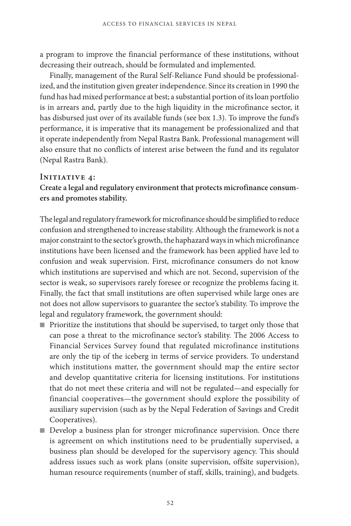a program to improve the financial performance of these institutions, without decreasing their outreach, should be formulated and implemented.

Finally, management of the Rural Self-Reliance Fund should be professionalized, and the institution given greater independence. Since its creation in 1990 the fund has had mixed performance at best; a substantial portion of its loan portfolio is in arrears and, partly due to the high liquidity in the microfinance sector, it has disbursed just over of its available funds (see box 1.3). To improve the fund's performance, it is imperative that its management be professionalized and that it operate independently from Nepal Rastra Bank. Professional management will also ensure that no conflicts of interest arise between the fund and its regulator (Nepal Rastra Bank).

# **INITIATIVE 4:**

**Create a legal and regulatory environment that protects microfinance consumers and promotes stability.**

The legal and regulatory framework for microfinance should be simplified to reduce confusion and strengthened to increase stability. Although the framework is not a major constraint to the sector's growth, the haphazard ways in which microfinance institutions have been licensed and the framework has been applied have led to confusion and weak supervision. First, microfinance consumers do not know which institutions are supervised and which are not. Second, supervision of the sector is weak, so supervisors rarely foresee or recognize the problems facing it. Finally, the fact that small institutions are often supervised while large ones are not does not allow supervisors to guarantee the sector's stability. To improve the legal and regulatory framework, the government should:

- Prioritize the institutions that should be supervised, to target only those that can pose a threat to the microfinance sector's stability. The 2006 Access to Financial Services Survey found that regulated microfinance institutions are only the tip of the iceberg in terms of service providers. To understand which institutions matter, the government should map the entire sector and develop quantitative criteria for licensing institutions. For institutions that do not meet these criteria and will not be regulated—and especially for financial cooperatives—the government should explore the possibility of auxiliary supervision (such as by the Nepal Federation of Savings and Credit Cooperatives).
- Develop a business plan for stronger microfinance supervision. Once there is agreement on which institutions need to be prudentially supervised, a business plan should be developed for the supervisory agency. This should address issues such as work plans (onsite supervision, offsite supervision), human resource requirements (number of staff, skills, training), and budgets.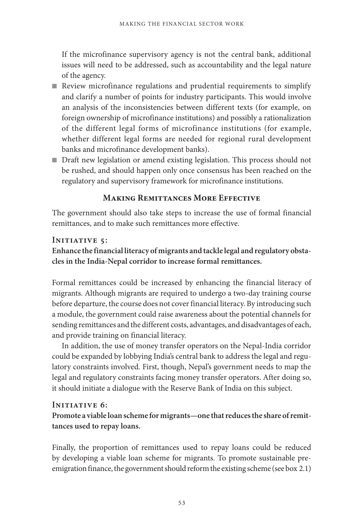If the microfinance supervisory agency is not the central bank, additional issues will need to be addressed, such as accountability and the legal nature of the agency.

- Review microfinance regulations and prudential requirements to simplify and clarify a number of points for industry participants. This would involve an analysis of the inconsistencies between different texts (for example, on foreign ownership of microfinance institutions) and possibly a rationalization of the different legal forms of microfinance institutions (for example, whether different legal forms are needed for regional rural development banks and microfinance development banks).
- Draft new legislation or amend existing legislation. This process should not be rushed, and should happen only once consensus has been reached on the regulatory and supervisory framework for microfinance institutions.

# **Making Remittances More Effective**

The government should also take steps to increase the use of formal financial remittances, and to make such remittances more effective.

# **INITIATIVE 5:**

# **Enhance the financial literacy of migrants and tackle legal and regulatory obstacles in the India-Nepal corridor to increase formal remittances.**

Formal remittances could be increased by enhancing the financial literacy of migrants. Although migrants are required to undergo a two-day training course before departure, the course does not cover financial literacy. By introducing such a module, the government could raise awareness about the potential channels for sending remittances and the different costs, advantages, and disadvantages of each, and provide training on financial literacy.

In addition, the use of money transfer operators on the Nepal-India corridor could be expanded by lobbying India's central bank to address the legal and regulatory constraints involved. First, though, Nepal's government needs to map the legal and regulatory constraints facing money transfer operators. After doing so, it should initiate a dialogue with the Reserve Bank of India on this subject.

# **INITIATIVE 6:**

# **Promote a viable loan scheme for migrants—one that reduces the share of remittances used to repay loans.**

Finally, the proportion of remittances used to repay loans could be reduced by developing a viable loan scheme for migrants. To promote sustainable preemigration finance, the government should reform the existing scheme (see box 2.1)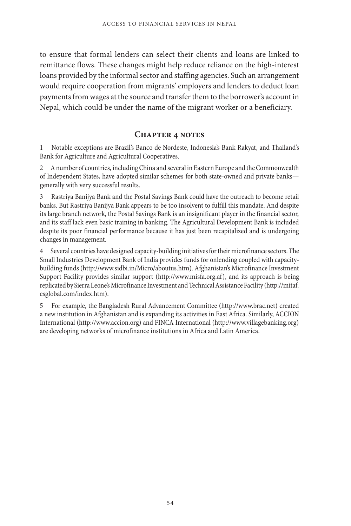to ensure that formal lenders can select their clients and loans are linked to remittance flows. These changes might help reduce reliance on the high-interest loans provided by the informal sector and staffing agencies. Such an arrangement would require cooperation from migrants' employers and lenders to deduct loan payments from wages at the source and transfer them to the borrower's account in Nepal, which could be under the name of the migrant worker or a beneficiary.

## **Chapter 4 notes**

1 Notable exceptions are Brazil's Banco de Nordeste, Indonesia's Bank Rakyat, and Thailand's Bank for Agriculture and Agricultural Cooperatives.

2 A number of countries, including China and several in Eastern Europe and the Commonwealth of Independent States, have adopted similar schemes for both state-owned and private banks generally with very successful results.

3 Rastriya Banijya Bank and the Postal Savings Bank could have the outreach to become retail banks. But Rastriya Banijya Bank appears to be too insolvent to fulfill this mandate. And despite its large branch network, the Postal Savings Bank is an insignificant player in the financial sector, and its staff lack even basic training in banking. The Agricultural Development Bank is included despite its poor financial performance because it has just been recapitalized and is undergoing changes in management.

Several countries have designed capacity-building initiatives for their microfinance sectors. The Small Industries Development Bank of India provides funds for onlending coupled with capacitybuilding funds (http://www.sidbi.in/Micro/aboutus.htm). Afghanistan's Microfinance Investment Support Facility provides similar support (http://www.misfa.org.af), and its approach is being replicated by Sierra Leone's Microfinance Investment and Technical Assistance Facility (http://mitaf. esglobal.com/index.htm).

5 For example, the Bangladesh Rural Advancement Committee (http://www.brac.net) created a new institution in Afghanistan and is expanding its activities in East Africa. Similarly, ACCION International (http://www.accion.org) and FINCA International (http://www.villagebanking.org) are developing networks of microfinance institutions in Africa and Latin America.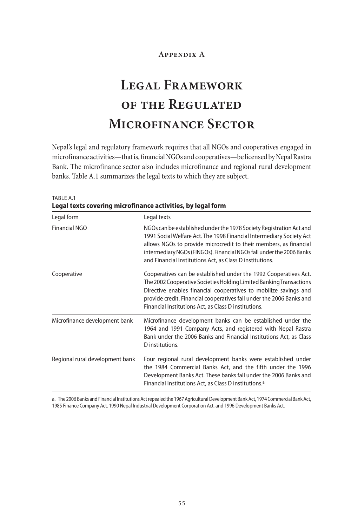# **Appendix A**

# **Legal Framework of the Regulated Microfinance Sector**

Nepal's legal and regulatory framework requires that all NGOs and cooperatives engaged in microfinance activities—that is, financial NGOs and cooperatives—be licensed by Nepal Rastra Bank. The microfinance sector also includes microfinance and regional rural development banks. Table A.1 summarizes the legal texts to which they are subject.

| Legal form                      | Legal texts                                                                                                                                                                                                                                                                                                                                          |
|---------------------------------|------------------------------------------------------------------------------------------------------------------------------------------------------------------------------------------------------------------------------------------------------------------------------------------------------------------------------------------------------|
| Financial NGO                   | NGOs can be established under the 1978 Society Registration Act and<br>1991 Social Welfare Act. The 1998 Financial Intermediary Society Act<br>allows NGOs to provide microcredit to their members, as financial<br>intermediary NGOs (FINGOs). Financial NGOs fall under the 2006 Banks<br>and Financial Institutions Act, as Class D institutions. |
| Cooperative                     | Cooperatives can be established under the 1992 Cooperatives Act.<br>The 2002 Cooperative Societies Holding Limited Banking Transactions<br>Directive enables financial cooperatives to mobilize savings and<br>provide credit. Financial cooperatives fall under the 2006 Banks and<br>Financial Institutions Act, as Class D institutions.          |
| Microfinance development bank   | Microfinance development banks can be established under the<br>1964 and 1991 Company Acts, and registered with Nepal Rastra<br>Bank under the 2006 Banks and Financial Institutions Act, as Class<br>D institutions.                                                                                                                                 |
| Regional rural development bank | Four regional rural development banks were established under<br>the 1984 Commercial Banks Act, and the fifth under the 1996<br>Development Banks Act. These banks fall under the 2006 Banks and<br>Financial Institutions Act, as Class D institutions. <sup>a</sup>                                                                                 |

TABLE A.1 **Legal texts covering microfinance activities, by legal form**

a. The 2006 Banks and Financial Institutions Act repealed the 1967 Agricultural Development Bank Act, 1974 Commercial Bank Act, 1985 Finance Company Act, 1990 Nepal Industrial Development Corporation Act, and 1996 Development Banks Act.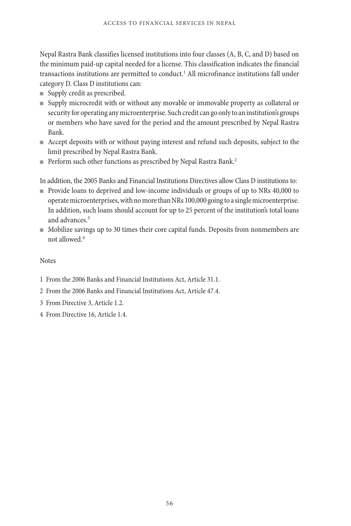Nepal Rastra Bank classifies licensed institutions into four classes (A, B, C, and D) based on the minimum paid-up capital needed for a license. This classification indicates the financial transactions institutions are permitted to conduct.<sup>1</sup> All microfinance institutions fall under category D. Class D institutions can:

- Supply credit as prescribed.
- Supply microcredit with or without any movable or immovable property as collateral or security for operating any microenterprise. Such credit can go only to an institution's groups or members who have saved for the period and the amount prescribed by Nepal Rastra Bank.
- Accept deposits with or without paying interest and refund such deposits, subject to the limit prescribed by Nepal Rastra Bank.
- Perform such other functions as prescribed by Nepal Rastra Bank.<sup>2</sup>

In addition, the 2005 Banks and Financial Institutions Directives allow Class D institutions to:

- Provide loans to deprived and low-income individuals or groups of up to NRs 40,000 to operate microenterprises, with no more than NRs 100,000 going to a single microenterprise. In addition, such loans should account for up to 25 percent of the institution's total loans and advances.3
- Mobilize savings up to 30 times their core capital funds. Deposits from nonmembers are not allowed.4

## **Notes**

- 1 From the 2006 Banks and Financial Institutions Act, Article 31.1.
- 2 From the 2006 Banks and Financial Institutions Act, Article 47.4.
- 3 From Directive 3, Article 1.2.
- 4 From Directive 16, Article 1.4.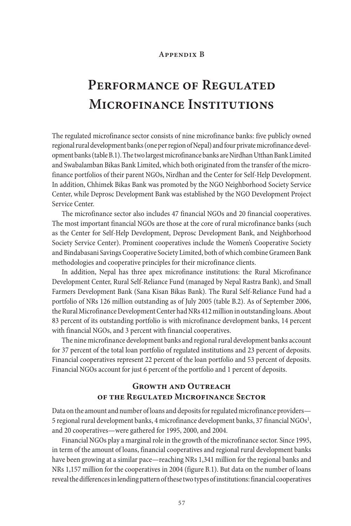## **Appendix B**

# **Performance of Regulated Microfinance Institutions**

The regulated microfinance sector consists of nine microfinance banks: five publicly owned regional rural development banks (one per region of Nepal) and four private microfinance development banks (table B.1). The two largest microfinance banks are Nirdhan Utthan Bank Limited and Swabalamban Bikas Bank Limited, which both originated from the transfer of the microfinance portfolios of their parent NGOs, Nirdhan and the Center for Self-Help Development. In addition, Chhimek Bikas Bank was promoted by the NGO Neighborhood Society Service Center, while Deprosc Development Bank was established by the NGO Development Project Service Center.

The microfinance sector also includes 47 financial NGOs and 20 financial cooperatives. The most important financial NGOs are those at the core of rural microfinance banks (such as the Center for Self-Help Development, Deprosc Development Bank, and Neighborhood Society Service Center). Prominent cooperatives include the Women's Cooperative Society and Bindabasani Savings Cooperative Society Limited, both of which combine Grameen Bank methodologies and cooperative principles for their microfinance clients.

In addition, Nepal has three apex microfinance institutions: the Rural Microfinance Development Center, Rural Self-Reliance Fund (managed by Nepal Rastra Bank), and Small Farmers Development Bank (Sana Kisan Bikas Bank). The Rural Self-Reliance Fund had a portfolio of NRs 126 million outstanding as of July 2005 (table B.2). As of September 2006, the Rural Microfinance Development Center had NRs 412 million in outstanding loans. About 83 percent of its outstanding portfolio is with microfinance development banks, 14 percent with financial NGOs, and 3 percent with financial cooperatives.

The nine microfinance development banks and regional rural development banks account for 37 percent of the total loan portfolio of regulated institutions and 23 percent of deposits. Financial cooperatives represent 22 percent of the loan portfolio and 53 percent of deposits. Financial NGOs account for just 6 percent of the portfolio and 1 percent of deposits.

# **Growth and Outreach of the Regulated Microfinance Sector**

Data on the amount and number of loans and deposits for regulated microfinance providers— 5 regional rural development banks, 4 microfinance development banks, 37 financial NGOs<sup>1</sup>, and 20 cooperatives—were gathered for 1995, 2000, and 2004.

Financial NGOs play a marginal role in the growth of the microfinance sector. Since 1995, in term of the amount of loans, financial cooperatives and regional rural development banks have been growing at a similar pace—reaching NRs 1,341 million for the regional banks and NRs 1,157 million for the cooperatives in 2004 (figure B.1). But data on the number of loans reveal the differences in lending pattern of these two types of institutions: financial cooperatives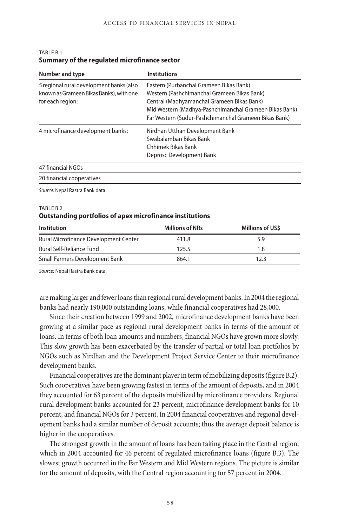| Number and type                                                                                         | <b>Institutions</b>                                                                                                                                                                                                                                     |
|---------------------------------------------------------------------------------------------------------|---------------------------------------------------------------------------------------------------------------------------------------------------------------------------------------------------------------------------------------------------------|
| 5 regional rural development banks (also<br>known as Grameen Bikas Banks), with one<br>for each region: | Eastern (Purbanchal Grameen Bikas Bank)<br>Western (Pashchimanchal Grameen Bikas Bank)<br>Central (Madhyamanchal Grameen Bikas Bank)<br>Mid Western (Madhya-Pashchimanchal Grameen Bikas Bank)<br>Far Western (Sudur-Pashchimanchal Grameen Bikas Bank) |
| 4 microfinance development banks:                                                                       | Nirdhan Utthan Development Bank<br>Swabalamban Bikas Bank<br>Chhimek Bikas Bank<br>Deprosc Development Bank                                                                                                                                             |
| 47 financial NGOs                                                                                       |                                                                                                                                                                                                                                                         |

#### TABLE B.1 **Summary of the regulated microfinance sector**

20 financial cooperatives

Source: Nepal Rastra Bank data.

#### TARI F R 2 **Outstanding portfolios of apex microfinance institutions**

| Institution                                  | <b>Millions of NRs</b> | <b>Millions of USS</b> |
|----------------------------------------------|------------------------|------------------------|
| <b>Rural Microfinance Development Center</b> | 411.8                  | 5.9                    |
| Rural Self-Reliance Fund                     | 125.5                  | 1.8                    |
| Small Farmers Development Bank               | 864.1                  | 12.3                   |

Source: Nepal Rastra Bank data.

are making larger and fewer loans than regional rural development banks. In 2004 the regional banks had nearly 190,000 outstanding loans, while financial cooperatives had 28,000.

Since their creation between 1999 and 2002, microfinance development banks have been growing at a similar pace as regional rural development banks in terms of the amount of loans. In terms of both loan amounts and numbers, financial NGOs have grown more slowly. This slow growth has been exacerbated by the transfer of partial or total loan portfolios by NGOs such as Nirdhan and the Development Project Service Center to their microfinance development banks.

Financial cooperatives are the dominant player in term of mobilizing deposits (figure B.2). Such cooperatives have been growing fastest in terms of the amount of deposits, and in 2004 they accounted for 63 percent of the deposits mobilized by microfinance providers. Regional rural development banks accounted for 23 percent, microfinance development banks for 10 percent, and financial NGOs for 3 percent. In 2004 financial cooperatives and regional development banks had a similar number of deposit accounts; thus the average deposit balance is higher in the cooperatives.

The strongest growth in the amount of loans has been taking place in the Central region, which in 2004 accounted for 46 percent of regulated microfinance loans (figure B.3). The slowest growth occurred in the Far Western and Mid Western regions. The picture is similar for the amount of deposits, with the Central region accounting for 57 percent in 2004.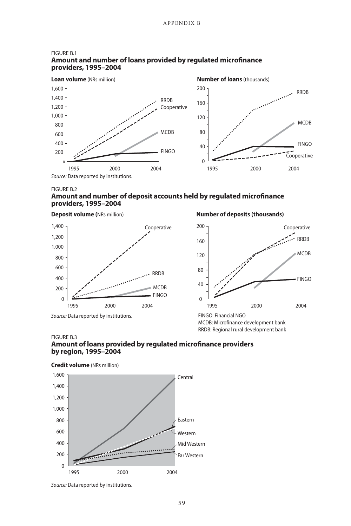

#### FIGURE B.1 **Amount and number of loans provided by regulated microfinance providers, 1995–2004**

FIGURE B.2







Source: Data reported by institutions.





FINGO: Financial NGO MCDB: Microfinance development bank RRDB: Regional rural development bank

#### FIGURE B.3 **Amount of loans provided by regulated microfinance providers by region, 1995–2004**



**Credit volume** (NRs million)

Source: Data reported by institutions.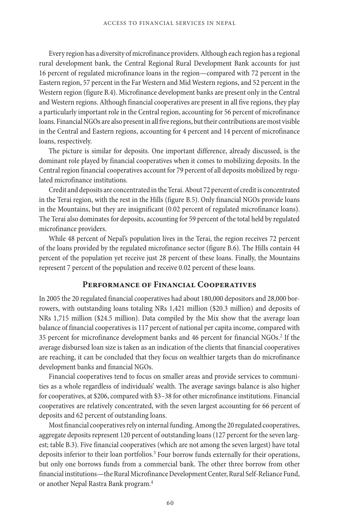Every region has a diversity of microfinance providers. Although each region has a regional rural development bank, the Central Regional Rural Development Bank accounts for just 16 percent of regulated microfinance loans in the region—compared with 72 percent in the Eastern region, 57 percent in the Far Western and Mid Western regions, and 52 percent in the Western region (figure B.4). Microfinance development banks are present only in the Central and Western regions. Although financial cooperatives are present in all five regions, they play a particularly important role in the Central region, accounting for 56 percent of microfinance loans. Financial NGOs are also present in all five regions, but their contributions are most visible in the Central and Eastern regions, accounting for 4 percent and 14 percent of microfinance loans, respectively.

The picture is similar for deposits. One important difference, already discussed, is the dominant role played by financial cooperatives when it comes to mobilizing deposits. In the Central region financial cooperatives account for 79 percent of all deposits mobilized by regulated microfinance institutions.

Credit and deposits are concentrated in the Terai. About 72 percent of credit is concentrated in the Terai region, with the rest in the Hills (figure B.5). Only financial NGOs provide loans in the Mountains, but they are insignificant (0.02 percent of regulated microfinance loans). The Terai also dominates for deposits, accounting for 59 percent of the total held by regulated microfinance providers.

While 48 percent of Nepal's population lives in the Terai, the region receives 72 percent of the loans provided by the regulated microfinance sector (figure B.6). The Hills contain 44 percent of the population yet receive just 28 percent of these loans. Finally, the Mountains represent 7 percent of the population and receive 0.02 percent of these loans.

## **Performance of Financial Cooperatives**

In 2005 the 20 regulated financial cooperatives had about 180,000 depositors and 28,000 borrowers, with outstanding loans totaling NRs 1,421 million (\$20.3 million) and deposits of NRs 1,715 million (\$24.5 million). Data compiled by the Mix show that the average loan balance of financial cooperatives is 117 percent of national per capita income, compared with 35 percent for microfinance development banks and 46 percent for financial NGOs.<sup>2</sup> If the average disbursed loan size is taken as an indication of the clients that financial cooperatives are reaching, it can be concluded that they focus on wealthier targets than do microfinance development banks and financial NGOs.

Financial cooperatives tend to focus on smaller areas and provide services to communities as a whole regardless of individuals' wealth. The average savings balance is also higher for cooperatives, at \$206, compared with \$3–38 for other microfinance institutions. Financial cooperatives are relatively concentrated, with the seven largest accounting for 66 percent of deposits and 62 percent of outstanding loans.

Most financial cooperatives rely on internal funding. Among the 20 regulated cooperatives, aggregate deposits represent 120 percent of outstanding loans (127 percent for the seven largest; table B.3). Five financial cooperatives (which are not among the seven largest) have total deposits inferior to their loan portfolios.<sup>3</sup> Four borrow funds externally for their operations, but only one borrows funds from a commercial bank. The other three borrow from other financial institutions—the Rural Microfinance Development Center, Rural Self-Reliance Fund, or another Nepal Rastra Bank program.4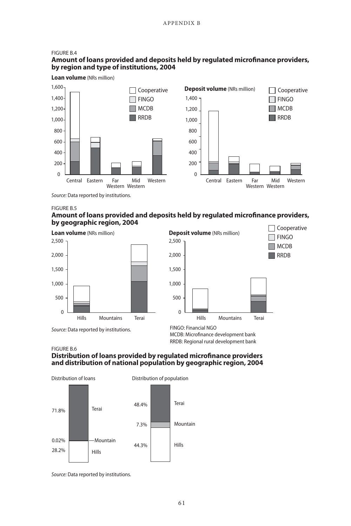#### FIGURE B.4

## **Amount of loans provided and deposits held by regulated microfinance providers, by region and type of institutions, 2004**





Source: Data reported by institutions.

FIGURE B.5

**Amount of loans provided and deposits held by regulated microfinance providers, by geographic region, 2004**







FINGO: Financial NGO MCDB: Microfinance development bank RRDB: Regional rural development bank

#### FIGURE B.6 **Distribution of loans provided by regulated microfinance providers and distribution of national population by geographic region, 2004**



Source: Data reported by institutions.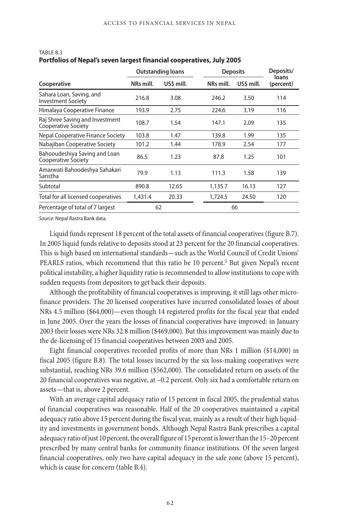|                                                               | <b>Outstanding loans</b> |            |  | <b>Deposits</b> | Deposits/<br>loans |           |
|---------------------------------------------------------------|--------------------------|------------|--|-----------------|--------------------|-----------|
| Cooperative                                                   | NRs mill.                | US\$ mill. |  | NRs mill.       | US\$ mill.         | (percent) |
| Sahara Loan, Saving, and<br><b>Investment Society</b>         | 216.8                    | 3.08       |  | 246.2           | 3.50               | 114       |
| Himalaya Cooperative Finance                                  | 193.9                    | 2.75       |  | 224.6           | 3.19               | 116       |
| Raj Shree Saving and Investment<br><b>Cooperative Society</b> | 108.7                    | 1.54       |  | 147.1           | 2.09               | 135       |
| Nepal Cooperative Finance Society                             | 103.8                    | 1.47       |  | 139.8           | 1.99               | 135       |
| Nabajiban Cooperative Society                                 | 101.2                    | 1.44       |  | 178.9           | 2.54               | 177       |
| Bahooudeshiya Saving and Loan<br><b>Cooperative Society</b>   | 86.5                     | 1.23       |  | 87.8            | 1.25               | 101       |
| Amarwati Bahoodeshya Sahakari<br>Sanstha                      | 79.9                     | 1.13       |  | 111.3           | 1.58               | 139       |
| Subtotal                                                      | 890.8                    | 12.65      |  | 1,135.7         | 16.13              | 127       |
| Total for all licensed cooperatives                           | 1,431.4                  | 20.33      |  | 1,724.5         | 24.50              | 120       |
| Percentage of total of 7 largest                              | 62                       |            |  |                 | 66                 |           |

### TABLE B.3 **Portfolios of Nepal's seven largest financial cooperatives, July 2005**

Source: Nepal Rastra Bank data.

Liquid funds represent 18 percent of the total assets of financial cooperatives (figure B.7). In 2005 liquid funds relative to deposits stood at 23 percent for the 20 financial cooperatives. This is high based on international standards—such as the World Council of Credit Unions' PEARLS ratios, which recommend that this ratio be 10 percent.<sup>5</sup> But given Nepal's recent political instability, a higher liquidity ratio is recommended to allow institutions to cope with sudden requests from depositors to get back their deposits.

Although the profitability of financial cooperatives is improving, it still lags other microfinance providers. The 20 licensed cooperatives have incurred consolidated losses of about NRs 4.5 million (\$64,000)—even though 14 registered profits for the fiscal year that ended in June 2005. Over the years the losses of financial cooperatives have improved: in January 2003 their losses were NRs 32.8 million (\$469,000). But this improvement was mainly due to the de-licensing of 15 financial cooperatives between 2003 and 2005.

Eight financial cooperatives recorded profits of more than NRs 1 million (\$14,000) in fiscal 2005 (figure B.8). The total losses incurred by the six loss-making cooperatives were substantial, reaching NRs 39.6 million (\$562,000). The consolidated return on assets of the 20 financial cooperatives was negative, at –0.2 percent. Only six had a comfortable return on assets—that is, above 2 percent.

With an average capital adequacy ratio of 15 percent in fiscal 2005, the prudential status of financial cooperatives was reasonable. Half of the 20 cooperatives maintained a capital adequacy ratio above 15 percent during the fiscal year, mainly as a result of their high liquidity and investments in government bonds. Although Nepal Rastra Bank prescribes a capital adequacy ratio of just 10 percent, the overall figure of 15 percent is lower than the 15–20 percent prescribed by many central banks for community finance institutions. Of the seven largest financial cooperatives, only two have capital adequacy in the safe zone (above 15 percent), which is cause for concern (table B.4).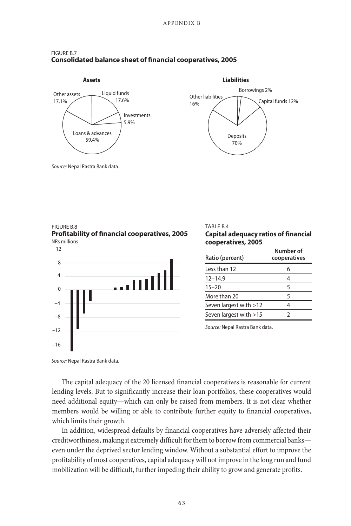#### FIGURE B.7 **Consolidated balance sheet of financial cooperatives, 2005**





Source: Nepal Rastra Bank data.

#### FIGURE B.8 **Profitability of financial cooperatives, 2005** NRs millions



#### TABLE B.4 **Capital adequacy ratios of financial cooperatives, 2005**

| Ratio (percent)        | Number of<br>cooperatives |
|------------------------|---------------------------|
| Less than 12           | 6                         |
| $12 - 14.9$            | 4                         |
| $15 - 20$              | 5                         |
| More than 20           | 5                         |
| Seven largest with >12 | 4                         |
| Seven largest with >15 |                           |

Source: Nepal Rastra Bank data.

The capital adequacy of the 20 licensed financial cooperatives is reasonable for current lending levels. But to significantly increase their loan portfolios, these cooperatives would need additional equity—which can only be raised from members. It is not clear whether members would be willing or able to contribute further equity to financial cooperatives, which limits their growth.

In addition, widespread defaults by financial cooperatives have adversely affected their creditworthiness, making it extremely difficult for them to borrow from commercial banks even under the deprived sector lending window. Without a substantial effort to improve the profitability of most cooperatives, capital adequacy will not improve in the long run and fund mobilization will be difficult, further impeding their ability to grow and generate profits.

Source: Nepal Rastra Bank data.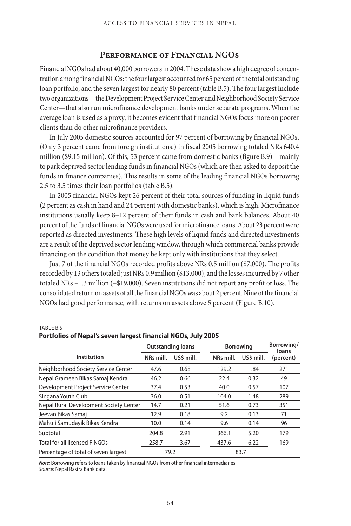# **Performance of Financial NGOs**

Financial NGOs had about 40,000 borrowers in 2004. These data show a high degree of concentration among financial NGOs: the four largest accounted for 65 percent of the total outstanding loan portfolio, and the seven largest for nearly 80 percent (table B.5). The four largest include two organizations—the Development Project Service Center and Neighborhood Society Service Center—that also run microfinance development banks under separate programs. When the average loan is used as a proxy, it becomes evident that financial NGOs focus more on poorer clients than do other microfinance providers.

In July 2005 domestic sources accounted for 97 percent of borrowing by financial NGOs. (Only 3 percent came from foreign institutions.) In fiscal 2005 borrowing totaled NRs 640.4 million (\$9.15 million). Of this, 53 percent came from domestic banks (figure B.9)—mainly to park deprived sector lending funds in financial NGOs (which are then asked to deposit the funds in finance companies). This results in some of the leading financial NGOs borrowing 2.5 to 3.5 times their loan portfolios (table B.5).

In 2005 financial NGOs kept 26 percent of their total sources of funding in liquid funds (2 percent as cash in hand and 24 percent with domestic banks), which is high. Microfinance institutions usually keep 8–12 percent of their funds in cash and bank balances. About 40 percent of the funds of financial NGOs were used for microfinance loans. About 23 percent were reported as directed investments. These high levels of liquid funds and directed investments are a result of the deprived sector lending window, through which commercial banks provide financing on the condition that money be kept only with institutions that they select.

Just 7 of the financial NGOs recorded profits above NRs 0.5 million (\$7,000). The profits recorded by 13 others totaled just NRs 0.9 million (\$13,000), and the losses incurred by 7 other totaled NRs –1.3 million (–\$19,000). Seven institutions did not report any profit or loss. The consolidated return on assets of all the financial NGOs was about 2 percent. Nine of the financial NGOs had good performance, with returns on assets above 5 percent (Figure B.10).

|                                              | <b>Outstanding loans</b> |            |  | <b>Borrowing</b> | Borrowing/<br>loans |           |
|----------------------------------------------|--------------------------|------------|--|------------------|---------------------|-----------|
| Institution                                  | NRs mill.                | US\$ mill. |  | NRs mill.        | US\$ mill.          | (percent) |
| Neighborhood Society Service Center          | 47.6                     | 0.68       |  | 129.2            | 1.84                | 271       |
| Nepal Grameen Bikas Samaj Kendra             | 46.2                     | 0.66       |  | 22.4             | 0.32                | 49        |
| Development Project Service Center           | 37.4                     | 0.53       |  | 40.0             | 0.57                | 107       |
| Singana Youth Club                           | 36.0                     | 0.51       |  | 104.0            | 1.48                | 289       |
| Nepal Rural Development Society Center       | 14.7                     | 0.21       |  | 51.6             | 0.73                | 351       |
| Jeevan Bikas Samaj                           | 12.9                     | 0.18       |  | 9.2              | 0.13                | 71        |
| Mahuli Samudayik Bikas Kendra                | 10.0                     | 0.14       |  | 9.6              | 0.14                | 96        |
| Subtotal                                     | 204.8                    | 2.91       |  | 366.1            | 5.20                | 179       |
| <b>Total for all licensed FINGOs</b>         | 258.7                    | 3.67       |  | 437.6            | 6.22                | 169       |
| Percentage of total of seven largest<br>79.2 |                          |            |  |                  | 83.7                |           |

#### TABLE B.5 **Portfolios of Nepal's seven largest financial NGOs, July 2005**

Note: Borrowing refers to loans taken by financial NGOs from other financial intermediaries. Source: Nepal Rastra Bank data.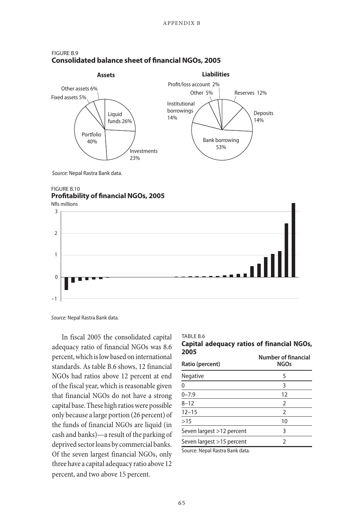



Source: Nepal Rastra Bank data.

#### FIGURE B.10 **Profitability of financial NGOs, 2005** NRs millions



Source: Nepal Rastra Bank data.

In fiscal 2005 the consolidated capital adequacy ratio of financial NGOs was 8.6 percent, which is low based on international standards. As table B.6 shows, 12 financial NGOs had ratios above 12 percent at end of the fiscal year, which is reasonable given that financial NGOs do not have a strong capital base. These high ratios were possible only because a large portion (26 percent) of the funds of financial NGOs are liquid (in cash and banks)—a result of the parking of deprived sector loans by commercial banks. Of the seven largest financial NGOs, only three have a capital adequacy ratio above 12 percent, and two above 15 percent.

#### TABLE B.6

| --------<br>2005               |                                           |
|--------------------------------|-------------------------------------------|
| Ratio (percent)                | <b>Number of financial</b><br><b>NGOs</b> |
| Negative                       | 5                                         |
| 0                              | 3                                         |
| $0 - 7.9$                      | 12                                        |
| $8 - 12$                       | 2                                         |
| $12 - 15$                      | 2                                         |
| >15                            | 10                                        |
| Seven largest >12 percent      | 3                                         |
| Seven largest >15 percent      | 2                                         |
| Source: Nenal Rastra Rank data |                                           |

**Capital adequacy ratios of financial NGOs,** 

urce: Nepal Rastra Bank data.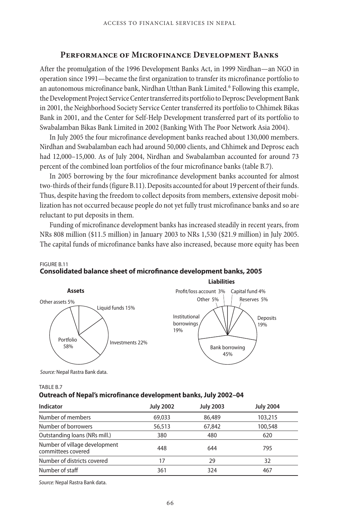## **Performance of Microfinance Development Banks**

After the promulgation of the 1996 Development Banks Act, in 1999 Nirdhan—an NGO in operation since 1991—became the first organization to transfer its microfinance portfolio to an autonomous microfinance bank, Nirdhan Utthan Bank Limited.<sup>6</sup> Following this example, the Development Project Service Center transferred its portfolio to Deprosc Development Bank in 2001, the Neighborhood Society Service Center transferred its portfolio to Chhimek Bikas Bank in 2001, and the Center for Self-Help Development transferred part of its portfolio to Swabalamban Bikas Bank Limited in 2002 (Banking With The Poor Network Asia 2004).

In July 2005 the four microfinance development banks reached about 130,000 members. Nirdhan and Swabalamban each had around 50,000 clients, and Chhimek and Deprosc each had 12,000–15,000. As of July 2004, Nirdhan and Swabalamban accounted for around 73 percent of the combined loan portfolios of the four microfinance banks (table B.7).

In 2005 borrowing by the four microfinance development banks accounted for almost two-thirds of their funds (figure B.11). Deposits accounted for about 19 percent of their funds. Thus, despite having the freedom to collect deposits from members, extensive deposit mobilization has not occurred because people do not yet fully trust microfinance banks and so are reluctant to put deposits in them.

Funding of microfinance development banks has increased steadily in recent years, from NRs 808 million (\$11.5 million) in January 2003 to NRs 1,530 (\$21.9 million) in July 2005. The capital funds of microfinance banks have also increased, because more equity has been

#### FIGURE B.11 **Consolidated balance sheet of microfinance development banks, 2005**





Source: Nepal Rastra Bank data.

#### TABLE B.7 **Outreach of Nepal's microfinance development banks, July 2002–04**

| Indicator                                           | <b>July 2002</b> | <b>July 2003</b> | <b>July 2004</b> |
|-----------------------------------------------------|------------------|------------------|------------------|
| Number of members                                   | 69,033           | 86,489           | 103,215          |
| Number of borrowers                                 | 56,513           | 67,842           | 100,548          |
| Outstanding loans (NRs mill.)                       | 380              | 480              | 620              |
| Number of village development<br>committees covered | 448              | 644              | 795              |
| Number of districts covered                         | 17               | 29               | 32               |
| Number of staff                                     | 361              | 324              | 467              |

Source: Nepal Rastra Bank data.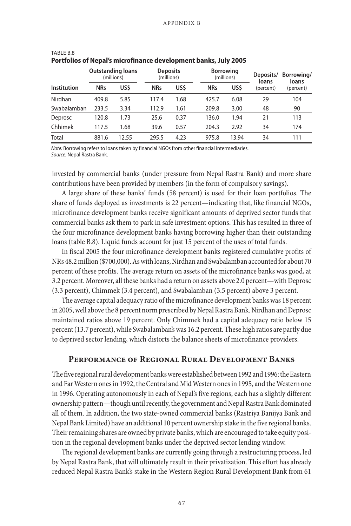|             | <b>Outstanding loans</b><br>(millions) |       |            | <b>Deposits</b><br>(millions) |            | <b>Borrowing</b><br>(millions) |                    | Borrowing/<br>loans |
|-------------|----------------------------------------|-------|------------|-------------------------------|------------|--------------------------------|--------------------|---------------------|
| Institution | <b>NRs</b>                             | US\$  | <b>NRs</b> | US\$                          | <b>NRs</b> | US\$                           | loans<br>(percent) | (percent)           |
| Nirdhan     | 409.8                                  | 5.85  | 117.4      | 1.68                          | 425.7      | 6.08                           | 29                 | 104                 |
| Swabalamban | 233.5                                  | 3.34  | 112.9      | 1.61                          | 209.8      | 3.00                           | 48                 | 90                  |
| Deprosc     | 120.8                                  | 1.73  | 25.6       | 0.37                          | 136.0      | 1.94                           | 21                 | 113                 |
| Chhimek     | 117.5                                  | 1.68  | 39.6       | 0.57                          | 204.3      | 2.92                           | 34                 | 174                 |
| Total       | 881.6                                  | 12.55 | 295.5      | 4.23                          | 975.8      | 13.94                          | 34                 | 111                 |

#### TABLE B.8 **Portfolios of Nepal's microfinance development banks, July 2005**

Note: Borrowing refers to loans taken by financial NGOs from other financial intermediaries. Source: Nepal Rastra Bank.

invested by commercial banks (under pressure from Nepal Rastra Bank) and more share contributions have been provided by members (in the form of compulsory savings).

A large share of these banks' funds (58 percent) is used for their loan portfolios. The share of funds deployed as investments is 22 percent—indicating that, like financial NGOs, microfinance development banks receive significant amounts of deprived sector funds that commercial banks ask them to park in safe investment options. This has resulted in three of the four microfinance development banks having borrowing higher than their outstanding loans (table B.8). Liquid funds account for just 15 percent of the uses of total funds.

In fiscal 2005 the four microfinance development banks registered cumulative profits of NRs 48.2 million (\$700,000). As with loans, Nirdhan and Swabalamban accounted for about 70 percent of these profits. The average return on assets of the microfinance banks was good, at 3.2 percent. Moreover, all these banks had a return on assets above 2.0 percent—with Deprosc (3.3 percent), Chimmek (3.4 percent), and Swabalamban (3.5 percent) above 3 percent.

The average capital adequacy ratio of the microfinance development banks was 18 percent in 2005, well above the 8 percent norm prescribed by Nepal Rastra Bank. Nirdhan and Deprosc maintained ratios above 19 percent. Only Chimmek had a capital adequacy ratio below 15 percent (13.7 percent), while Swabalamban's was 16.2 percent. These high ratios are partly due to deprived sector lending, which distorts the balance sheets of microfinance providers.

## **Performance of Regional Rural Development Banks**

The five regional rural development banks were established between 1992 and 1996: the Eastern and Far Western ones in 1992, the Central and Mid Western ones in 1995, and the Western one in 1996. Operating autonomously in each of Nepal's five regions, each has a slightly different ownership pattern—though until recently, the government and Nepal Rastra Bank dominated all of them. In addition, the two state-owned commercial banks (Rastriya Banijya Bank and Nepal Bank Limited) have an additional 10 percent ownership stake in the five regional banks. Their remaining shares are owned by private banks, which are encouraged to take equity position in the regional development banks under the deprived sector lending window.

The regional development banks are currently going through a restructuring process, led by Nepal Rastra Bank, that will ultimately result in their privatization. This effort has already reduced Nepal Rastra Bank's stake in the Western Region Rural Development Bank from 61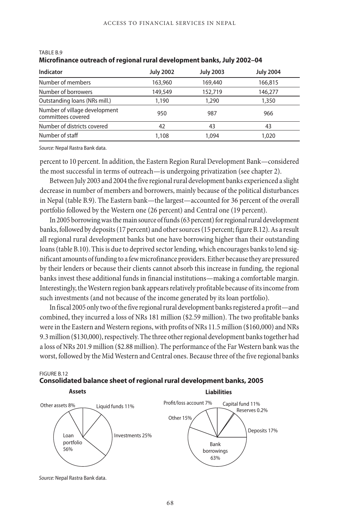| Indicator                                           | <b>July 2002</b> | <b>July 2003</b> | <b>July 2004</b> |
|-----------------------------------------------------|------------------|------------------|------------------|
| Number of members                                   | 163,960          | 169,440          | 166,815          |
| Number of borrowers                                 | 149,549          | 152,719          | 146,277          |
| Outstanding loans (NRs mill.)                       | 1,190            | 1,290            | 1,350            |
| Number of village development<br>committees covered | 950              | 987              | 966              |
| Number of districts covered                         | 42               | 43               | 43               |
| Number of staff                                     | 1,108            | 1.094            | 1,020            |

#### TABLE B.9 **Microfinance outreach of regional rural development banks, July 2002–04**

Source: Nepal Rastra Bank data.

percent to 10 percent. In addition, the Eastern Region Rural Development Bank—considered the most successful in terms of outreach—is undergoing privatization (see chapter 2).

Between July 2003 and 2004 the five regional rural development banks experienced a slight decrease in number of members and borrowers, mainly because of the political disturbances in Nepal (table B.9). The Eastern bank—the largest—accounted for 36 percent of the overall portfolio followed by the Western one (26 percent) and Central one (19 percent).

In 2005 borrowing was the main source of funds (63 percent) for regional rural development banks, followed by deposits (17 percent) and other sources (15 percent; figure B.12). As a result all regional rural development banks but one have borrowing higher than their outstanding loans (table B.10). This is due to deprived sector lending, which encourages banks to lend significant amounts of funding to a few microfinance providers. Either because they are pressured by their lenders or because their clients cannot absorb this increase in funding, the regional banks invest these additional funds in financial institutions—making a comfortable margin. Interestingly, the Western region bank appears relatively profitable because of its income from such investments (and not because of the income generated by its loan portfolio).

In fiscal 2005 only two of the five regional rural development banks registered a profit—and combined, they incurred a loss of NRs 181 million (\$2.59 million). The two profitable banks were in the Eastern and Western regions, with profits of NRs 11.5 million (\$160,000) and NRs 9.3 million (\$130,000), respectively. The three other regional development banks together had a loss of NRs 201.9 million (\$2.88 million). The performance of the Far Western bank was the worst, followed by the Mid Western and Central ones. Because three of the five regional banks

#### FIGURE B.12 **Consolidated balance sheet ofregionalrural development banks, 2005**



Source: Nepal Rastra Bank data.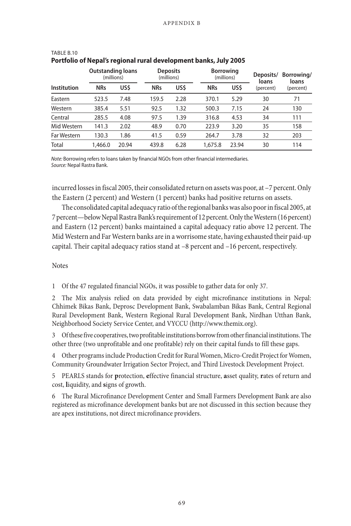|             | <b>Outstanding loans</b><br>(millions) |       |            | <b>Deposits</b><br>(millions) |  | Borrowing<br>(millions) |       | Deposits/<br>loans | Borrowing/<br>loans |
|-------------|----------------------------------------|-------|------------|-------------------------------|--|-------------------------|-------|--------------------|---------------------|
| Institution | <b>NRs</b>                             | US\$  | <b>NRs</b> | US\$                          |  | <b>NRs</b>              | US\$  | (percent)          | (percent)           |
| Eastern     | 523.5                                  | 7.48  | 159.5      | 2.28                          |  | 370.1                   | 5.29  | 30                 | 71                  |
| Western     | 385.4                                  | 5.51  | 92.5       | 1.32                          |  | 500.3                   | 7.15  | 24                 | 130                 |
| Central     | 285.5                                  | 4.08  | 97.5       | 1.39                          |  | 316.8                   | 4.53  | 34                 | 111                 |
| Mid Western | 141.3                                  | 2.02  | 48.9       | 0.70                          |  | 223.9                   | 3.20  | 35                 | 158                 |
| Far Western | 130.3                                  | 1.86  | 41.5       | 0.59                          |  | 264.7                   | 3.78  | 32                 | 203                 |
| Total       | 1.466.0                                | 20.94 | 439.8      | 6.28                          |  | 1,675.8                 | 23.94 | 30                 | 114                 |

#### TABLE B.10 **Portfolio of Nepal's regional rural development banks, July 2005**

Note: Borrowing refers to loans taken by financial NGOs from other financial intermediaries. Source: Nepal Rastra Bank.

incurred losses in fiscal 2005, their consolidated return on assets was poor, at –7 percent. Only the Eastern (2 percent) and Western (1 percent) banks had positive returns on assets.

The consolidated capital adequacy ratio of the regional banks was also poor in fiscal 2005, at 7 percent—below Nepal Rastra Bank's requirement of 12 percent. Only the Western (16 percent) and Eastern (12 percent) banks maintained a capital adequacy ratio above 12 percent. The Mid Western and Far Western banks are in a worrisome state, having exhausted their paid-up capital. Their capital adequacy ratios stand at –8 percent and –16 percent, respectively.

## Notes

1 Of the 47 regulated financial NGOs, it was possible to gather data for only 37.

2 The Mix analysis relied on data provided by eight microfinance institutions in Nepal: Chhimek Bikas Bank, Deprosc Development Bank, Swabalamban Bikas Bank, Central Regional Rural Development Bank, Western Regional Rural Development Bank, Nirdhan Utthan Bank, Neighborhood Society Service Center, and VYCCU (http://www.themix.org).

3 Of these five cooperatives, two profitable institutions borrow from other financial institutions. The other three (two unprofitable and one profitable) rely on their capital funds to fill these gaps.

4 Other programs include Production Credit for Rural Women, Micro-Credit Project for Women, Community Groundwater Irrigation Sector Project, and Third Livestock Development Project.

5 PEARLS stands for **p**rotection, **e**ffective financial structure, **a**sset quality, **r**ates of return and cost, **l**iquidity, and **s**igns of growth.

6 The Rural Microfinance Development Center and Small Farmers Development Bank are also registered as microfinance development banks but are not discussed in this section because they are apex institutions, not direct microfinance providers.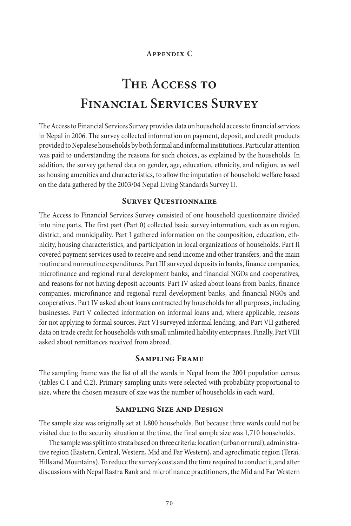## **Appendix C**

# **The Access to Financial Services Survey**

The Access to Financial Services Survey provides data on household access to financial services in Nepal in 2006. The survey collected information on payment, deposit, and credit products provided to Nepalese households by both formal and informal institutions. Particular attention was paid to understanding the reasons for such choices, as explained by the households. In addition, the survey gathered data on gender, age, education, ethnicity, and religion, as well as housing amenities and characteristics, to allow the imputation of household welfare based on the data gathered by the 2003/04 Nepal Living Standards Survey II.

## **Survey Questionnaire**

The Access to Financial Services Survey consisted of one household questionnaire divided into nine parts. The first part (Part 0) collected basic survey information, such as on region, district, and municipality. Part I gathered information on the composition, education, ethnicity, housing characteristics, and participation in local organizations of households. Part II covered payment services used to receive and send income and other transfers, and the main routine and nonroutine expenditures. Part III surveyed deposits in banks, finance companies, microfinance and regional rural development banks, and financial NGOs and cooperatives, and reasons for not having deposit accounts. Part IV asked about loans from banks, finance companies, microfinance and regional rural development banks, and financial NGOs and cooperatives. Part IV asked about loans contracted by households for all purposes, including businesses. Part V collected information on informal loans and, where applicable, reasons for not applying to formal sources. Part VI surveyed informal lending, and Part VII gathered data on trade credit for households with small unlimited liability enterprises. Finally, Part VIII asked about remittances received from abroad.

## **Sampling Frame**

The sampling frame was the list of all the wards in Nepal from the 2001 population census (tables C.1 and C.2). Primary sampling units were selected with probability proportional to size, where the chosen measure of size was the number of households in each ward.

## **Sampling Size and Design**

The sample size was originally set at 1,800 households. But because three wards could not be visited due to the security situation at the time, the final sample size was 1,710 households.

The sample was split into strata based on three criteria: location (urban or rural), administrative region (Eastern, Central, Western, Mid and Far Western), and agroclimatic region (Terai, Hills and Mountains). To reduce the survey's costs and the time required to conduct it, and after discussions with Nepal Rastra Bank and microfinance practitioners, the Mid and Far Western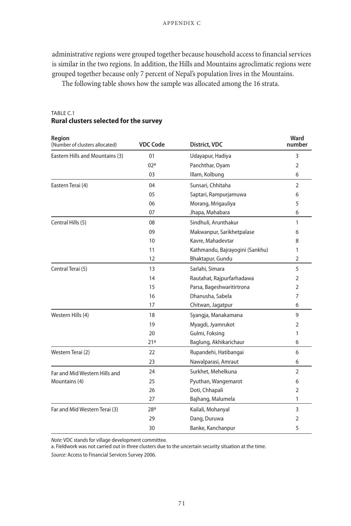administrative regions were grouped together because household access to financial services is similar in the two regions. In addition, the Hills and Mountains agroclimatic regions were grouped together because only 7 percent of Nepal's population lives in the Mountains.

The following table shows how the sample was allocated among the 16 strata.

| Region<br>(Number of clusters allocated) | <b>VDC Code</b> | District, VDC                   | Ward<br>number |
|------------------------------------------|-----------------|---------------------------------|----------------|
| Eastern Hills and Mountains (3)          | 01              | Udayapur, Hadiya                | 3              |
|                                          | 02 <sup>a</sup> | Panchthar, Oyam                 | 2              |
|                                          | 03              | Illam, Kolbung                  | 6              |
| Eastern Terai (4)                        | 04              | Sunsari, Chhitaha               | 2              |
|                                          | 05              | Saptari, Rampurjamuwa           | 6              |
|                                          | 06              | Morang, Mrigauliya              | 5              |
|                                          | 07              | Jhapa, Mahabara                 | 6              |
| Central Hills (5)                        | 08              | Sindhuli, Arunthakur            | 1              |
|                                          | 09              | Makwanpur, Sarikhetpalase       | 6              |
|                                          | 10              | Kavre, Mahadevtar               | 8              |
|                                          | 11              | Kathmandu, Bajrayogini (Sankhu) | 1              |
|                                          | 12              | Bhaktapur, Gundu                | 2              |
| Central Terai (5)                        | 13              | Sarlahi, Simara                 | 5              |
|                                          | 14              | Rautahat, Rajpurfarhadawa       | 2              |
|                                          | 15              | Parsa, Bageshwaritirtrona       | 2              |
|                                          | 16              | Dhanusha, Sabela                | 7              |
|                                          | 17              | Chitwan, Jagatpur               | 6              |
| Western Hills (4)                        | 18              | Syangja, Manakamana             | 9              |
|                                          | 19              | Myaqdi, Jyamrukot               | 2              |
|                                          | 20              | Gulmi, Foksing                  | 1              |
|                                          | 21a             | Baglung, Akhikarichaur          | 6              |
| Western Terai (2)                        | 22              | Rupandehi, Hatibangai           | 6              |
|                                          | 23              | Nawalparasi, Amraut             | 6              |
| Far and Mid Western Hills and            | 24              | Surkhet, Mehelkuna              | 2              |
| Mountains (4)                            | 25              | Pyuthan, Wangemarot             | 6              |
|                                          | 26              | Doti, Chhapali                  | $\overline{2}$ |
|                                          | 27              | Bajhang, Malumela               | 1              |
| Far and Mid Western Terai (3)            | 28 <sup>a</sup> | Kailali, Mohanyal               | 3              |
|                                          | 29              | Dang, Duruwa                    | $\overline{2}$ |
|                                          | 30              | Banke, Kanchanpur               | 5              |

## TABLE C.1 **Rural clusters selected for the survey**

Note: VDC stands for village development committee.

a. Fieldwork was not carried out in three clusters due to the uncertain security situation at the time.

Source: Access to Financial Services Survey 2006.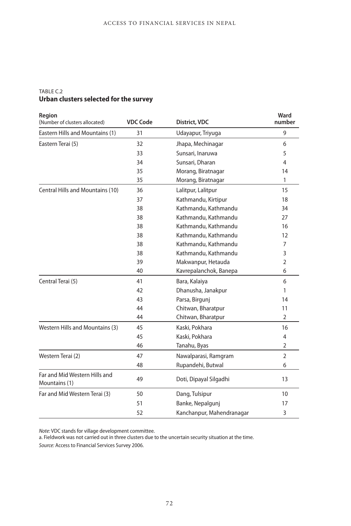## TABLE C.2 **Urban clusters selected for the survey**

| Region<br>(Number of clusters allocated)       | <b>VDC Code</b> | District, VDC             | Ward<br>number |
|------------------------------------------------|-----------------|---------------------------|----------------|
| Eastern Hills and Mountains (1)                | 31              | Udayapur, Triyuga         | 9              |
| Eastern Terai (5)                              | 32              | Jhapa, Mechinagar         | 6              |
|                                                | 33              | Sunsari, Inaruwa          | 5              |
|                                                | 34              | Sunsari, Dharan           | 4              |
|                                                | 35              | Morang, Biratnagar        | 14             |
|                                                | 35              | Morang, Biratnagar        | $\mathbf{1}$   |
| <b>Central Hills and Mountains (10)</b>        | 36              | Lalitpur, Lalitpur        | 15             |
|                                                | 37              | Kathmandu, Kirtipur       | 18             |
|                                                | 38              | Kathmandu, Kathmandu      | 34             |
|                                                | 38              | Kathmandu, Kathmandu      | 27             |
|                                                | 38              | Kathmandu, Kathmandu      | 16             |
|                                                | 38              | Kathmandu, Kathmandu      | 12             |
|                                                | 38              | Kathmandu, Kathmandu      | 7              |
|                                                | 38              | Kathmandu, Kathmandu      | 3              |
|                                                | 39              | Makwanpur, Hetauda        | 2              |
|                                                | 40              | Kavrepalanchok, Banepa    | 6              |
| Central Terai (5)                              | 41              | Bara, Kalaiya             | 6              |
|                                                | 42              | Dhanusha, Janakpur        | 1              |
|                                                | 43              | Parsa, Birgunj            | 14             |
|                                                | 44              | Chitwan, Bharatpur        | 11             |
|                                                | 44              | Chitwan, Bharatpur        | 2              |
| Western Hills and Mountains (3)                | 45              | Kaski, Pokhara            | 16             |
|                                                | 45              | Kaski, Pokhara            | 4              |
|                                                | 46              | Tanahu, Byas              | 2              |
| Western Terai (2)                              | 47              | Nawalparasi, Ramgram      | $\overline{2}$ |
|                                                | 48              | Rupandehi, Butwal         | 6              |
| Far and Mid Western Hills and<br>Mountains (1) | 49              | Doti, Dipayal Silgadhi    | 13             |
| Far and Mid Western Terai (3)                  | 50              | Dang, Tulsipur            | 10             |
|                                                | 51              | Banke, Nepalgunj          | 17             |
|                                                | 52              | Kanchanpur, Mahendranagar | 3              |

Note: VDC stands for village development committee.

a. Fieldwork was not carried out in three clusters due to the uncertain security situation at the time. Source: Access to Financial Services Survey 2006.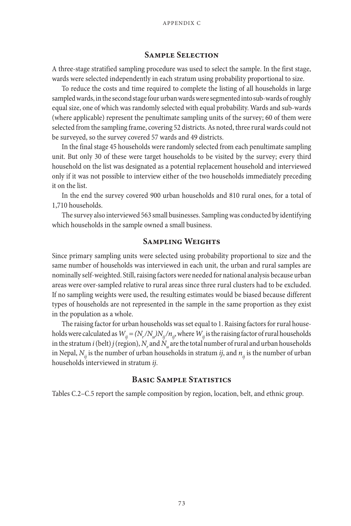# **Sample Selection**

A three-stage stratified sampling procedure was used to select the sample. In the first stage, wards were selected independently in each stratum using probability proportional to size.

To reduce the costs and time required to complete the listing of all households in large sampled wards, in the second stage four urban wards were segmented into sub-wards of roughly equal size, one of which was randomly selected with equal probability. Wards and sub-wards (where applicable) represent the penultimate sampling units of the survey; 60 of them were selected from the sampling frame, covering 52 districts. As noted, three rural wards could not be surveyed, so the survey covered 57 wards and 49 districts.

In the final stage 45 households were randomly selected from each penultimate sampling unit. But only 30 of these were target households to be visited by the survey; every third household on the list was designated as a potential replacement household and interviewed only if it was not possible to interview either of the two households immediately preceding it on the list.

In the end the survey covered 900 urban households and 810 rural ones, for a total of 1,710 households.

The survey also interviewed 563 small businesses. Sampling was conducted by identifying which households in the sample owned a small business.

## **Sampling Weights**

Since primary sampling units were selected using probability proportional to size and the same number of households was interviewed in each unit, the urban and rural samples are nominally self-weighted. Still, raising factors were needed for national analysis because urban areas were over-sampled relative to rural areas since three rural clusters had to be excluded. If no sampling weights were used, the resulting estimates would be biased because different types of households are not represented in the sample in the same proportion as they exist in the population as a whole.

The raising factor for urban households was set equal to 1. Raising factors for rural households were calculated as  $W_{ij} = (N_r/N_u)N_{ij}/n_{ij}$ , where  $W_{ij}$  is the raising factor of rural households in the stratum *i* (belt) *j* (region),  $N_r$  and  $N_u$  are the total number of rural and urban households in Nepal,  $N_{ii}$  is the number of urban households in stratum *ij*, and  $n_{ii}$  is the number of urban households interviewed in stratum *ij*.

## **Basic Sample Statistics**

Tables C.2–C.5 report the sample composition by region, location, belt, and ethnic group.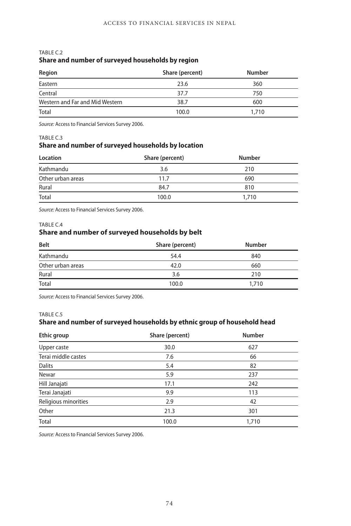## TABLE C.2 **Share and number of surveyed households by region**

| Region                          | Share (percent) | <b>Number</b> |
|---------------------------------|-----------------|---------------|
| Eastern                         | 23.6            | 360           |
| Central                         | 37.7            | 750           |
| Western and Far and Mid Western | 38.7            | 600           |
| Total                           | 100.0           | 1,710         |

Source: Access to Financial Services Survey 2006.

#### TABLE C.3 **Share and number of surveyed households by location**

| <b>Location</b>   | Share (percent) | <b>Number</b> |
|-------------------|-----------------|---------------|
| Kathmandu         | 3.6             | 210           |
| Other urban areas | 11.7            | 690           |
| Rural             | 84.7            | 810           |
| Total             | 100.0           | 1,710         |

Source: Access to Financial Services Survey 2006.

## TABLE C.4 **Share and number of surveyed households by belt**

| <b>Belt</b>       | Share (percent) | <b>Number</b> |
|-------------------|-----------------|---------------|
| Kathmandu         | 54.4            | 840           |
| Other urban areas | 42.0            | 660           |
| Rural             | 3.6             | 210           |
| Total             | 100.0           | 1,710         |

Source: Access to Financial Services Survey 2006.

#### TABLE C.5

# **Share and number of surveyed households by ethnic group of household head**

| Ethic group          | Share (percent) | <b>Number</b> |
|----------------------|-----------------|---------------|
| Upper caste          | 30.0            | 627           |
| Terai middle castes  | 7.6             | 66            |
| Dalits               | 5.4             | 82            |
| Newar                | 5.9             | 237           |
| Hill Janajati        | 17.1            | 242           |
| Terai Janajati       | 9.9             | 113           |
| Religious minorities | 2.9             | 42            |
| Other                | 21.3            | 301           |
| Total                | 100.0           | 1,710         |

Source: Access to Financial Services Survey 2006.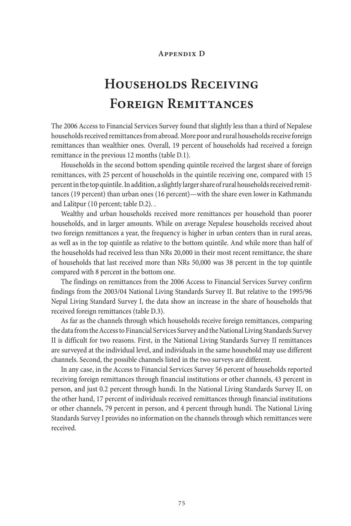## **Appendix D**

# **Households Receiving Foreign Remittances**

The 2006 Access to Financial Services Survey found that slightly less than a third of Nepalese households received remittances from abroad. More poor and rural households receive foreign remittances than wealthier ones*.* Overall, 19 percent of households had received a foreign remittance in the previous 12 months (table D.1).

Households in the second bottom spending quintile received the largest share of foreign remittances, with 25 percent of households in the quintile receiving one, compared with 15 percent in the top quintile. In addition, a slightly larger share of rural households received remittances (19 percent) than urban ones (16 percent)—with the share even lower in Kathmandu and Lalitpur (10 percent; table D.2). .

Wealthy and urban households received more remittances per household than poorer households, and in larger amounts. While on average Nepalese households received about two foreign remittances a year, the frequency is higher in urban centers than in rural areas, as well as in the top quintile as relative to the bottom quintile. And while more than half of the households had received less than NRs 20,000 in their most recent remittance, the share of households that last received more than NRs 50,000 was 38 percent in the top quintile compared with 8 percent in the bottom one.

The findings on remittances from the 2006 Access to Financial Services Survey confirm findings from the 2003/04 National Living Standards Survey II. But relative to the 1995/96 Nepal Living Standard Survey I, the data show an increase in the share of households that received foreign remittances (table D.3).

As far as the channels through which households receive foreign remittances, comparing the data from the Access to Financial Services Survey and the National Living Standards Survey II is difficult for two reasons. First, in the National Living Standards Survey II remittances are surveyed at the individual level, and individuals in the same household may use different channels. Second, the possible channels listed in the two surveys are different.

In any case, in the Access to Financial Services Survey 56 percent of households reported receiving foreign remittances through financial institutions or other channels, 43 percent in person, and just 0.2 percent through hundi. In the National Living Standards Survey II, on the other hand, 17 percent of individuals received remittances through financial institutions or other channels, 79 percent in person, and 4 percent through hundi. The National Living Standards Survey I provides no information on the channels through which remittances were received.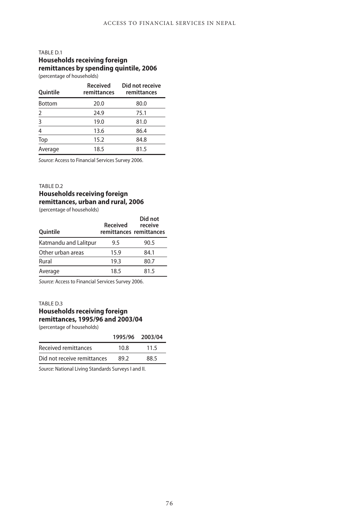#### TABLE D.1 **Households receiving foreign remittances by spending quintile, 2006**

(percentage of households)

| <b>Ouintile</b> | <b>Received</b><br>remittances | Did not receive<br>remittances |
|-----------------|--------------------------------|--------------------------------|
| <b>Bottom</b>   | 20.0                           | 80.0                           |
| $\overline{2}$  | 24.9                           | 75.1                           |
| 3               | 19.0                           | 81.0                           |
| 4               | 13.6                           | 86.4                           |
| Top             | 15.2                           | 84.8                           |
| Average         | 18.5                           | 81.5                           |

Source: Access to Financial Services Survey 2006.

#### TABLE D.2

## **Households receiving foreign remittances, urban and rural, 2006**

(percentage of households)

| Quintile              | Received | Did not<br>receive<br>remittances remittances |
|-----------------------|----------|-----------------------------------------------|
| Katmandu and Lalitpur | 9.5      | 90.5                                          |
| Other urban areas     | 15.9     | 84.1                                          |
| Rural                 | 19.3     | 80.7                                          |
| Average               | 18.5     | 81.5                                          |

Source: Access to Financial Services Survey 2006.

#### TABLE D.3

### **Households receiving foreign remittances, 1995/96 and 2003/04**

(percentage of households)

|                             |      | 1995/96 2003/04 |
|-----------------------------|------|-----------------|
| Received remittances        | 10.8 | 11.5            |
| Did not receive remittances | 89.2 | 88.5            |

Source: National Living Standards Surveys I and II.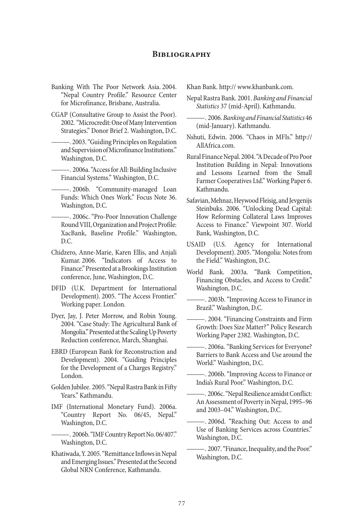#### **Bibliography**

- Banking With The Poor Network Asia. 2004. "Nepal Country Profile." Resource Center for Microfinance, Brisbane, Australia.
- CGAP (Consultative Group to Assist the Poor). 2002. "Microcredit: One of Many Intervention Strategies." Donor Brief 2. Washington, D.C.
- -. 2003. "Guiding Principles on Regulation and Supervision of Microfinance Institutions." Washington, D.C.
- ———. 2006a. "Access for All: Building Inclusive Financial Systems." Washington, D.C.
- 2006b. "Community-managed Loan Funds: Which Ones Work." Focus Note 36. Washington, D.C.
- ———. 2006c. "Pro-Poor Innovation Challenge Round VIII, Organization and Project Profile: XacBank, Baseline Profile." Washington, D.C.
- Chidzero, Anne-Marie, Karen Ellis, and Anjali Kumar. 2006. "Indicators of Access to Finance." Presented at a Brookings Institution conference, June, Washington, D.C.
- DFID (U.K. Department for International Development). 2005. "The Access Frontier." Working paper. London.
- Dyer, Jay, J. Peter Morrow, and Robin Young. 2004. "Case Study: The Agricultural Bank of Mongolia." Presented at the Scaling Up Poverty Reduction conference, March, Shanghai.
- EBRD (European Bank for Reconstruction and Development). 2004. "Guiding Principles for the Development of a Charges Registry." London.
- Golden Jubilee. 2005. "Nepal Rastra Bank in Fifty Years." Kathmandu.
- IMF (International Monetary Fund). 2006a. "Country Report No. 06/45, Nepal." Washington, D.C.

-. 2006b. "IMF Country Report No. 06/407." Washington, D.C.

Khatiwada, Y. 2005. "Remittance Inflows in Nepal and Emerging Issues." Presented at the Second Global NRN Conference, Kathmandu.

Khan Bank. http:// www.khanbank.com.

- Nepal Rastra Bank. 2001. *Banking and Financial Statistics* 37 (mid-April). Kathmandu.
	- ———. 2006. *Banking and Financial Statistics* 46 (mid-January). Kathmandu.
- Nshuti, Edwin. 2006. "Chaos in MFIs." http:// AllAfrica.com.
- Rural Finance Nepal. 2004. "A Decade of Pro Poor Institution Building in Nepal: Innovations and Lessons Learned from the Small Farmer Cooperatives Ltd." Working Paper 6. Kathmandu.
- Safavian, Mehnaz, Heywood Fleisig, and Jevgenijs Steinbuks. 2006. "Unlocking Dead Capital: How Reforming Collateral Laws Improves Access to Finance." Viewpoint 307. World Bank, Washington, D.C.
- USAID (U.S. Agency for International Development). 2005. "Mongolia: Notes from the Field." Washington, D.C.
- World Bank. 2003a. "Bank Competition, Financing Obstacles, and Access to Credit." Washington, D.C.
- ———. 2003b. "Improving Access to Finance in Brazil." Washington, D.C.
- ———. 2004. "Financing Constraints and Firm Growth: Does Size Matter?" Policy Research Working Paper 2382. Washington, D.C.
- -. 2006a. "Banking Services for Everyone? Barriers to Bank Access and Use around the World." Washington, D.C.
- -. 2006b. "Improving Access to Finance or India's Rural Poor." Washington, D.C.
- ———. 2006c. "Nepal Resilience amidst Conflict: An Assessment of Poverty in Nepal, 1995–96 and 2003–04." Washington, D.C.
- ———. 2006d. "Reaching Out: Access to and Use of Banking Services across Countries." Washington, D.C.
- -. 2007. "Finance, Inequality, and the Poor." Washington, D.C.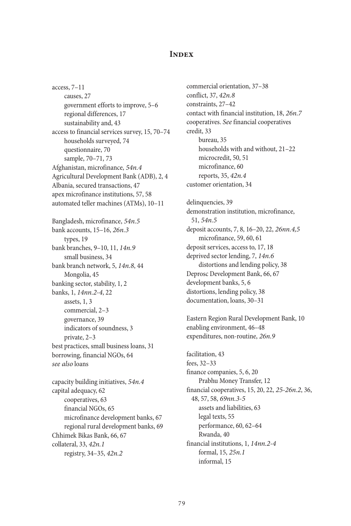# **Index**

access, 7–11 causes, 27 government efforts to improve, 5–6 regional differences, 17 sustainability and, 43 access to financial services survey, 15, 70–74 households surveyed, 74 questionnaire, 70 sample, 70–71, 73 Afghanistan, microfinance, *54n.4* Agricultural Development Bank (ADB), 2, 4 Albania, secured transactions, 47 apex microfinance institutions, 57, 58 automated teller machines (ATMs), 10–11 Bangladesh, microfinance, *54n.5* bank accounts, 15–16, *26n.3* types, 19 bank branches, 9–10, 11, *14n.9* small business, 34 bank branch network, 5, *14n.8*, 44 Mongolia, 45 banking sector, stability, 1, 2 banks, 1, *14nn.2-4*, 22 assets, 1, 3 commercial, 2–3 governance, 39 indicators of soundness, 3 private, 2–3 best practices, small business loans, 31 borrowing, financial NGOs, 64 *see also* loans capacity building initiatives, *54n.4* capital adequacy, 62 cooperatives, 63 financial NGOs, 65 microfinance development banks, 67 regional rural development banks, 69 Chhimek Bikas Bank, 66, 67 collateral, 33, *42n.1* registry, 34–35, *42n.2*

commercial orientation, 37–38 conflict, 37, *42n.8* constraints, 27–42 contact with financial institution, 18, *26n.7* cooperatives. *See* financial cooperatives credit, 33 bureau, 35 households with and without, 21–22 microcredit, 50, 51 microfinance, 60 reports, 35, *42n.4* customer orientation, 34 delinquencies, 39 demonstration institution, microfinance, 51, *54n.5* deposit accounts, 7, 8, 16–20, 22, *26nn.4,5* microfinance, 59, 60, 61 deposit services, access to, 17, 18 deprived sector lending, 7, *14n.6* distortions and lending policy, 38 Deprosc Development Bank, 66, 67 development banks, 5, 6 distortions, lending policy, 38 documentation, loans, 30–31 Eastern Region Rural Development Bank, 10 enabling environment, 46–48 expenditures, non-routine, *26n.9* facilitation, 43 fees, 32–33 finance companies, 5, 6, 20 Prabhu Money Transfer, 12 financial cooperatives, 15, 20, 22, *25-26n.2*, 36, 48, 57, 58, *69nn.3-5* assets and liabilities, 63 legal texts, 55 performance, 60, 62–64 Rwanda, 40 financial institutions, 1, *14nn.2-4* formal, 15, *25n.1* informal, 15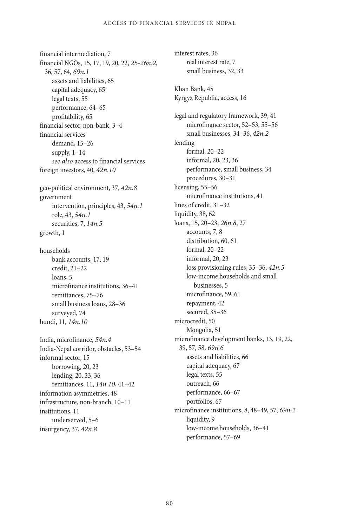financial intermediation, 7 financial NGOs, 15, 17, 19, 20, 22, *25-26n.2*, 36, 57, 64, *69n.1* assets and liabilities, 65 capital adequacy, 65 legal texts, 55 performance, 64–65 profitability, 65 financial sector, non-bank, 3–4 financial services demand, 15–26 supply,  $1-14$ *see also* access to financial services foreign investors, 40, *42n.10* geo-political environment, 37, *42n.8* government intervention, principles, 43, *54n.1* role, 43, *54n.1* securities, 7, *14n.5* growth, 1 households bank accounts, 17, 19 credit, 21–22 loans, 5 microfinance institutions, 36–41 remittances, 75–76 small business loans, 28–36 surveyed, 74 hundi, 11, *14n.10* India, microfinance, *54n.4* India-Nepal corridor, obstacles, 53–54 informal sector, 15 borrowing, 20, 23 lending, 20, 23, 36 remittances, 11, *14n.10*, 41–42 information asymmetries, 48 infrastructure, non-branch, 10–11 institutions, 11

underserved, 5–6 insurgency, 37, *42n.8*

interest rates, 36 real interest rate, 7 small business, 32, 33 Khan Bank, 45 Kyrgyz Republic, access, 16 legal and regulatory framework, 39, 41 microfinance sector, 52–53, 55–56 small businesses, 34–36, *42n.2* lending formal, 20–22 informal, 20, 23, 36 performance, small business, 34 procedures, 30–31 licensing, 55–56 microfinance institutions, 41 lines of credit, 31–32 liquidity, 38, 62 loans, 15, 20–23, *26n.8*, 27 accounts, 7, 8 distribution, 60, 61 formal, 20–22 informal, 20, 23 loss provisioning rules, 35–36, *42n.5* low-income households and small businesses, 5 microfinance, 59, 61 repayment, 42 secured, 35–36 microcredit, 50 Mongolia, 51 microfinance development banks, 13, 19, 22, 39, 57, 58, *69n.6* assets and liabilities, 66 capital adequacy, 67 legal texts, 55 outreach, 66 performance, 66–67 portfolios, 67 microfinance institutions, 8, 48–49, 57, *69n.2* liquidity, 9 low-income households, 36–41 performance, 57–69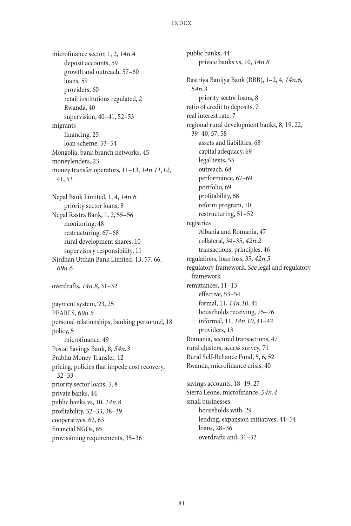microfinance sector, 1, 2, *14n.4* deposit accounts, 59 growth and outreach, 57–60 loans, 59 providers, 60 retail institutions regulated, 2 Rwanda, 40 supervision, 40–41, 52–53 migrants financing, 25 loan scheme, 53–54 Mongolia, bank branch networks, 45 moneylenders, 23 money transfer operators, 11–13, *14n.11,12*, 41, 53

Nepal Bank Limited, 1, 4, *14n.6* priority sector loans, 8 Nepal Rastra Bank, 1, 2, 55–56 monitoring, 48 restructuring, 67–68 rural development shares, 10 supervisory responsibility, 11 Nirdhan Utthan Bank Limited, 13, 57, 66, *69n.6*

overdrafts, *14n.8*, 31–32

payment system, 23, 25 PEARLS, *69n.5* personal relationships, banking personnel, 18 policy, 5 microfinance, 49 Postal Savings Bank, 8, *54n.3* Prabhu Money Transfer, 12 pricing, policies that impede cost recovery, 32–33 priority sector loans, 5, 8 private banks, 44 public banks vs, 10, *14n.8* profitability, 32–33, 38–39 cooperatives, 62, 63 financial NGOs, 65 provisioning requirements, 35–36

public banks, 44 private banks vs, 10, *14n.8* Rastriya Banijya Bank (RBB), 1–2, 4, *14n.6*, *54n.3* priority sector loans, 8 ratio of credit to deposits, 7 real interest rate, 7 regional rural development banks, 8, 19, 22, 39–40, 57, 58 assets and liabilities, 68 capital adequacy, 69 legal texts, 55 outreach, 68 performance, 67–69 portfolio, 69 profitability, 68 reform program, 10 restructuring, 51–52 registries Albania and Romania, 47 collateral, 34–35, *42n.2* transactions, principles, 46 regulations, loan loss, 35, *42n.5* regulatory framework. *See* legal and regulatory framework remittances, 11–13 effective, 53–54 formal, 11, *14n.10*, 41 households receiving, 75–76 informal, 11, *14n.10*, 41–42 providers, 13 Romania, secured transactions, 47 rural clusters, access survey, 71 Rural Self-Reliance Fund, 5, 6, 52 Rwanda, microfinance crisis, 40 savings accounts, 18–19, 27 Sierra Leone, microfinance, *54n.4* small businesses households with, 29 lending, expansion initiatives, 44–54 loans, 28–36

81

overdrafts and, 31–32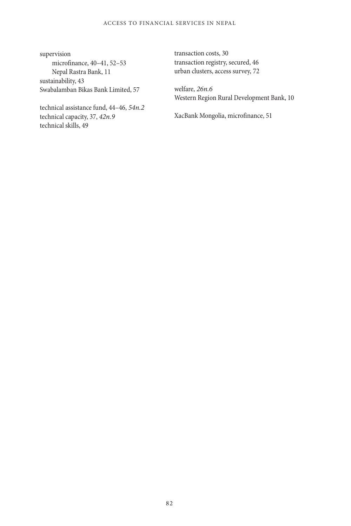supervision microfinance, 40–41, 52–53 Nepal Rastra Bank, 11 sustainability, 43 Swabalamban Bikas Bank Limited, 57

transaction costs, 30 transaction registry, secured, 46 urban clusters, access survey, 72

welfare, *26n.6* Western Region Rural Development Bank, 10

technical assistance fund, 44–46, *54n.2* technical capacity, 37, *42n.9* technical skills, 49

XacBank Mongolia, microfinance, 51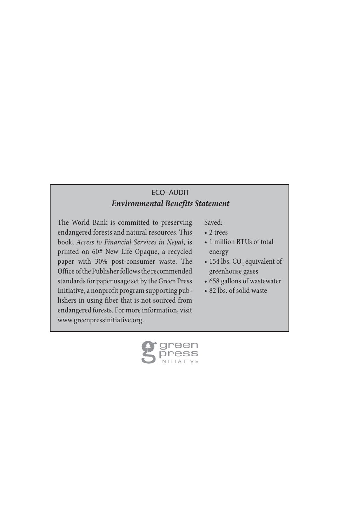# ECO–AUDIT *Environmental Benefits Statement*

The World Bank is committed to preserving endangered forests and natural resources. This book, *Access to Financial Services in Nepal*, is printed on 60# New Life Opaque, a recycled paper with 30% post-consumer waste. The Office of the Publisher follows the recommended standards for paper usage set by the Green Press Initiative, a nonprofit program supporting publishers in using fiber that is not sourced from endangered forests. For more information, visit www.greenpressinitiative.org.

Saved:

- 2 trees
- 1 million BTUs of total energy
- 154 lbs.  $CO<sub>2</sub>$  equivalent of greenhouse gases
- 658 gallons of wastewater
- 82 lbs. of solid waste